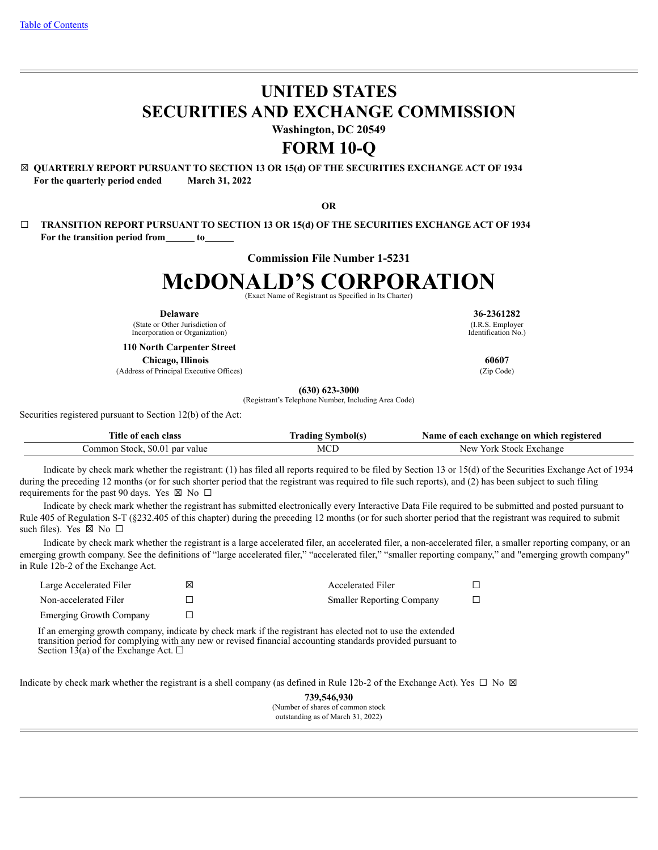# **UNITED STATES SECURITIES AND EXCHANGE COMMISSION**

**Washington, DC 20549**

# **FORM 10-Q**

☒ **QUARTERLY REPORT PURSUANT TO SECTION 13 OR 15(d) OF THE SECURITIES EXCHANGE ACT OF 1934 For the quarterly period ended March 31, 2022**

**OR**

☐ **TRANSITION REPORT PURSUANT TO SECTION 13 OR 15(d) OF THE SECURITIES EXCHANGE ACT OF 1934 For the transition period from to**

**Commission File Number 1-5231**

# **McDONALD'S CORPORATION**

(Exact Name of Registrant as Specified in Its Charter)

(State or Other Jurisdiction of Incorporation or Organization)

**110 North Carpenter Street**

**Chicago, Illinois 60607**<br> **60607**<br> **60607**<br> **60607**<br> **60607**<br> **60607** (Address of Principal Executive Offices)

**Delaware 36-2361282** (I.R.S. Employer Identification No.)

**(630) 623-3000**

(Registrant's Telephone Number, Including Area Code)

Securities registered pursuant to Section 12(b) of the Act:

| Title of each class                  | <b>Trading Symbol(s)</b> | Name of each exchange on which registered |
|--------------------------------------|--------------------------|-------------------------------------------|
| ., \$0.01 par value<br>Common Stock, | MCD                      | New York Stock Exchange                   |

Indicate by check mark whether the registrant: (1) has filed all reports required to be filed by Section 13 or 15(d) of the Securities Exchange Act of 1934 during the preceding 12 months (or for such shorter period that the registrant was required to file such reports), and (2) has been subject to such filing requirements for the past 90 days. Yes  $\boxtimes$  No  $\Box$ 

Indicate by check mark whether the registrant has submitted electronically every Interactive Data File required to be submitted and posted pursuant to Rule 405 of Regulation S-T (§232.405 of this chapter) during the preceding 12 months (or for such shorter period that the registrant was required to submit such files). Yes  $\boxtimes$  No  $\square$ 

Indicate by check mark whether the registrant is a large accelerated filer, an accelerated filer, a non-accelerated filer, a smaller reporting company, or an emerging growth company. See the definitions of "large accelerated filer," "accelerated filer," "smaller reporting company," and "emerging growth company" in Rule 12b-2 of the Exchange Act.

| Large Accelerated Filer | <b>Accelerated Filer</b>         |  |
|-------------------------|----------------------------------|--|
| Non-accelerated Filer   | <b>Smaller Reporting Company</b> |  |
| Emerging Growth Company |                                  |  |

If an emerging growth company, indicate by check mark if the registrant has elected not to use the extended transition period for complying with any new or revised financial accounting standards provided pursuant to Section 13(a) of the Exchange Act.  $\Box$ 

<span id="page-0-0"></span>Indicate by check mark whether the registrant is a shell company (as defined in Rule 12b-2 of the Exchange Act). Yes  $\Box$  No  $\boxtimes$ 

**739,546,930** (Number of shares of common stock outstanding as of March 31, 2022)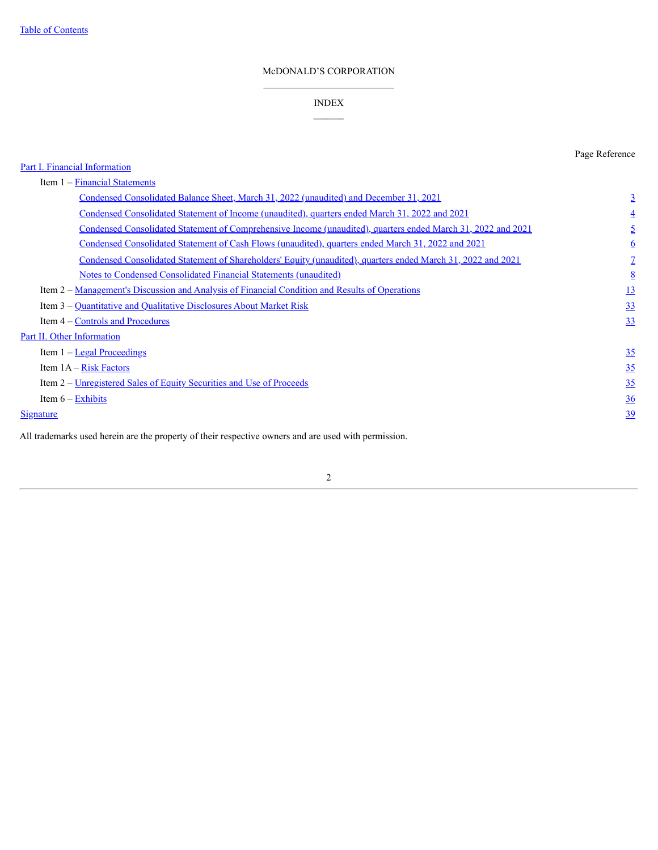# McDONALD'S CORPORATION

# INDEX

# <span id="page-1-0"></span>Page Reference Part I. Financial [Information](#page-1-0) Item 1 – Financial [Statements](#page-2-0) Condensed [Consolidated](#page-2-1) Balance Sheet, [March](#page-2-1) [31](#page-2-1), [2022](#page-2-1) [\(unaudited\)](#page-2-1) and December 31, 20[21](#page-2-1) [3](#page-2-1) Condensed [Consolidated](#page-2-2) Statement of Income (unaudited), quarte[rs](#page-2-2) [ended](#page-2-2) [March](#page-2-2) [31](#page-2-2), [2022](#page-2-2) and [2021](#page-2-2) [4](#page-2-2) Condensed Consolidated Statement of [Comprehensive](#page-3-0) Income (unaudited), quarters [ended](#page-3-0) [March](#page-3-0) [31](#page-3-0), [2022](#page-3-0) [and](#page-3-0) 20[21](#page-3-0) [5](#page-3-0) Condensed [Consolidated](#page-4-0) Statement of Cash Flows (unaudited), quarters [ended](#page-4-0) [March](#page-4-0) [31,](#page-4-0) [2022](#page-4-0) and [2021](#page-4-0) [6](#page-4-0) Condensed Consolidated Statement of [Shareholders'](#page-5-0) Equity (unaudited), quarters [ended](#page-5-0) [March](#page-5-0) [31](#page-5-0), [2022](#page-5-0) and [2021](#page-5-0) [7](#page-5-0) Notes to Condensed [Consolidated](#page-6-0) Financial Statements (unaudited) [8](#page-6-0) Item 2 – <u>[Management's](#page-11-0) Discussion and Analysis of Financial Condition and Results of Operations</u> [13](#page-11-0) Item 3 – [Quantitative](#page-32-0) and Qualitative Disclosures About Market Risk [33](#page-32-0) (33) 33 Item 4 – Controls and [Procedures](#page-32-1) [33](#page-32-1) Part II. Other [Information](#page-33-0) Item 1 – <u>Legal [Proceedings](#page-34-0)</u> [35](#page-34-0) Item 1A – <u>Risk [Factors](#page-34-1)</u> [35](#page-34-1) Item 2 – [Unregistered](#page-34-2) Sales of Equity Securities and Use of Proceeds [35](#page-34-2) Item 6 – [Exhibits](#page-34-3) [36](#page-34-3) **[Signature](#page-37-0)** [39](#page-37-0) All trademarks used herein are the property of their respective owners and are used with permission.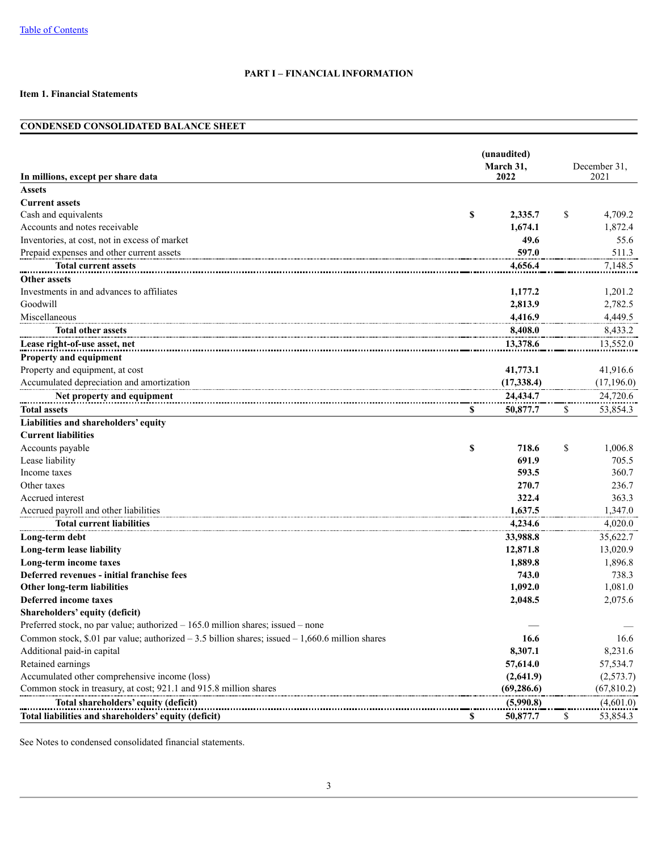# **PART I – FINANCIAL INFORMATION**

# <span id="page-2-1"></span><span id="page-2-0"></span>**Item 1. Financial Statements**

# **CONDENSED CONSOLIDATED BALANCE SHEET**

| In millions, except per share data                                                                |    | (unaudited)<br>March 31,<br>2022 | December 31,<br>2021 |
|---------------------------------------------------------------------------------------------------|----|----------------------------------|----------------------|
| <b>Assets</b>                                                                                     |    |                                  |                      |
| <b>Current assets</b>                                                                             |    |                                  |                      |
| Cash and equivalents                                                                              | \$ | 2,335.7                          | \$<br>4,709.2        |
| Accounts and notes receivable                                                                     |    | 1,674.1                          | 1,872.4              |
| Inventories, at cost, not in excess of market                                                     |    | 49.6                             | 55.6                 |
| Prepaid expenses and other current assets                                                         |    | 597.0                            | 511.3                |
| <b>Total current assets</b>                                                                       |    | 4,656.4                          | 7,148.5              |
| <b>Other assets</b>                                                                               |    |                                  |                      |
| Investments in and advances to affiliates                                                         |    | 1,177.2                          | 1,201.2              |
| Goodwill                                                                                          |    | 2,813.9                          | 2,782.5              |
| Miscellaneous                                                                                     |    | 4,416.9                          | 4,449.5              |
| <b>Total other assets</b>                                                                         |    | 8,408.0                          | 8,433.2              |
| Lease right-of-use asset, net                                                                     |    | 13,378.6                         | 13,552.0             |
|                                                                                                   |    |                                  |                      |
| <b>Property and equipment</b><br>Property and equipment, at cost                                  |    | 41,773.1                         | 41,916.6             |
| Accumulated depreciation and amortization                                                         |    | (17, 338.4)                      | (17,196.0)           |
|                                                                                                   |    |                                  |                      |
| Net property and equipment                                                                        |    | 24,434.7                         | 24,720.6             |
| <b>Total assets</b>                                                                               | S  | 50,877.7                         | \$<br>53,854.3       |
| Liabilities and shareholders' equity                                                              |    |                                  |                      |
| <b>Current liabilities</b>                                                                        |    |                                  |                      |
| Accounts payable                                                                                  | \$ | 718.6                            | \$<br>1,006.8        |
| Lease liability                                                                                   |    | 691.9                            | 705.5                |
| Income taxes                                                                                      |    | 593.5                            | 360.7                |
| Other taxes                                                                                       |    | 270.7                            | 236.7                |
| Accrued interest                                                                                  |    | 322.4                            | 363.3                |
| Accrued payroll and other liabilities                                                             |    | 1,637.5                          | 1,347.0              |
| <b>Total current liabilities</b>                                                                  |    | 4,234.6                          | 4,020.0              |
| Long-term debt                                                                                    |    | 33,988.8                         | 35,622.7             |
| Long-term lease liability                                                                         |    | 12,871.8                         | 13,020.9             |
| Long-term income taxes                                                                            |    | 1,889.8                          | 1,896.8              |
| Deferred revenues - initial franchise fees                                                        |    | 743.0                            | 738.3                |
| Other long-term liabilities                                                                       |    | 1,092.0                          | 1,081.0              |
| <b>Deferred income taxes</b>                                                                      |    | 2,048.5                          | 2,075.6              |
| Shareholders' equity (deficit)                                                                    |    |                                  |                      |
| Preferred stock, no par value; authorized $-165.0$ million shares; issued $-$ none                |    |                                  |                      |
| Common stock, \$.01 par value; authorized $-3.5$ billion shares; issued $-1,660.6$ million shares |    | 16.6                             | 16.6                 |
| Additional paid-in capital                                                                        |    | 8,307.1                          | 8,231.6              |
| Retained earnings                                                                                 |    | 57,614.0                         | 57,534.7             |
| Accumulated other comprehensive income (loss)                                                     |    | (2,641.9)                        | (2,573.7)            |
| Common stock in treasury, at cost; 921.1 and 915.8 million shares                                 |    | (69, 286.6)                      | (67, 810.2)          |
| Total shareholders' equity (deficit)                                                              |    | (5,990.8)                        | (4,601.0)            |
| Total liabilities and shareholders' equity (deficit)                                              | S  | 50,877.7                         | \$<br>53,854.3       |

<span id="page-2-2"></span>See Notes to condensed consolidated financial statements.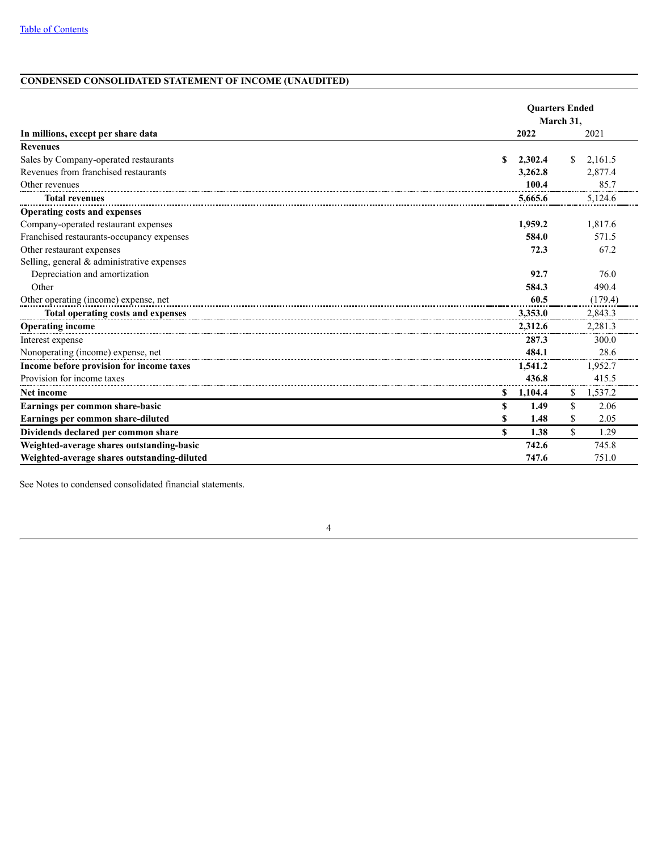# **CONDENSED CONSOLIDATED STATEMENT OF INCOME (UNAUDITED)**

|                                             |               | <b>Ouarters Ended</b> |         |
|---------------------------------------------|---------------|-----------------------|---------|
|                                             |               | March 31,             |         |
| In millions, except per share data          | 2022          |                       | 2021    |
| <b>Revenues</b>                             |               |                       |         |
| Sales by Company-operated restaurants       | 2,302.4<br>S  | \$.                   | 2,161.5 |
| Revenues from franchised restaurants        | 3,262.8       |                       | 2,877.4 |
| Other revenues                              | 100.4         |                       | 85.7    |
| <b>Total revenues</b>                       | 5,665.6       |                       | 5,124.6 |
| <b>Operating costs and expenses</b>         |               |                       |         |
| Company-operated restaurant expenses        | 1,959.2       |                       | 1,817.6 |
| Franchised restaurants-occupancy expenses   | 584.0         |                       | 571.5   |
| Other restaurant expenses                   | 72.3          |                       | 67.2    |
| Selling, general & administrative expenses  |               |                       |         |
| Depreciation and amortization               | 92.7          |                       | 76.0    |
| Other                                       | 584.3         |                       | 490.4   |
| Other operating (income) expense, net       | 60.5          |                       | (179.4) |
| Total operating costs and expenses          | 3,353.0       |                       | 2,843.3 |
| <b>Operating income</b>                     | 2,312.6       |                       | 2,281.3 |
| Interest expense                            | 287.3         |                       | 300.0   |
| Nonoperating (income) expense, net          | 484.1         |                       | 28.6    |
| Income before provision for income taxes    | 1,541.2       |                       | 1,952.7 |
| Provision for income taxes                  | 436.8         |                       | 415.5   |
| <b>Net income</b>                           | \$<br>1,104.4 | S.                    | 1,537.2 |
| Earnings per common share-basic             | \$<br>1.49    | $\mathbf S$           | 2.06    |
| Earnings per common share-diluted           | S<br>1.48     | \$                    | 2.05    |
| Dividends declared per common share         | \$<br>1.38    | $\mathbf S$           | 1.29    |
| Weighted-average shares outstanding-basic   | 742.6         |                       | 745.8   |
| Weighted-average shares outstanding-diluted | 747.6         |                       | 751.0   |

<span id="page-3-0"></span>See Notes to condensed consolidated financial statements.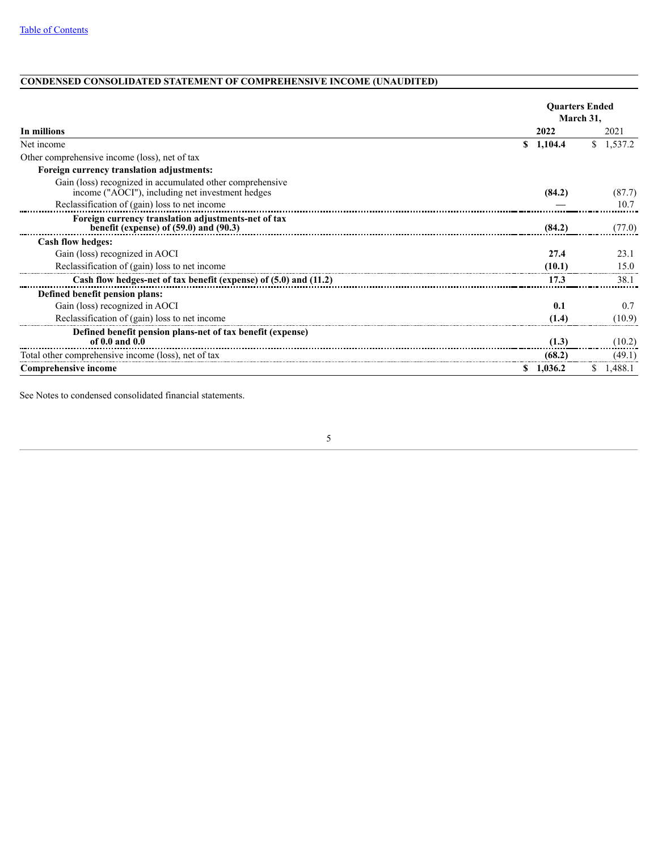# **CONDENSED CONSOLIDATED STATEMENT OF COMPREHENSIVE INCOME (UNAUDITED)**

|                                                                                                               |               | <b>Ouarters Ended</b><br>March 31, |
|---------------------------------------------------------------------------------------------------------------|---------------|------------------------------------|
| In millions                                                                                                   | 2022          | 2021                               |
| Net income                                                                                                    | 1,104.4<br>S. | \$1,537.2                          |
| Other comprehensive income (loss), net of tax                                                                 |               |                                    |
| Foreign currency translation adjustments:                                                                     |               |                                    |
| Gain (loss) recognized in accumulated other comprehensive<br>income ("AOCI"), including net investment hedges | (84.2)        | (87.7)                             |
| Reclassification of (gain) loss to net income                                                                 |               | 107                                |
| Foreign currency translation adjustments-net of tax<br>benefit (expense) of (59.0) and (90.3)                 | (84.2)        | (77.0)                             |
| <b>Cash flow hedges:</b>                                                                                      |               |                                    |
| Gain (loss) recognized in AOCI                                                                                | 27.4          | 23.1                               |
| Reclassification of (gain) loss to net income                                                                 | (10.1)        | 15.0                               |
| Cash flow hedges-net of tax benefit (expense) of (5.0) and (11.2)                                             | 17.3          | 38.1                               |
| Defined benefit pension plans:                                                                                |               |                                    |
| Gain (loss) recognized in AOCI                                                                                | 0.1           | 0.7                                |
| Reclassification of (gain) loss to net income                                                                 | (1.4)         | (10.9)                             |
| Defined benefit pension plans-net of tax benefit (expense)<br>of $0.0$ and $0.0$                              | (1.3)         | (10.2)                             |
| Total other comprehensive income (loss), net of tax                                                           | (68.2)        | (49.1)                             |
| Comprehensive income                                                                                          | \$1,036.2     | 1,488.1<br>S.                      |

<span id="page-4-0"></span>See Notes to condensed consolidated financial statements.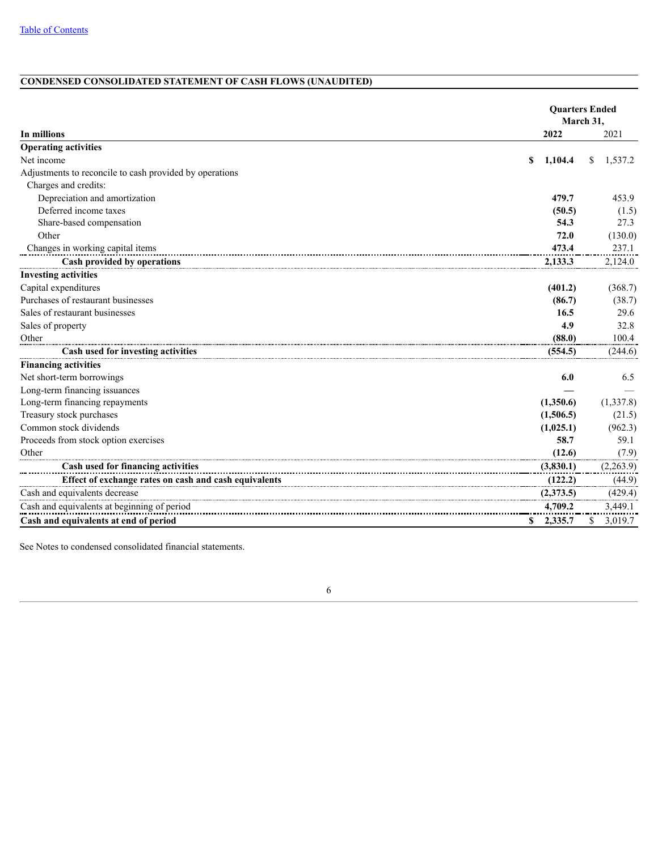# **CONDENSED CONSOLIDATED STATEMENT OF CASH FLOWS (UNAUDITED)**

| In millions                                             |              | <b>Quarters Ended</b><br>March 31,<br>2022 |              | 2021      |
|---------------------------------------------------------|--------------|--------------------------------------------|--------------|-----------|
| <b>Operating activities</b>                             |              |                                            |              |           |
| Net income                                              | \$           | 1,104.4                                    | \$           | 1,537.2   |
| Adjustments to reconcile to cash provided by operations |              |                                            |              |           |
| Charges and credits:                                    |              |                                            |              |           |
| Depreciation and amortization                           |              | 479.7                                      |              | 453.9     |
| Deferred income taxes                                   |              | (50.5)                                     |              | (1.5)     |
| Share-based compensation                                |              | 54.3                                       |              | 27.3      |
| Other                                                   |              | 72.0                                       |              | (130.0)   |
| Changes in working capital items                        |              | 473.4                                      |              | 237.1     |
| Cash provided by operations                             |              | 2,133.3                                    |              | 2,124.0   |
| <b>Investing activities</b>                             |              |                                            |              |           |
| Capital expenditures                                    |              | (401.2)                                    |              | (368.7)   |
| Purchases of restaurant businesses                      |              | (86.7)                                     |              | (38.7)    |
| Sales of restaurant businesses                          |              | 16.5                                       |              | 29.6      |
| Sales of property                                       |              | 4.9                                        |              | 32.8      |
| Other                                                   |              | (88.0)                                     |              | 100.4     |
| Cash used for investing activities                      |              | (554.5)                                    |              | (244.6)   |
| <b>Financing activities</b>                             |              |                                            |              |           |
| Net short-term borrowings                               |              | 6.0                                        |              | 6.5       |
| Long-term financing issuances                           |              |                                            |              |           |
| Long-term financing repayments                          |              | (1,350.6)                                  |              | (1,337.8) |
| Treasury stock purchases                                |              | (1,506.5)                                  |              | (21.5)    |
| Common stock dividends                                  |              | (1,025.1)                                  |              | (962.3)   |
| Proceeds from stock option exercises                    |              | 58.7                                       |              | 59.1      |
| Other                                                   |              | (12.6)                                     |              | (7.9)     |
| Cash used for financing activities                      |              | (3,830.1)                                  |              | (2,263.9) |
| Effect of exchange rates on cash and cash equivalents   |              | (122.2)                                    |              | (44.9)    |
| Cash and equivalents decrease                           |              | (2,373.5)                                  |              | (429.4)   |
| Cash and equivalents at beginning of period             |              | 4,709.2                                    |              | 3,449.1   |
| Cash and equivalents at end of period                   | $\mathbf{s}$ | 2,335.7                                    | <sup>S</sup> | 3,019.7   |

<span id="page-5-0"></span>See Notes to condensed consolidated financial statements.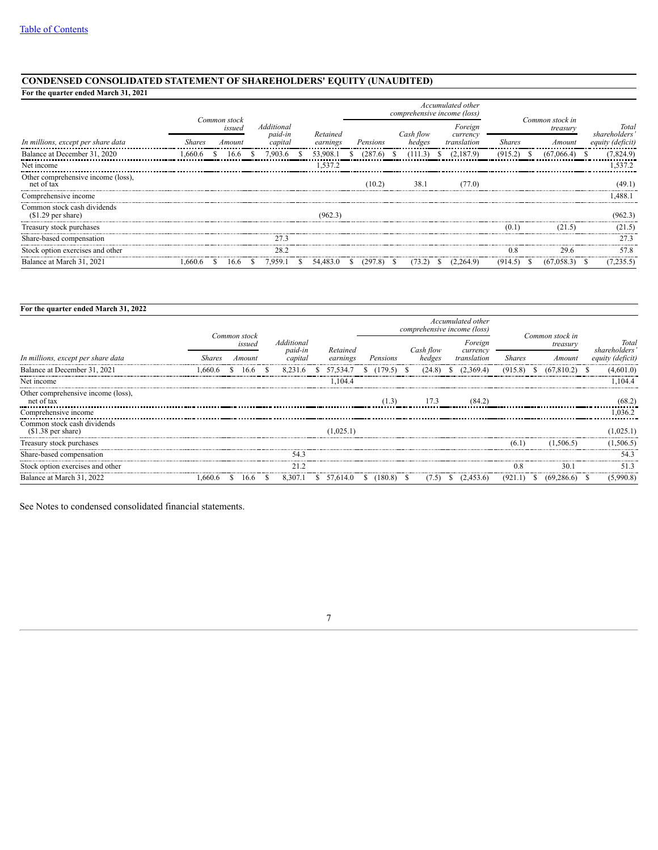# **CONDENSED CONSOLIDATED STATEMENT OF SHAREHOLDERS' EQUITY (UNAUDITED)**

**For the quarter ended March 31, 2021**

|                                                   | Common stock  |  |        |  |                       |  |          | Accumulated other<br>comprehensive income (loss) |          |  |                |  |                     |               | Common stock in |                       |
|---------------------------------------------------|---------------|--|--------|--|-----------------------|--|----------|--------------------------------------------------|----------|--|----------------|--|---------------------|---------------|-----------------|-----------------------|
|                                                   |               |  | issued |  | Additional<br>paid-in |  | Retained |                                                  |          |  | Cash flow      |  | Foreign<br>currency |               | treasury        | Total<br>shareholders |
| In millions, except per share data                | <b>Shares</b> |  | Amount |  | capital               |  | earnings |                                                  | Pensions |  | hedges         |  | translation         | <b>Shares</b> | Amount          | (deficit<br>equity    |
| Balance at December 31, 2020                      | .660.6        |  | 16.6   |  | 7.903.6               |  | 53.908.1 |                                                  | (287.6)  |  | (111.3)        |  | (2.187.9)           | (915.2)       | (67.066.4)      | (7,824.9)             |
| Net income                                        |               |  |        |  |                       |  | 1,537.2  |                                                  |          |  |                |  |                     |               |                 | .537.2                |
| Other comprehensive income (loss),<br>net of tax  |               |  |        |  |                       |  |          |                                                  | (10.2)   |  | 38.1           |  | (77.0)              |               |                 | (49.1)                |
| Comprehensive income                              |               |  |        |  |                       |  |          |                                                  |          |  |                |  |                     |               |                 | .488.                 |
| Common stock cash dividends<br>$$1.29$ per share) |               |  |        |  |                       |  | (962.3)  |                                                  |          |  |                |  |                     |               |                 | (962.3)               |
| Treasury stock purchases                          |               |  |        |  |                       |  |          |                                                  |          |  |                |  |                     | (0.1)         | (21.5)          | (21.5)                |
| Share-based compensation                          |               |  |        |  | 27.3                  |  |          |                                                  |          |  |                |  |                     |               |                 | 27.3                  |
| Stock option exercises and other                  |               |  |        |  | 28.2                  |  |          |                                                  |          |  |                |  |                     | 0.8           | 29.6            | 57.8                  |
| Balance at March 31, 2021                         | .660.6        |  | 16.6   |  | 7.959.1               |  | 54 483 0 |                                                  | 297.8)   |  | $13.2^{\circ}$ |  | (2.264.9)           | (914.5)       | (67.058.3)      | 7,235.5)              |

| For the quarter ended March 31, 2022              |               |              |                       |              |           |              |  |           |  |                                                  |                 |  |            |                       |
|---------------------------------------------------|---------------|--------------|-----------------------|--------------|-----------|--------------|--|-----------|--|--------------------------------------------------|-----------------|--|------------|-----------------------|
|                                                   |               | Common stock |                       |              |           |              |  |           |  | Accumulated other<br>comprehensive income (loss) | Common stock in |  |            |                       |
|                                                   |               | issued       | Additional<br>paid-in |              | Retained  |              |  | Cash flow |  | Foreign<br>currency                              |                 |  | treasury   | Total<br>shareholders |
| In millions, except per share data                | <b>Shares</b> | Amount       | capital               |              | earnings  | Pensions     |  | hedges    |  | translation                                      | <b>Shares</b>   |  | Amount     | equity (deficit)      |
| Balance at December 31, 2021                      | .660.6        | 16.6         | 8,231.6               |              | 57,534.7  | (179.5)      |  | (24.8)    |  | (2.369.4)                                        | (915.8)         |  | (67.810.2) | (4,601.0)             |
| Net income                                        |               |              |                       |              | 1.104.4   |              |  |           |  |                                                  |                 |  |            | .104.4                |
| Other comprehensive income (loss),<br>net of tax  |               |              |                       |              |           | (1.3)        |  | 17.3      |  | (84.2)                                           |                 |  |            | (68.2)                |
| Comprehensive income                              |               |              |                       |              |           |              |  |           |  |                                                  |                 |  |            | .036.2                |
| Common stock cash dividends<br>$$1.38$ per share) |               |              |                       |              | (1.025.1) |              |  |           |  |                                                  |                 |  |            | (1,025.1)             |
| Treasury stock purchases                          |               |              |                       |              |           |              |  |           |  |                                                  | (6.1)           |  | (1.506.5)  | (1, 506.5)            |
| Share-based compensation                          |               |              | 54.3                  |              |           |              |  |           |  |                                                  |                 |  |            | 54.3                  |
| Stock option exercises and other                  |               |              | 21.2                  |              |           |              |  |           |  |                                                  | 0.8             |  | 30.1       | 51.3                  |
| Balance at March 31, 2022                         | .660.6        | 16.6 S       | 8.307.1               | $\mathbf{S}$ | 57.614.0  | $(180.8)$ \$ |  |           |  | (2.453.6)                                        | $(921.1)$ \$    |  | (69.286.6) | (5,990.8)             |

<span id="page-6-0"></span>See Notes to condensed consolidated financial statements.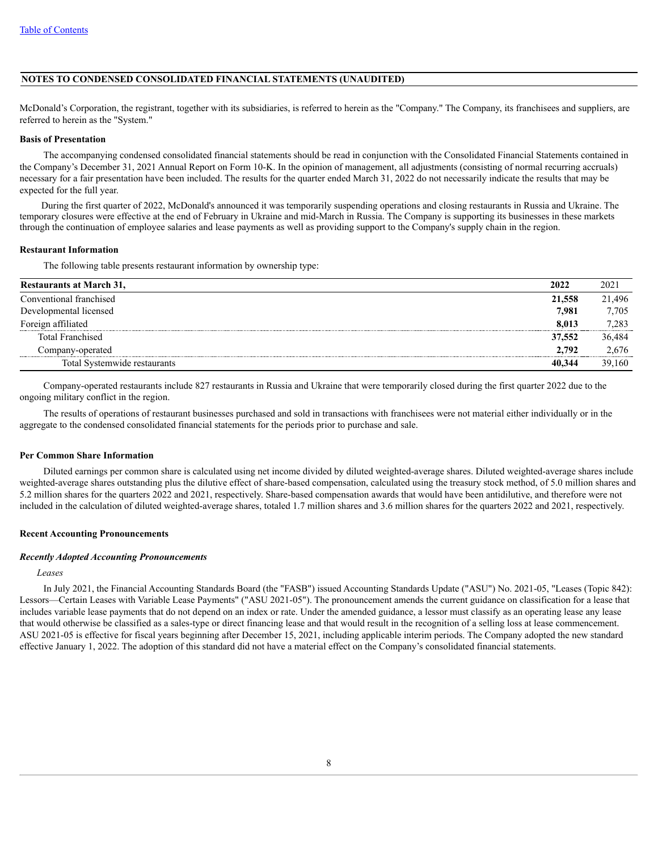### **NOTES TO CONDENSED CONSOLIDATED FINANCIAL STATEMENTS (UNAUDITED)**

McDonald's Corporation, the registrant, together with its subsidiaries, is referred to herein as the "Company." The Company, its franchisees and suppliers, are referred to herein as the "System."

#### **Basis of Presentation**

The accompanying condensed consolidated financial statements should be read in conjunction with the Consolidated Financial Statements contained in the Company's December 31, 2021 Annual Report on Form 10-K. In the opinion of management, all adjustments (consisting of normal recurring accruals) necessary for a fair presentation have been included. The results for the quarter ended March 31, 2022 do not necessarily indicate the results that may be expected for the full year.

During the first quarter of 2022, McDonald's announced it was temporarily suspending operations and closing restaurants in Russia and Ukraine. The temporary closures were effective at the end of February in Ukraine and mid-March in Russia. The Company is supporting its businesses in these markets through the continuation of employee salaries and lease payments as well as providing support to the Company's supply chain in the region.

#### **Restaurant Information**

The following table presents restaurant information by ownership type:

| <b>Restaurants at March 31,</b> | 2022   | 2021   |
|---------------------------------|--------|--------|
| Conventional franchised         | 21,558 | 21,496 |
| Developmental licensed          | 7.981  | 7.705  |
| Foreign affiliated              | 8.013  | 7.283  |
| <b>Total Franchised</b>         | 37,552 | 36,484 |
| Company-operated                | 2.792  | 2.676  |
| Total Systemwide restaurants    | 40.344 | 39,160 |

Company-operated restaurants include 827 restaurants in Russia and Ukraine that were temporarily closed during the first quarter 2022 due to the ongoing military conflict in the region.

The results of operations of restaurant businesses purchased and sold in transactions with franchisees were not material either individually or in the aggregate to the condensed consolidated financial statements for the periods prior to purchase and sale.

#### **Per Common Share Information**

Diluted earnings per common share is calculated using net income divided by diluted weighted-average shares. Diluted weighted-average shares include weighted-average shares outstanding plus the dilutive effect of share-based compensation, calculated using the treasury stock method, of 5.0 million shares and 5.2 million shares for the quarters 2022 and 2021, respectively. Share-based compensation awards that would have been antidilutive, and therefore were not included in the calculation of diluted weighted-average shares, totaled 1.7 million shares and 3.6 million shares for the quarters 2022 and 2021, respectively.

#### **Recent Accounting Pronouncements**

#### *Recently Adopted Accounting Pronouncements*

#### *Leases*

In July 2021, the Financial Accounting Standards Board (the "FASB") issued Accounting Standards Update ("ASU") No. 2021-05, "Leases (Topic 842): Lessors—Certain Leases with Variable Lease Payments" ("ASU 2021-05"). The pronouncement amends the current guidance on classification for a lease that includes variable lease payments that do not depend on an index or rate. Under the amended guidance, a lessor must classify as an operating lease any lease that would otherwise be classified as a sales-type or direct financing lease and that would result in the recognition of a selling loss at lease commencement. ASU 2021-05 is effective for fiscal years beginning after December 15, 2021, including applicable interim periods. The Company adopted the new standard effective January 1, 2022. The adoption of this standard did not have a material effect on the Company's consolidated financial statements.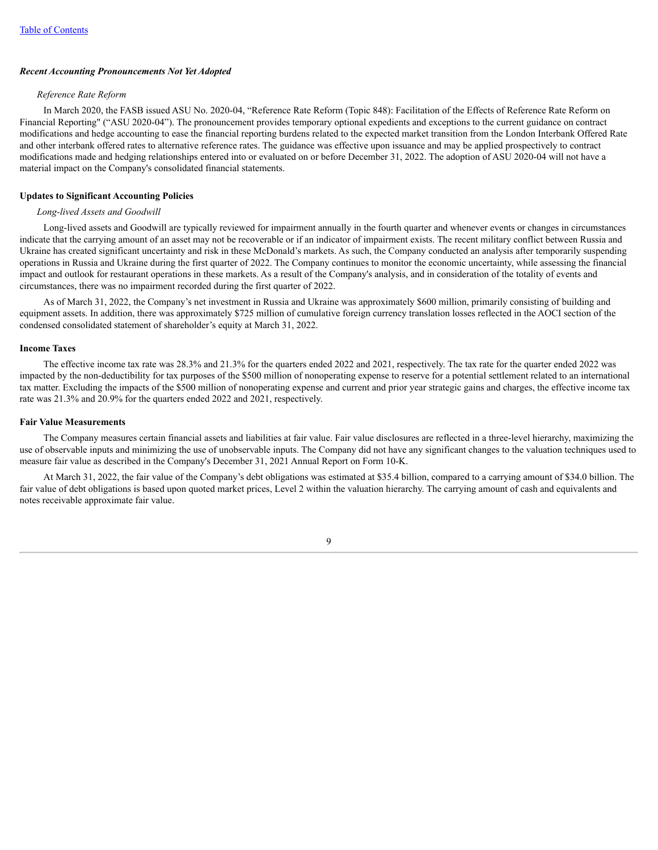#### *Recent Accounting Pronouncements Not Yet Adopted*

#### *Reference Rate Reform*

In March 2020, the FASB issued ASU No. 2020-04, "Reference Rate Reform (Topic 848): Facilitation of the Effects of Reference Rate Reform on Financial Reporting" ("ASU 2020-04"). The pronouncement provides temporary optional expedients and exceptions to the current guidance on contract modifications and hedge accounting to ease the financial reporting burdens related to the expected market transition from the London Interbank Offered Rate and other interbank offered rates to alternative reference rates. The guidance was effective upon issuance and may be applied prospectively to contract modifications made and hedging relationships entered into or evaluated on or before December 31, 2022. The adoption of ASU 2020-04 will not have a material impact on the Company's consolidated financial statements.

#### **Updates to Significant Accounting Policies**

#### *Long-lived Assets and Goodwill*

Long-lived assets and Goodwill are typically reviewed for impairment annually in the fourth quarter and whenever events or changes in circumstances indicate that the carrying amount of an asset may not be recoverable or if an indicator of impairment exists. The recent military conflict between Russia and Ukraine has created significant uncertainty and risk in these McDonald's markets. As such, the Company conducted an analysis after temporarily suspending operations in Russia and Ukraine during the first quarter of 2022. The Company continues to monitor the economic uncertainty, while assessing the financial impact and outlook for restaurant operations in these markets. As a result of the Company's analysis, and in consideration of the totality of events and circumstances, there was no impairment recorded during the first quarter of 2022.

As of March 31, 2022, the Company's net investment in Russia and Ukraine was approximately \$600 million, primarily consisting of building and equipment assets. In addition, there was approximately \$725 million of cumulative foreign currency translation losses reflected in the AOCI section of the condensed consolidated statement of shareholder's equity at March 31, 2022.

# **Income Taxes**

The effective income tax rate was 28.3% and 21.3% for the quarters ended 2022 and 2021, respectively. The tax rate for the quarter ended 2022 was impacted by the non-deductibility for tax purposes of the \$500 million of nonoperating expense to reserve for a potential settlement related to an international tax matter. Excluding the impacts of the \$500 million of nonoperating expense and current and prior year strategic gains and charges, the effective income tax rate was 21.3% and 20.9% for the quarters ended 2022 and 2021, respectively.

#### **Fair Value Measurements**

The Company measures certain financial assets and liabilities at fair value. Fair value disclosures are reflected in a three-level hierarchy, maximizing the use of observable inputs and minimizing the use of unobservable inputs. The Company did not have any significant changes to the valuation techniques used to measure fair value as described in the Company's December 31, 2021 Annual Report on Form 10-K.

At March 31, 2022, the fair value of the Company's debt obligations was estimated at \$35.4 billion, compared to a carrying amount of \$34.0 billion. The fair value of debt obligations is based upon quoted market prices, Level 2 within the valuation hierarchy. The carrying amount of cash and equivalents and notes receivable approximate fair value.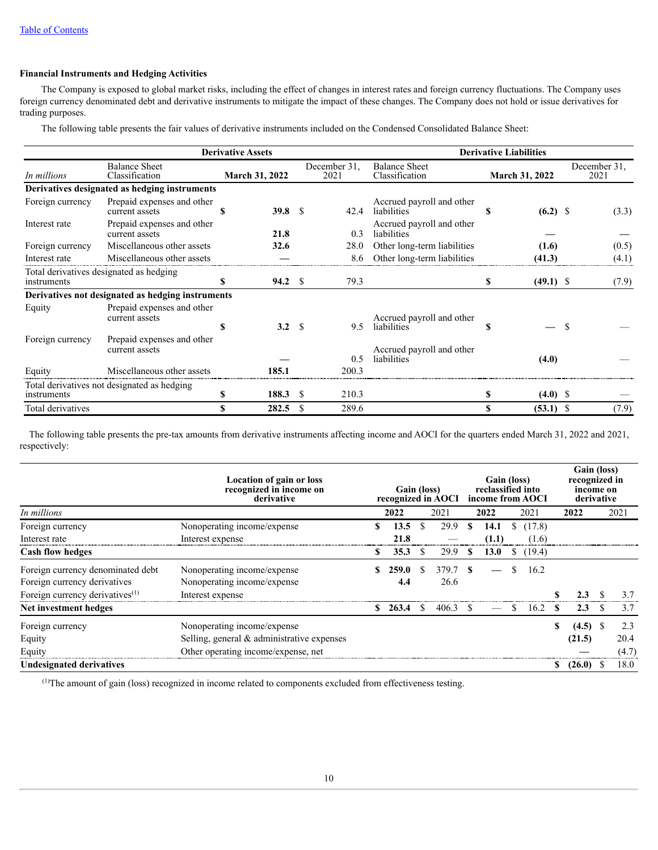# **Financial Instruments and Hedging Activities**

The Company is exposed to global market risks, including the effect of changes in interest rates and foreign currency fluctuations. The Company uses foreign currency denominated debt and derivative instruments to mitigate the impact of these changes. The Company does not hold or issue derivatives for trading purposes.

The following table presents the fair values of derivative instruments included on the Condensed Consolidated Balance Sheet:

|                   |                                                   | <b>Derivative Assets</b> |                 |                      |                                          | <b>Derivative Liabilities</b> |                       |                      |
|-------------------|---------------------------------------------------|--------------------------|-----------------|----------------------|------------------------------------------|-------------------------------|-----------------------|----------------------|
| In millions       | <b>Balance Sheet</b><br>Classification            | <b>March 31, 2022</b>    |                 | December 31.<br>2021 | <b>Balance Sheet</b><br>Classification   |                               | <b>March 31, 2022</b> | December 31,<br>2021 |
|                   | Derivatives designated as hedging instruments     |                          |                 |                      |                                          |                               |                       |                      |
| Foreign currency  | Prepaid expenses and other<br>current assets      | S                        | 39.8 $\sqrt{3}$ | 42.4                 | Accrued payroll and other<br>liabilities |                               | $(6.2)$ \$            | (3.3)                |
| Interest rate     | Prepaid expenses and other<br>current assets      | 21.8                     |                 | 0.3                  | Accrued payroll and other<br>liabilities |                               |                       |                      |
| Foreign currency  | Miscellaneous other assets                        | 32.6                     |                 | 28.0                 | Other long-term liabilities              |                               | (1.6)                 | (0.5)                |
| Interest rate     | Miscellaneous other assets                        |                          |                 | 8.6                  | Other long-term liabilities              |                               | (41.3)                | (4.1)                |
| instruments       | Total derivatives designated as hedging           | \$.                      | 94.2 S          | 79.3                 |                                          | S                             | $(49.1)$ \$           | (7.9)                |
|                   | Derivatives not designated as hedging instruments |                          |                 |                      |                                          |                               |                       |                      |
| Equity            | Prepaid expenses and other<br>current assets      |                          | $3.2 \quad$     | 9.5                  | Accrued payroll and other<br>liabilities |                               |                       |                      |
| Foreign currency  | Prepaid expenses and other<br>current assets      |                          |                 | 0 <sub>5</sub>       | Accrued payroll and other<br>liabilities |                               | (4.0)                 |                      |
| Equity            | Miscellaneous other assets                        | 185.1                    |                 | 200.3                |                                          |                               |                       |                      |
| instruments       | Total derivatives not designated as hedging       | 188.3<br>\$              |                 | 210.3<br>-S          |                                          | \$                            | $(4.0)$ \$            |                      |
| Total derivatives |                                                   | S<br>282.5               |                 | \$<br>289.6          |                                          |                               | $(53.1)$ \$           | (7.9)                |

The following table presents the pre-tax amounts from derivative instruments affecting income and AOCI for the quarters ended March 31, 2022 and 2021, respectively:

|                                             | <b>Location of gain or loss</b><br>recognized in income on<br>derivative |     | Gain (loss) |    | recognized in <b>AOCI</b> |    | Gain (loss)<br>reclassified into<br>income from AOCI |    |        |    | Gain (loss)<br>recognized in<br>income on<br>derivative |     |       |
|---------------------------------------------|--------------------------------------------------------------------------|-----|-------------|----|---------------------------|----|------------------------------------------------------|----|--------|----|---------------------------------------------------------|-----|-------|
| In millions                                 |                                                                          |     | 2022        |    | 2021                      |    | 2022                                                 |    | 2021   |    | 2022                                                    |     | 2021  |
| Foreign currency                            | Nonoperating income/expense                                              |     | 13.5        |    | 29.9                      | S  | 14.1                                                 | S. | (17.8) |    |                                                         |     |       |
| Interest rate                               | Interest expense                                                         |     | 21.8        |    |                           |    | (1.1)                                                |    | (1.6)  |    |                                                         |     |       |
| <b>Cash flow hedges</b>                     |                                                                          | S   | 35.3        | Ж  | 29.9                      | -S | 13.0                                                 | S. | (19.4) |    |                                                         |     |       |
| Foreign currency denominated debt           | Nonoperating income/expense                                              | S   | 259.0       |    | 379.7                     | -8 |                                                      | S. | 16.2   |    |                                                         |     |       |
| Foreign currency derivatives                | Nonoperating income/expense                                              |     | 4.4         |    | 26.6                      |    |                                                      |    |        |    |                                                         |     |       |
| Foreign currency derivatives <sup>(1)</sup> | Interest expense                                                         |     |             |    |                           |    |                                                      |    |        |    | 2.3                                                     |     | 3.7   |
| Net investment hedges                       |                                                                          | SS. | 263.4       | S. | $406.3$ \$                |    |                                                      | S. | 16.2   | S  | 2.3                                                     | \$. | 3.7   |
| Foreign currency                            | Nonoperating income/expense                                              |     |             |    |                           |    |                                                      |    |        | \$ | (4.5)                                                   | \$. | 2.3   |
| Equity                                      | Selling, general $\&$ administrative expenses                            |     |             |    |                           |    |                                                      |    |        |    | (21.5)                                                  |     | 20.4  |
| Equity                                      | Other operating income/expense, net                                      |     |             |    |                           |    |                                                      |    |        |    |                                                         |     | (4.7) |
| <b>Undesignated derivatives</b>             |                                                                          |     |             |    |                           |    |                                                      |    |        | S  | (26.0)                                                  |     | 18.0  |

 $<sup>(1)</sup>$ The amount of gain (loss) recognized in income related to components excluded from effectiveness testing.</sup>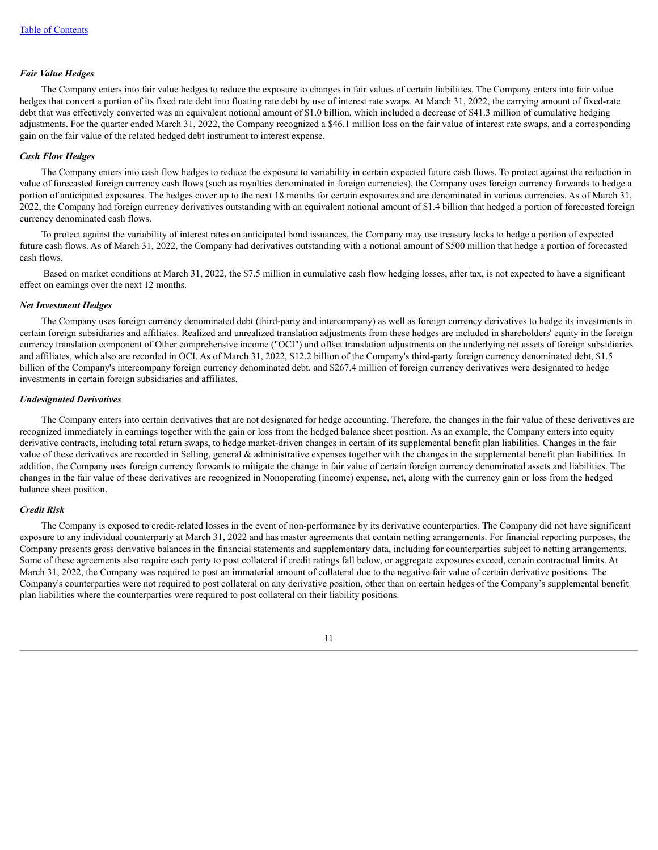#### *Fair Value Hedges*

The Company enters into fair value hedges to reduce the exposure to changes in fair values of certain liabilities. The Company enters into fair value hedges that convert a portion of its fixed rate debt into floating rate debt by use of interest rate swaps. At March 31, 2022, the carrying amount of fixed-rate debt that was effectively converted was an equivalent notional amount of \$1.0 billion, which included a decrease of \$41.3 million of cumulative hedging adjustments. For the quarter ended March 31, 2022, the Company recognized a \$46.1 million loss on the fair value of interest rate swaps, and a corresponding gain on the fair value of the related hedged debt instrument to interest expense.

#### *Cash Flow Hedges*

The Company enters into cash flow hedges to reduce the exposure to variability in certain expected future cash flows. To protect against the reduction in value of forecasted foreign currency cash flows (such as royalties denominated in foreign currencies), the Company uses foreign currency forwards to hedge a portion of anticipated exposures. The hedges cover up to the next 18 months for certain exposures and are denominated in various currencies. As of March 31, 2022, the Company had foreign currency derivatives outstanding with an equivalent notional amount of \$1.4 billion that hedged a portion of forecasted foreign currency denominated cash flows.

To protect against the variability of interest rates on anticipated bond issuances, the Company may use treasury locks to hedge a portion of expected future cash flows. As of March 31, 2022, the Company had derivatives outstanding with a notional amount of \$500 million that hedge a portion of forecasted cash flows.

Based on market conditions at March 31, 2022, the \$7.5 million in cumulative cash flow hedging losses, after tax, is not expected to have a significant effect on earnings over the next 12 months.

#### *Net Investment Hedges*

The Company uses foreign currency denominated debt (third-party and intercompany) as well as foreign currency derivatives to hedge its investments in certain foreign subsidiaries and affiliates. Realized and unrealized translation adjustments from these hedges are included in shareholders' equity in the foreign currency translation component of Other comprehensive income ("OCI") and offset translation adjustments on the underlying net assets of foreign subsidiaries and affiliates, which also are recorded in OCI. As of March 31, 2022, \$12.2 billion of the Company's third-party foreign currency denominated debt, \$1.5 billion of the Company's intercompany foreign currency denominated debt, and \$267.4 million of foreign currency derivatives were designated to hedge investments in certain foreign subsidiaries and affiliates.

#### *Undesignated Derivatives*

The Company enters into certain derivatives that are not designated for hedge accounting. Therefore, the changes in the fair value of these derivatives are recognized immediately in earnings together with the gain or loss from the hedged balance sheet position. As an example, the Company enters into equity derivative contracts, including total return swaps, to hedge market-driven changes in certain of its supplemental benefit plan liabilities. Changes in the fair value of these derivatives are recorded in Selling, general & administrative expenses together with the changes in the supplemental benefit plan liabilities. In addition, the Company uses foreign currency forwards to mitigate the change in fair value of certain foreign currency denominated assets and liabilities. The changes in the fair value of these derivatives are recognized in Nonoperating (income) expense, net, along with the currency gain or loss from the hedged balance sheet position.

#### *Credit Risk*

The Company is exposed to credit-related losses in the event of non-performance by its derivative counterparties. The Company did not have significant exposure to any individual counterparty at March 31, 2022 and has master agreements that contain netting arrangements. For financial reporting purposes, the Company presents gross derivative balances in the financial statements and supplementary data, including for counterparties subject to netting arrangements. Some of these agreements also require each party to post collateral if credit ratings fall below, or aggregate exposures exceed, certain contractual limits. At March 31, 2022, the Company was required to post an immaterial amount of collateral due to the negative fair value of certain derivative positions. The Company's counterparties were not required to post collateral on any derivative position, other than on certain hedges of the Company's supplemental benefit plan liabilities where the counterparties were required to post collateral on their liability positions.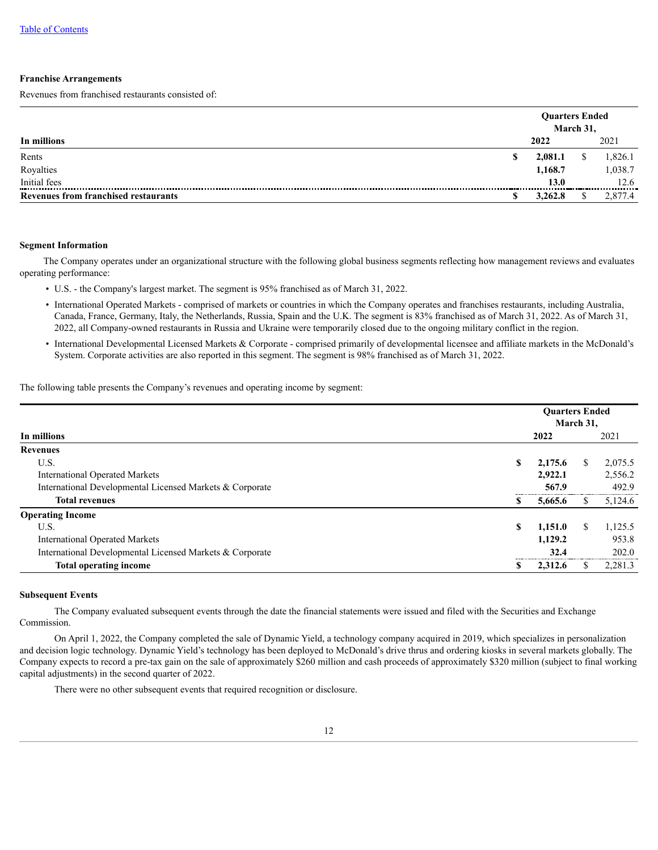#### **Franchise Arrangements**

Revenues from franchised restaurants consisted of:

|                                      |               | <b>Quarters Ended</b><br>March 31, |         |  |  |
|--------------------------------------|---------------|------------------------------------|---------|--|--|
| In millions                          | 2022          |                                    | 2021    |  |  |
| Rents                                | \$<br>2,081.1 |                                    | 1,826.1 |  |  |
| Royalties                            | 1,168.7       |                                    | 1,038.7 |  |  |
| Initial fees                         | 13.0          |                                    | 12.6    |  |  |
| Revenues from franchised restaurants | 3,262.8       |                                    | 2,877.4 |  |  |

#### **Segment Information**

The Company operates under an organizational structure with the following global business segments reflecting how management reviews and evaluates operating performance:

- U.S. the Company's largest market. The segment is 95% franchised as of March 31, 2022.
- International Operated Markets comprised of markets or countries in which the Company operates and franchises restaurants, including Australia, Canada, France, Germany, Italy, the Netherlands, Russia, Spain and the U.K. The segment is 83% franchised as of March 31, 2022. As of March 31, 2022, all Company-owned restaurants in Russia and Ukraine were temporarily closed due to the ongoing military conflict in the region.
- International Developmental Licensed Markets & Corporate comprised primarily of developmental licensee and affiliate markets in the McDonald's System. Corporate activities are also reported in this segment. The segment is 98% franchised as of March 31, 2022.

The following table presents the Company's revenues and operating income by segment:

|                                                          | <b>Quarters Ended</b><br>March 31, |         |    |         |  |  |  |  |  |
|----------------------------------------------------------|------------------------------------|---------|----|---------|--|--|--|--|--|
| In millions                                              |                                    | 2022    |    | 2021    |  |  |  |  |  |
| <b>Revenues</b>                                          |                                    |         |    |         |  |  |  |  |  |
| U.S.                                                     | S.                                 | 2,175.6 | S. | 2,075.5 |  |  |  |  |  |
| <b>International Operated Markets</b>                    |                                    | 2,922.1 |    | 2,556.2 |  |  |  |  |  |
| International Developmental Licensed Markets & Corporate |                                    | 567.9   |    | 492.9   |  |  |  |  |  |
| <b>Total revenues</b>                                    | S                                  | 5,665.6 |    | 5,124.6 |  |  |  |  |  |
| <b>Operating Income</b>                                  |                                    |         |    |         |  |  |  |  |  |
| U.S.                                                     | S                                  | 1.151.0 | S. | 1.125.5 |  |  |  |  |  |
| <b>International Operated Markets</b>                    |                                    | 1,129.2 |    | 953.8   |  |  |  |  |  |
| International Developmental Licensed Markets & Corporate |                                    | 32.4    |    | 202.0   |  |  |  |  |  |
| <b>Total operating income</b>                            | S                                  | 2,312.6 |    | 2,281.3 |  |  |  |  |  |

# **Subsequent Events**

The Company evaluated subsequent events through the date the financial statements were issued and filed with the Securities and Exchange Commission.

On April 1, 2022, the Company completed the sale of Dynamic Yield, a technology company acquired in 2019, which specializes in personalization and decision logic technology. Dynamic Yield's technology has been deployed to McDonald's drive thrus and ordering kiosks in several markets globally. The Company expects to record a pre-tax gain on the sale of approximately \$260 million and cash proceeds of approximately \$320 million (subject to final working capital adjustments) in the second quarter of 2022.

<span id="page-11-0"></span>There were no other subsequent events that required recognition or disclosure.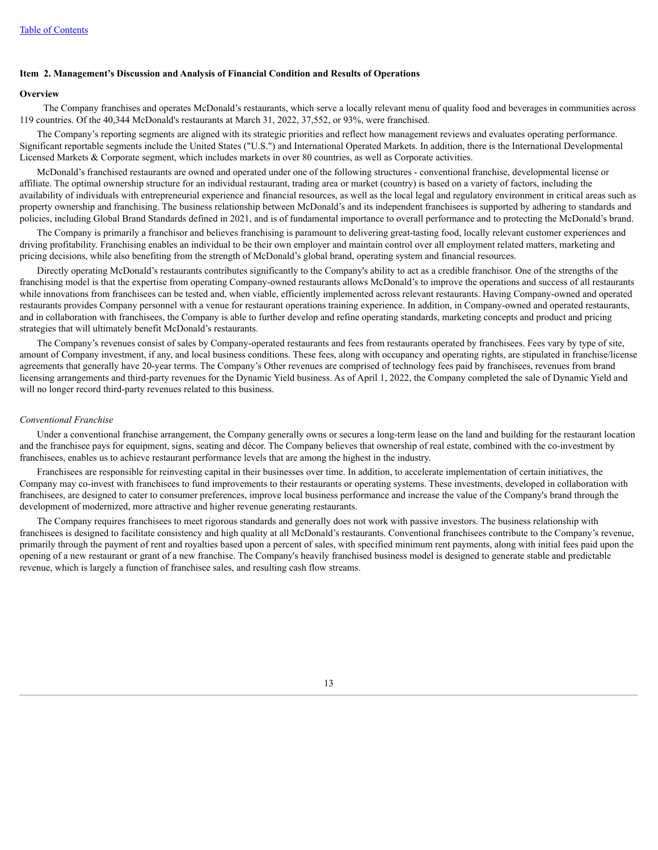#### **Item 2. Management's Discussion and Analysis of Financial Condition and Results of Operations**

#### **Overview**

The Company franchises and operates McDonald's restaurants, which serve a locally relevant menu of quality food and beverages in communities across 119 countries. Of the 40,344 McDonald's restaurants at March 31, 2022, 37,552, or 93%, were franchised.

The Company's reporting segments are aligned with its strategic priorities and reflect how management reviews and evaluates operating performance. Significant reportable segments include the United States ("U.S.") and International Operated Markets. In addition, there is the International Developmental Licensed Markets & Corporate segment, which includes markets in over 80 countries, as well as Corporate activities.

McDonald's franchised restaurants are owned and operated under one of the following structures - conventional franchise, developmental license or affiliate. The optimal ownership structure for an individual restaurant, trading area or market (country) is based on a variety of factors, including the availability of individuals with entrepreneurial experience and financial resources, as well as the local legal and regulatory environment in critical areas such as property ownership and franchising. The business relationship between McDonald's and its independent franchisees is supported by adhering to standards and policies, including Global Brand Standards defined in 2021, and is of fundamental importance to overall performance and to protecting the McDonald's brand.

The Company is primarily a franchisor and believes franchising is paramount to delivering great-tasting food, locally relevant customer experiences and driving profitability. Franchising enables an individual to be their own employer and maintain control over all employment related matters, marketing and pricing decisions, while also benefiting from the strength of McDonald's global brand, operating system and financial resources.

Directly operating McDonald's restaurants contributes significantly to the Company's ability to act as a credible franchisor. One of the strengths of the franchising model is that the expertise from operating Company-owned restaurants allows McDonald's to improve the operations and success of all restaurants while innovations from franchisees can be tested and, when viable, efficiently implemented across relevant restaurants. Having Company-owned and operated restaurants provides Company personnel with a venue for restaurant operations training experience. In addition, in Company-owned and operated restaurants, and in collaboration with franchisees, the Company is able to further develop and refine operating standards, marketing concepts and product and pricing strategies that will ultimately benefit McDonald's restaurants.

The Company's revenues consist of sales by Company-operated restaurants and fees from restaurants operated by franchisees. Fees vary by type of site, amount of Company investment, if any, and local business conditions. These fees, along with occupancy and operating rights, are stipulated in franchise/license agreements that generally have 20-year terms. The Company's Other revenues are comprised of technology fees paid by franchisees, revenues from brand licensing arrangements and third-party revenues for the Dynamic Yield business. As of April 1, 2022, the Company completed the sale of Dynamic Yield and will no longer record third-party revenues related to this business.

### *Conventional Franchise*

Under a conventional franchise arrangement, the Company generally owns or secures a long-term lease on the land and building for the restaurant location and the franchisee pays for equipment, signs, seating and décor. The Company believes that ownership of real estate, combined with the co-investment by franchisees, enables us to achieve restaurant performance levels that are among the highest in the industry.

Franchisees are responsible for reinvesting capital in their businesses over time. In addition, to accelerate implementation of certain initiatives, the Company may co-invest with franchisees to fund improvements to their restaurants or operating systems. These investments, developed in collaboration with franchisees, are designed to cater to consumer preferences, improve local business performance and increase the value of the Company's brand through the development of modernized, more attractive and higher revenue generating restaurants.

The Company requires franchisees to meet rigorous standards and generally does not work with passive investors. The business relationship with franchisees is designed to facilitate consistency and high quality at all McDonald's restaurants. Conventional franchisees contribute to the Company's revenue, primarily through the payment of rent and royalties based upon a percent of sales, with specified minimum rent payments, along with initial fees paid upon the opening of a new restaurant or grant of a new franchise. The Company's heavily franchised business model is designed to generate stable and predictable revenue, which is largely a function of franchisee sales, and resulting cash flow streams.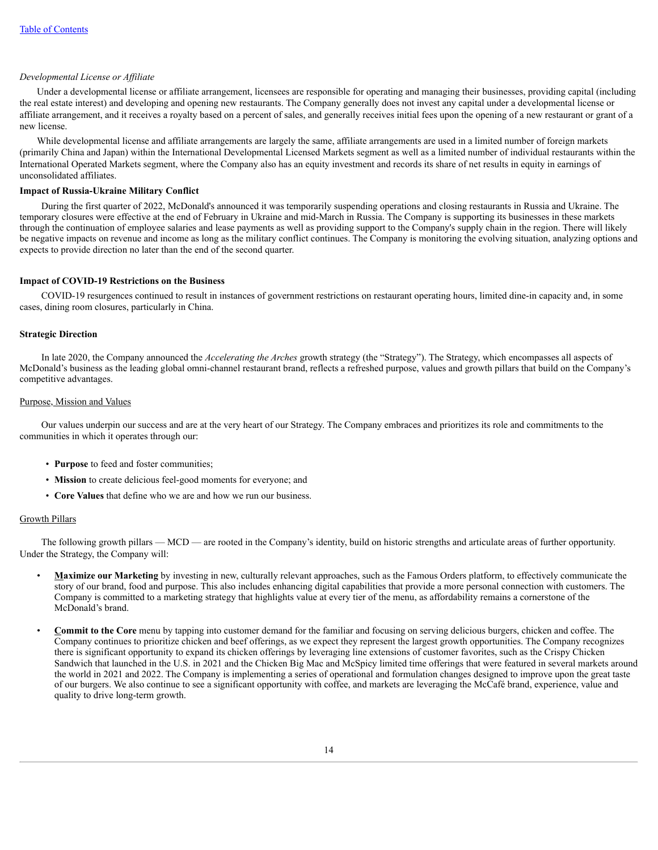#### *Developmental License or Af iliate*

Under a developmental license or affiliate arrangement, licensees are responsible for operating and managing their businesses, providing capital (including the real estate interest) and developing and opening new restaurants. The Company generally does not invest any capital under a developmental license or affiliate arrangement, and it receives a royalty based on a percent of sales, and generally receives initial fees upon the opening of a new restaurant or grant of a new license.

While developmental license and affiliate arrangements are largely the same, affiliate arrangements are used in a limited number of foreign markets (primarily China and Japan) within the International Developmental Licensed Markets segment as well as a limited number of individual restaurants within the International Operated Markets segment, where the Company also has an equity investment and records its share of net results in equity in earnings of unconsolidated affiliates.

# **Impact of Russia-Ukraine Military Conflict**

During the first quarter of 2022, McDonald's announced it was temporarily suspending operations and closing restaurants in Russia and Ukraine. The temporary closures were effective at the end of February in Ukraine and mid-March in Russia. The Company is supporting its businesses in these markets through the continuation of employee salaries and lease payments as well as providing support to the Company's supply chain in the region. There will likely be negative impacts on revenue and income as long as the military conflict continues. The Company is monitoring the evolving situation, analyzing options and expects to provide direction no later than the end of the second quarter.

#### **Impact of COVID-19 Restrictions on the Business**

COVID-19 resurgences continued to result in instances of government restrictions on restaurant operating hours, limited dine-in capacity and, in some cases, dining room closures, particularly in China.

#### **Strategic Direction**

In late 2020, the Company announced the *Accelerating the Arches* growth strategy (the "Strategy"). The Strategy, which encompasses all aspects of McDonald's business as the leading global omni-channel restaurant brand, reflects a refreshed purpose, values and growth pillars that build on the Company's competitive advantages.

#### Purpose, Mission and Values

Our values underpin our success and are at the very heart of our Strategy. The Company embraces and prioritizes its role and commitments to the communities in which it operates through our:

- **Purpose** to feed and foster communities;
- **Mission** to create delicious feel-good moments for everyone; and
- **Core Values** that define who we are and how we run our business.

# Growth Pillars

The following growth pillars — MCD — are rooted in the Company's identity, build on historic strengths and articulate areas of further opportunity. Under the Strategy, the Company will:

- **Maximize our Marketing** by investing in new, culturally relevant approaches, such as the Famous Orders platform, to effectively communicate the story of our brand, food and purpose. This also includes enhancing digital capabilities that provide a more personal connection with customers. The Company is committed to a marketing strategy that highlights value at every tier of the menu, as affordability remains a cornerstone of the McDonald's brand.
- **Commit to the Core** menu by tapping into customer demand for the familiar and focusing on serving delicious burgers, chicken and coffee. The Company continues to prioritize chicken and beef offerings, as we expect they represent the largest growth opportunities. The Company recognizes there is significant opportunity to expand its chicken offerings by leveraging line extensions of customer favorites, such as the Crispy Chicken Sandwich that launched in the U.S. in 2021 and the Chicken Big Mac and McSpicy limited time offerings that were featured in several markets around the world in 2021 and 2022. The Company is implementing a series of operational and formulation changes designed to improve upon the great taste of our burgers. We also continue to see a significant opportunity with coffee, and markets are leveraging the McCafé brand, experience, value and quality to drive long-term growth.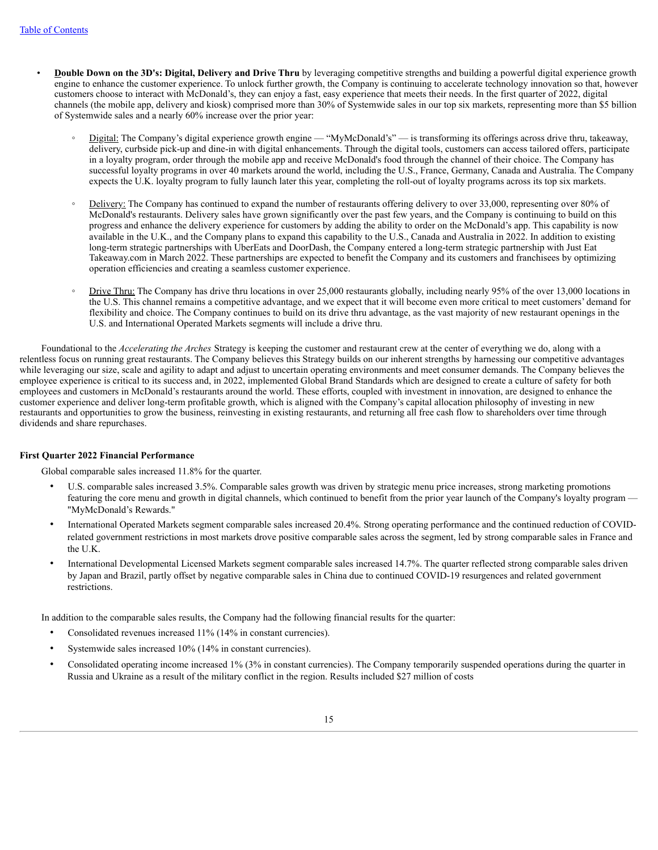- **Double Down on the 3D's: Digital, Delivery and Drive Thru** by leveraging competitive strengths and building a powerful digital experience growth engine to enhance the customer experience. To unlock further growth, the Company is continuing to accelerate technology innovation so that, however customers choose to interact with McDonald's, they can enjoy a fast, easy experience that meets their needs. In the first quarter of 2022, digital channels (the mobile app, delivery and kiosk) comprised more than 30% of Systemwide sales in our top six markets, representing more than \$5 billion of Systemwide sales and a nearly 60% increase over the prior year:
	- Digital: The Company's digital experience growth engine "MyMcDonald's" is transforming its offerings across drive thru, takeaway, delivery, curbside pick-up and dine-in with digital enhancements. Through the digital tools, customers can access tailored offers, participate in a loyalty program, order through the mobile app and receive McDonald's food through the channel of their choice. The Company has successful loyalty programs in over 40 markets around the world, including the U.S., France, Germany, Canada and Australia. The Company expects the U.K. loyalty program to fully launch later this year, completing the roll-out of loyalty programs across its top six markets.
	- Delivery: The Company has continued to expand the number of restaurants offering delivery to over 33,000, representing over 80% of McDonald's restaurants. Delivery sales have grown significantly over the past few years, and the Company is continuing to build on this progress and enhance the delivery experience for customers by adding the ability to order on the McDonald's app. This capability is now available in the U.K., and the Company plans to expand this capability to the U.S., Canada and Australia in 2022. In addition to existing long-term strategic partnerships with UberEats and DoorDash, the Company entered a long-term strategic partnership with Just Eat Takeaway.com in March 2022. These partnerships are expected to benefit the Company and its customers and franchisees by optimizing operation efficiencies and creating a seamless customer experience.
	- Drive Thru: The Company has drive thru locations in over 25,000 restaurants globally, including nearly 95% of the over 13,000 locations in the U.S. This channel remains a competitive advantage, and we expect that it will become even more critical to meet customers' demand for flexibility and choice. The Company continues to build on its drive thru advantage, as the vast majority of new restaurant openings in the U.S. and International Operated Markets segments will include a drive thru.

Foundational to the *Accelerating the Arches* Strategy is keeping the customer and restaurant crew at the center of everything we do, along with a relentless focus on running great restaurants. The Company believes this Strategy builds on our inherent strengths by harnessing our competitive advantages while leveraging our size, scale and agility to adapt and adjust to uncertain operating environments and meet consumer demands. The Company believes the employee experience is critical to its success and, in 2022, implemented Global Brand Standards which are designed to create a culture of safety for both employees and customers in McDonald's restaurants around the world. These efforts, coupled with investment in innovation, are designed to enhance the customer experience and deliver long-term profitable growth, which is aligned with the Company's capital allocation philosophy of investing in new restaurants and opportunities to grow the business, reinvesting in existing restaurants, and returning all free cash flow to shareholders over time through dividends and share repurchases.

#### **First Quarter 2022 Financial Performance**

Global comparable sales increased 11.8% for the quarter.

- U.S. comparable sales increased 3.5%. Comparable sales growth was driven by strategic menu price increases, strong marketing promotions featuring the core menu and growth in digital channels, which continued to benefit from the prior year launch of the Company's loyalty program — "MyMcDonald's Rewards."
- International Operated Markets segment comparable sales increased 20.4%. Strong operating performance and the continued reduction of COVIDrelated government restrictions in most markets drove positive comparable sales across the segment, led by strong comparable sales in France and the U.K.
- International Developmental Licensed Markets segment comparable sales increased 14.7%. The quarter reflected strong comparable sales driven by Japan and Brazil, partly offset by negative comparable sales in China due to continued COVID-19 resurgences and related government restrictions.

In addition to the comparable sales results, the Company had the following financial results for the quarter:

- Consolidated revenues increased 11% (14% in constant currencies).
- Systemwide sales increased  $10\%$  (14% in constant currencies).
- Consolidated operating income increased 1% (3% in constant currencies). The Company temporarily suspended operations during the quarter in Russia and Ukraine as a result of the military conflict in the region. Results included \$27 million of costs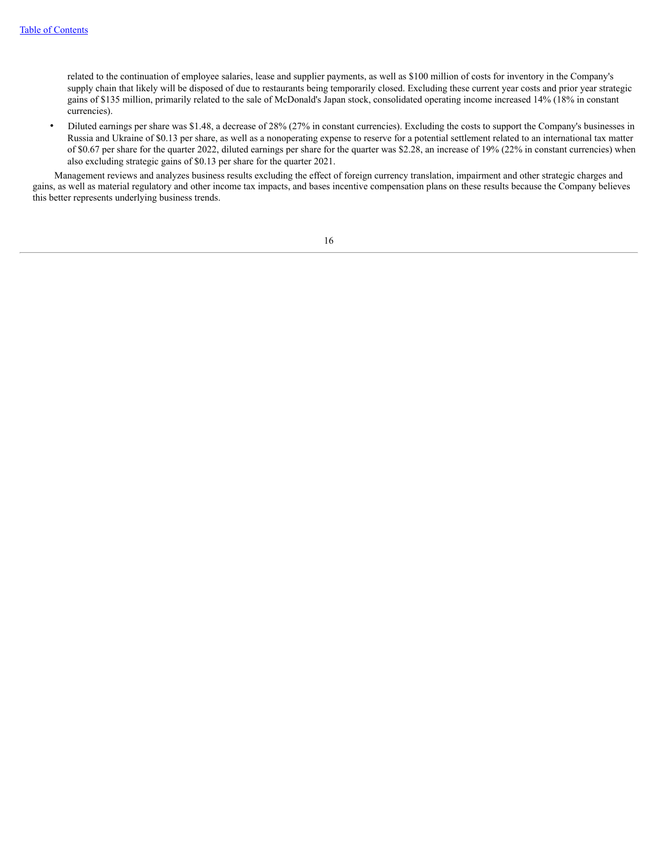related to the continuation of employee salaries, lease and supplier payments, as well as \$100 million of costs for inventory in the Company's supply chain that likely will be disposed of due to restaurants being temporarily closed. Excluding these current year costs and prior year strategic gains of \$135 million, primarily related to the sale of McDonald's Japan stock, consolidated operating income increased 14% (18% in constant currencies).

• Diluted earnings per share was \$1.48, a decrease of 28% (27% in constant currencies). Excluding the costs to support the Company's businesses in Russia and Ukraine of \$0.13 per share, as well as a nonoperating expense to reserve for a potential settlement related to an international tax matter of \$0.67 per share for the quarter 2022, diluted earnings per share for the quarter was \$2.28, an increase of 19% (22% in constant currencies) when also excluding strategic gains of \$0.13 per share for the quarter 2021.

Management reviews and analyzes business results excluding the effect of foreign currency translation, impairment and other strategic charges and gains, as well as material regulatory and other income tax impacts, and bases incentive compensation plans on these results because the Company believes this better represents underlying business trends.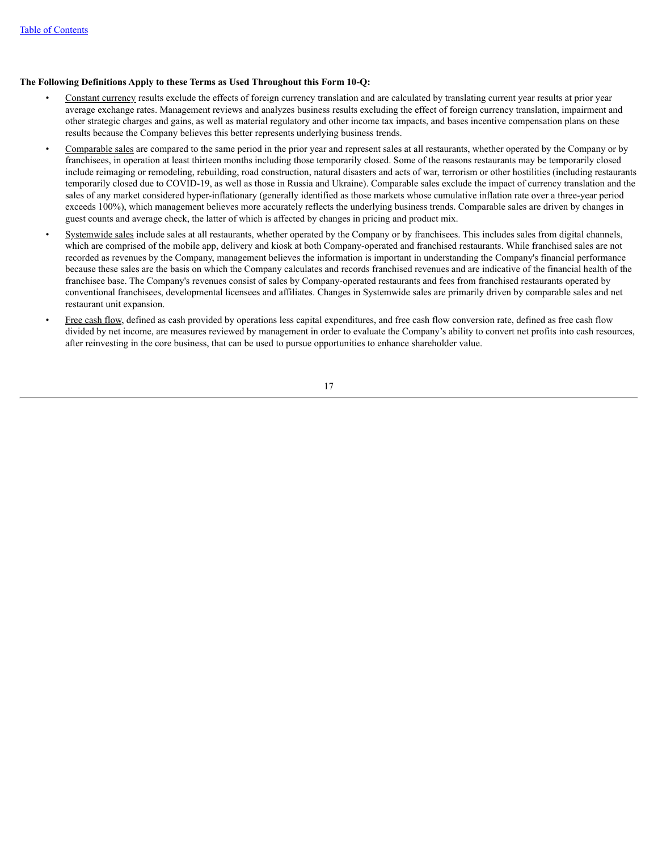# **The Following Definitions Apply to these Terms as Used Throughout this Form 10-Q:**

- Constant currency results exclude the effects of foreign currency translation and are calculated by translating current year results at prior year average exchange rates. Management reviews and analyzes business results excluding the effect of foreign currency translation, impairment and other strategic charges and gains, as well as material regulatory and other income tax impacts, and bases incentive compensation plans on these results because the Company believes this better represents underlying business trends.
- Comparable sales are compared to the same period in the prior year and represent sales at all restaurants, whether operated by the Company or by franchisees, in operation at least thirteen months including those temporarily closed. Some of the reasons restaurants may be temporarily closed include reimaging or remodeling, rebuilding, road construction, natural disasters and acts of war, terrorism or other hostilities (including restaurants temporarily closed due to COVID-19, as well as those in Russia and Ukraine). Comparable sales exclude the impact of currency translation and the sales of any market considered hyper-inflationary (generally identified as those markets whose cumulative inflation rate over a three-year period exceeds 100%), which management believes more accurately reflects the underlying business trends. Comparable sales are driven by changes in guest counts and average check, the latter of which is affected by changes in pricing and product mix.
- Systemwide sales include sales at all restaurants, whether operated by the Company or by franchisees. This includes sales from digital channels, which are comprised of the mobile app, delivery and kiosk at both Company-operated and franchised restaurants. While franchised sales are not recorded as revenues by the Company, management believes the information is important in understanding the Company's financial performance because these sales are the basis on which the Company calculates and records franchised revenues and are indicative of the financial health of the franchisee base. The Company's revenues consist of sales by Company-operated restaurants and fees from franchised restaurants operated by conventional franchisees, developmental licensees and affiliates. Changes in Systemwide sales are primarily driven by comparable sales and net restaurant unit expansion.
- Free cash flow, defined as cash provided by operations less capital expenditures, and free cash flow conversion rate, defined as free cash flow divided by net income, are measures reviewed by management in order to evaluate the Company's ability to convert net profits into cash resources, after reinvesting in the core business, that can be used to pursue opportunities to enhance shareholder value.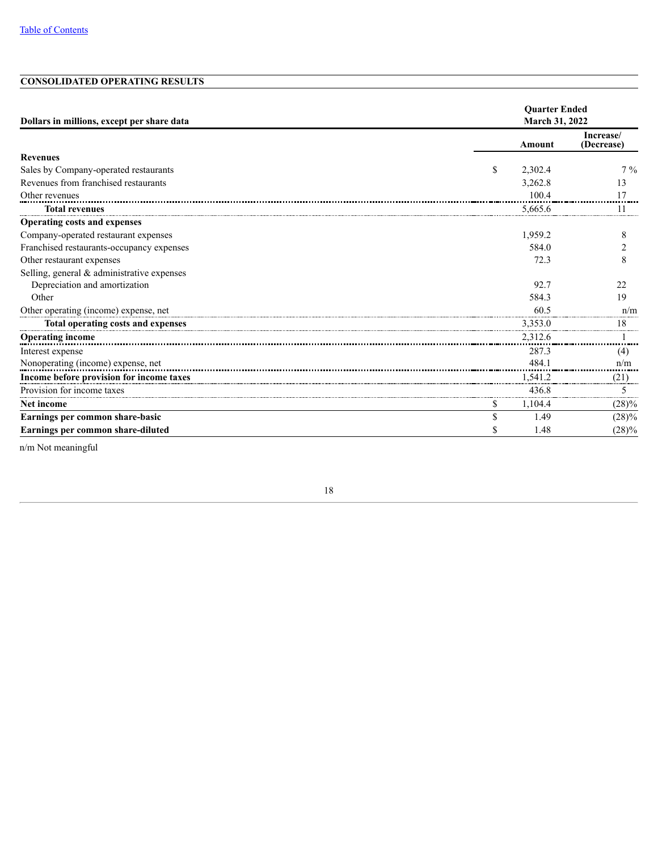# **CONSOLIDATED OPERATING RESULTS**

| Dollars in millions, except per share data |    | <b>Quarter Ended</b><br>March 31, 2022 |                         |  |  |  |  |
|--------------------------------------------|----|----------------------------------------|-------------------------|--|--|--|--|
|                                            |    | <b>Amount</b>                          | Increase/<br>(Decrease) |  |  |  |  |
| <b>Revenues</b>                            |    |                                        |                         |  |  |  |  |
| Sales by Company-operated restaurants      | \$ | 2,302.4                                | $7\%$                   |  |  |  |  |
| Revenues from franchised restaurants       |    | 3,262.8                                | 13                      |  |  |  |  |
| Other revenues                             |    | 100.4                                  | 17                      |  |  |  |  |
| <b>Total revenues</b>                      |    | 5,665.6                                | 11                      |  |  |  |  |
| <b>Operating costs and expenses</b>        |    |                                        |                         |  |  |  |  |
| Company-operated restaurant expenses       |    | 1,959.2                                | 8                       |  |  |  |  |
| Franchised restaurants-occupancy expenses  |    | 584.0                                  |                         |  |  |  |  |
| Other restaurant expenses                  |    | 72.3                                   |                         |  |  |  |  |
| Selling, general & administrative expenses |    |                                        |                         |  |  |  |  |
| Depreciation and amortization              |    | 92.7                                   | 22                      |  |  |  |  |
| Other                                      |    | 584.3                                  | 19                      |  |  |  |  |
| Other operating (income) expense, net      |    | 60.5                                   | n/m                     |  |  |  |  |
| Total operating costs and expenses         |    | 3,353.0                                | 18                      |  |  |  |  |
| Operating income                           |    | 2,312.6                                |                         |  |  |  |  |
| Interest expense                           |    | 287.3                                  | (4)                     |  |  |  |  |
| Nonoperating (income) expense, net         |    | 484.1                                  | n/m                     |  |  |  |  |
| Income before provision for income taxes   |    | 1,541.2                                | (21)                    |  |  |  |  |
| Provision for income taxes                 |    | 436.8                                  | 5                       |  |  |  |  |
| <b>Net income</b>                          | ъ  | 1,104.4                                | (28)%                   |  |  |  |  |
| Earnings per common share-basic            | \$ | 1.49                                   | (28)%                   |  |  |  |  |
| Earnings per common share-diluted          |    | 1.48                                   | (28)%                   |  |  |  |  |

n/m Not meaningful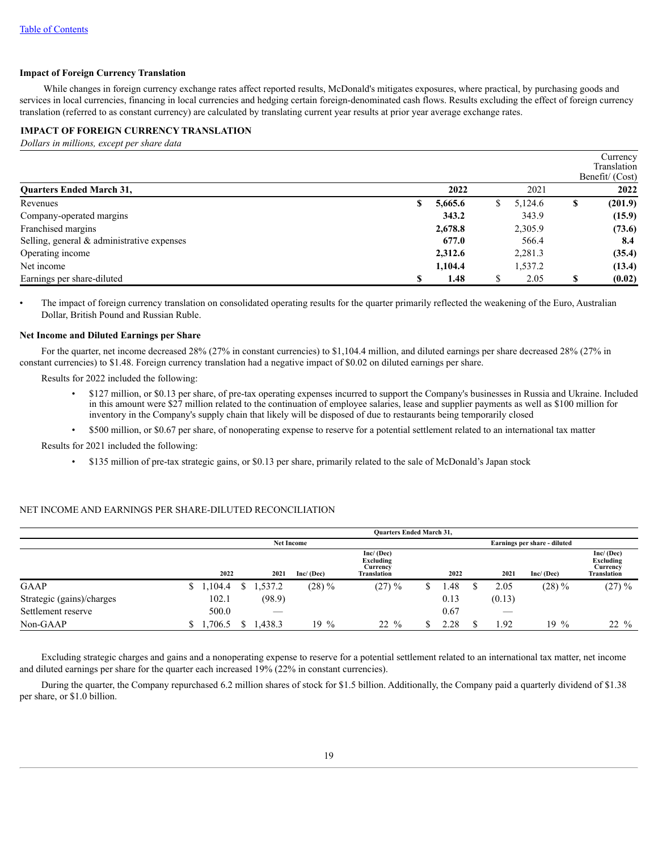#### **Impact of Foreign Currency Translation**

While changes in foreign currency exchange rates affect reported results, McDonald's mitigates exposures, where practical, by purchasing goods and services in local currencies, financing in local currencies and hedging certain foreign-denominated cash flows. Results excluding the effect of foreign currency translation (referred to as constant currency) are calculated by translating current year results at prior year average exchange rates.

# **IMPACT OF FOREIGN CURRENCY TRANSLATION**

*Dollars in millions, except per share data*

|                                            |          |         |    |         |   | Currency<br>Translation<br>Benefit/ (Cost) |
|--------------------------------------------|----------|---------|----|---------|---|--------------------------------------------|
| <b>Quarters Ended March 31,</b>            |          | 2022    |    | 2021    |   | 2022                                       |
| Revenues                                   | S        | 5,665.6 | S. | 5,124.6 | ъ | (201.9)                                    |
| Company-operated margins                   |          | 343.2   |    | 343.9   |   | (15.9)                                     |
| Franchised margins                         |          | 2,678.8 |    | 2,305.9 |   | (73.6)                                     |
| Selling, general & administrative expenses |          | 677.0   |    | 566.4   |   | 8.4                                        |
| Operating income                           |          | 2,312.6 |    | 2,281.3 |   | (35.4)                                     |
| Net income                                 |          | 1,104.4 |    | 1,537.2 |   | (13.4)                                     |
| Earnings per share-diluted                 | <b>S</b> | 1.48    |    | 2.05    |   | (0.02)                                     |

• The impact of foreign currency translation on consolidated operating results for the quarter primarily reflected the weakening of the Euro, Australian Dollar, British Pound and Russian Ruble.

### **Net Income and Diluted Earnings per Share**

For the quarter, net income decreased 28% (27% in constant currencies) to \$1,104.4 million, and diluted earnings per share decreased 28% (27% in constant currencies) to \$1.48. Foreign currency translation had a negative impact of \$0.02 on diluted earnings per share.

Results for 2022 included the following:

- \$127 million, or \$0.13 per share, of pre-tax operating expenses incurred to support the Company's businesses in Russia and Ukraine. Included in this amount were \$27 million related to the continuation of employee salaries, lease and supplier payments as well as \$100 million for inventory in the Company's supply chain that likely will be disposed of due to restaurants being temporarily closed
- \$500 million, or \$0.67 per share, of nonoperating expense to reserve for a potential settlement related to an international tax matter

Results for 2021 included the following:

• \$135 million of pre-tax strategic gains, or \$0.13 per share, primarily related to the sale of McDonald's Japan stock

#### NET INCOME AND EARNINGS PER SHARE-DILUTED RECONCILIATION

|                           | <b>Quarters Ended March 31,</b> |                   |         |            |                                                                  |  |      |  |        |                              |                                                           |  |
|---------------------------|---------------------------------|-------------------|---------|------------|------------------------------------------------------------------|--|------|--|--------|------------------------------|-----------------------------------------------------------|--|
|                           |                                 | <b>Net Income</b> |         |            |                                                                  |  |      |  |        | Earnings per share - diluted |                                                           |  |
|                           | 2022                            |                   | 2021    | Inc/ (Dec) | Inc/ (Dec)<br><b>Excluding</b><br>Currency<br><b>Translation</b> |  | 2022 |  | 2021   | Inc/ (Dec)                   | Inc/ (Dec)<br><b>Excluding</b><br>Currency<br>Translation |  |
| GAAP                      | \$1,104.4                       | S.                | 1,537.2 | $(28)\%$   | $(27) \%$                                                        |  | 1.48 |  | 2.05   | $(28) \%$                    | $(27) \%$                                                 |  |
| Strategic (gains)/charges | 102.1                           |                   | (98.9)  |            |                                                                  |  | 0.13 |  | (0.13) |                              |                                                           |  |
| Settlement reserve        | 500.0                           |                   |         |            |                                                                  |  | 0.67 |  |        |                              |                                                           |  |
| Non-GAAP                  | .706.5                          | ъ                 | .438.3  | $19\%$     | $22\%$                                                           |  | 2.28 |  | .92    | $19\%$                       | $22\%$                                                    |  |

Excluding strategic charges and gains and a nonoperating expense to reserve for a potential settlement related to an international tax matter, net income and diluted earnings per share for the quarter each increased 19% (22% in constant currencies).

During the quarter, the Company repurchased 6.2 million shares of stock for \$1.5 billion. Additionally, the Company paid a quarterly dividend of \$1.38 per share, or \$1.0 billion.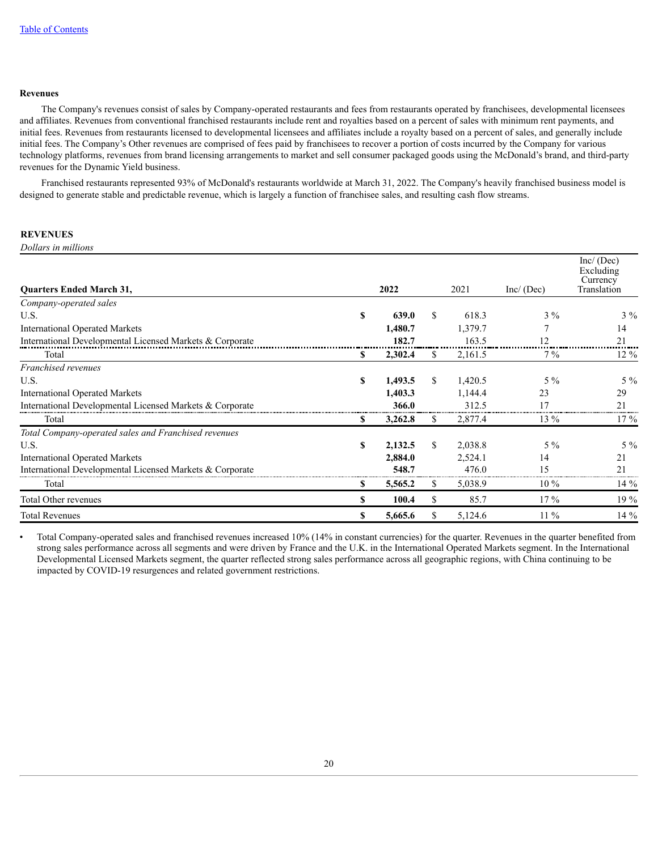#### **Revenues**

The Company's revenues consist of sales by Company-operated restaurants and fees from restaurants operated by franchisees, developmental licensees and affiliates. Revenues from conventional franchised restaurants include rent and royalties based on a percent of sales with minimum rent payments, and initial fees. Revenues from restaurants licensed to developmental licensees and affiliates include a royalty based on a percent of sales, and generally include initial fees. The Company's Other revenues are comprised of fees paid by franchisees to recover a portion of costs incurred by the Company for various technology platforms, revenues from brand licensing arrangements to market and sell consumer packaged goods using the McDonald's brand, and third-party revenues for the Dynamic Yield business.

Franchised restaurants represented 93% of McDonald's restaurants worldwide at March 31, 2022. The Company's heavily franchised business model is designed to generate stable and predictable revenue, which is largely a function of franchisee sales, and resulting cash flow streams.

#### **REVENUES**

*Dollars in millions*

| <b>Quarters Ended March 31,</b>                          |    | 2022    |    | 2021    | $Inc/$ (Dec) | Inc/ (Dec)<br>Excluding<br>Currency<br>Translation |
|----------------------------------------------------------|----|---------|----|---------|--------------|----------------------------------------------------|
| Company-operated sales                                   |    |         |    |         |              |                                                    |
| U.S.                                                     | S  | 639.0   | \$ | 618.3   | $3\%$        | $3\%$                                              |
| <b>International Operated Markets</b>                    |    | 1,480.7 |    | 1,379.7 |              | 14                                                 |
| International Developmental Licensed Markets & Corporate |    | 182.7   |    | 163.5   | 12           | 21                                                 |
| Total                                                    | S. | 2,302.4 | S  | 2,161.5 | $7\%$        | $12\%$                                             |
| <b>Franchised revenues</b>                               |    |         |    |         |              |                                                    |
| U.S.                                                     | S  | 1,493.5 | \$ | 1,420.5 | $5\%$        | $5\%$                                              |
| <b>International Operated Markets</b>                    |    | 1,403.3 |    | 1,144.4 | 23           | 29                                                 |
| International Developmental Licensed Markets & Corporate |    | 366.0   |    | 312.5   | 17           | 21                                                 |
| Total                                                    | S. | 3,262.8 | S. | 2,877.4 | $13\%$       | $17\%$                                             |
| Total Company-operated sales and Franchised revenues     |    |         |    |         |              |                                                    |
| U.S.                                                     | S  | 2,132.5 | S. | 2,038.8 | $5\%$        | $5\%$                                              |
| <b>International Operated Markets</b>                    |    | 2,884.0 |    | 2,524.1 | 14           | 21                                                 |
| International Developmental Licensed Markets & Corporate |    | 548.7   |    | 476.0   | 15           | 21                                                 |
| Total                                                    | S  | 5,565.2 | \$ | 5,038.9 | $10\%$       | $14\%$                                             |
| Total Other revenues                                     | S  | 100.4   | \$ | 85.7    | $17\%$       | $19\%$                                             |
| <b>Total Revenues</b>                                    | \$ | 5,665.6 | \$ | 5,124.6 | $11\%$       | 14 %                                               |

• Total Company-operated sales and franchised revenues increased 10% (14% in constant currencies) for the quarter. Revenues in the quarter benefited from strong sales performance across all segments and were driven by France and the U.K. in the International Operated Markets segment. In the International Developmental Licensed Markets segment, the quarter reflected strong sales performance across all geographic regions, with China continuing to be impacted by COVID-19 resurgences and related government restrictions.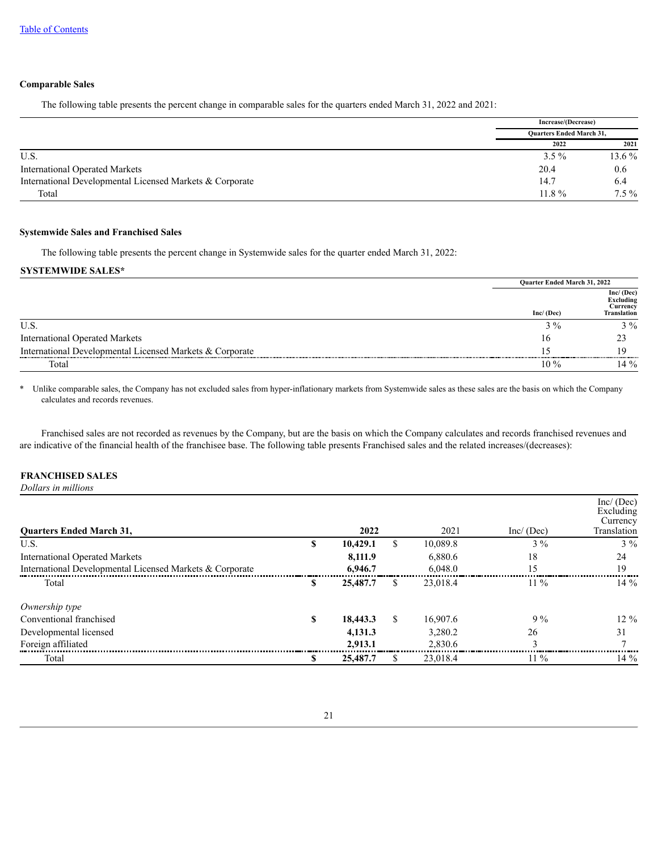# **Comparable Sales**

The following table presents the percent change in comparable sales for the quarters ended March 31, 2022 and 2021:

|                                                          |                                 | Increase/(Decrease) |  |  |  |  |
|----------------------------------------------------------|---------------------------------|---------------------|--|--|--|--|
|                                                          | <b>Quarters Ended March 31,</b> |                     |  |  |  |  |
|                                                          | 2022                            | 2021                |  |  |  |  |
| U.S.                                                     | $3.5\%$                         | $13.6\%$            |  |  |  |  |
| <b>International Operated Markets</b>                    | 20.4                            | 0.6                 |  |  |  |  |
| International Developmental Licensed Markets & Corporate | 14.7                            | 6.4                 |  |  |  |  |
| Total                                                    | $11.8\%$                        | $7.5\%$             |  |  |  |  |

### **Systemwide Sales and Franchised Sales**

The following table presents the percent change in Systemwide sales for the quarter ended March 31, 2022:

# **SYSTEMWIDE SALES\***

|                                                          | <b>Quarter Ended March 31, 2022</b> |                                                                  |
|----------------------------------------------------------|-------------------------------------|------------------------------------------------------------------|
|                                                          | Inc/ (Dec)                          | Inc/ (Dec)<br><b>Excluding</b><br><b>Currency</b><br>Translation |
| U.S.                                                     | $3\%$                               | $3\%$                                                            |
| <b>International Operated Markets</b>                    | 16                                  | 23                                                               |
| International Developmental Licensed Markets & Corporate |                                     | 19                                                               |
| Total                                                    | $10\%$                              | $14\%$                                                           |

\* Unlike comparable sales, the Company has not excluded sales from hyper-inflationary markets from Systemwide sales as these sales are the basis on which the Company calculates and records revenues.

Franchised sales are not recorded as revenues by the Company, but are the basis on which the Company calculates and records franchised revenues and are indicative of the financial health of the franchisee base. The following table presents Franchised sales and the related increases/(decreases):

# **FRANCHISED SALES**

*Dollars in millions*

|                                                          |   |          |     |          |            | Inc/ (Dec)<br>Excluding |
|----------------------------------------------------------|---|----------|-----|----------|------------|-------------------------|
| <b>Quarters Ended March 31,</b>                          |   | 2022     |     | 2021     | Inc/ (Dec) | Currency<br>Translation |
| U.S.                                                     |   | 10.429.1 | S   | 10,089.8 | $3\%$      | $3\%$                   |
| <b>International Operated Markets</b>                    |   | 8,111.9  |     | 6,880.6  | 18         | 24                      |
| International Developmental Licensed Markets & Corporate |   | 6,946.7  |     | 6,048.0  | 15         | 19                      |
| Total                                                    | ъ | 25,487.7 | S   | 23,018.4 | $11\%$     | $14\%$                  |
| Ownership type                                           |   |          |     |          |            |                         |
| Conventional franchised                                  | S | 18,443.3 | \$. | 16,907.6 | 9%         | $12\%$                  |
| Developmental licensed                                   |   | 4.131.3  |     | 3,280.2  | 26         | 31                      |
| Foreign affiliated                                       |   | 2.913.1  |     | 2.830.6  | ◠          |                         |
| Total                                                    |   | 25,487.7 |     | 23,018.4 | $11\%$     | $14\%$                  |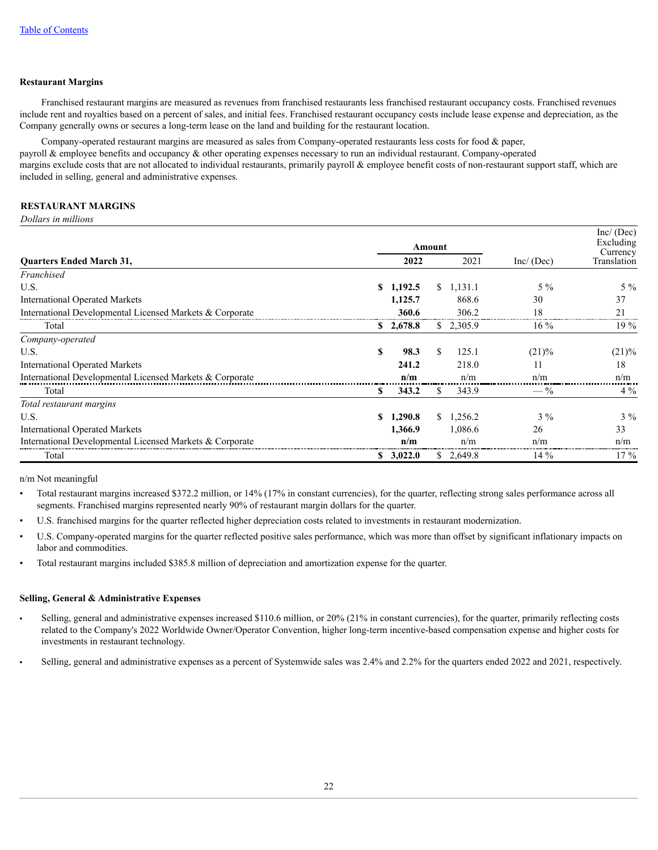# **Restaurant Margins**

Franchised restaurant margins are measured as revenues from franchised restaurants less franchised restaurant occupancy costs. Franchised revenues include rent and royalties based on a percent of sales, and initial fees. Franchised restaurant occupancy costs include lease expense and depreciation, as the Company generally owns or secures a long-term lease on the land and building for the restaurant location.

Company-operated restaurant margins are measured as sales from Company-operated restaurants less costs for food & paper, payroll & employee benefits and occupancy & other operating expenses necessary to run an individual restaurant. Company-operated

margins exclude costs that are not allocated to individual restaurants, primarily payroll & employee benefit costs of non-restaurant support staff, which are included in selling, general and administrative expenses.

# **RESTAURANT MARGINS**

*Dollars in millions*

|                                                          |    |           | Amount |           |            | Inc/ (Dec)<br>Excluding<br>Currency |
|----------------------------------------------------------|----|-----------|--------|-----------|------------|-------------------------------------|
| <b>Quarters Ended March 31,</b>                          |    | 2022      |        | 2021      | Inc/ (Dec) | Translation                         |
| Franchised                                               |    |           |        |           |            |                                     |
| U.S.                                                     |    | \$1,192.5 |        | \$1,131.1 | $5\%$      | $5\%$                               |
| <b>International Operated Markets</b>                    |    | 1,125.7   |        | 868.6     | 30         | 37                                  |
| International Developmental Licensed Markets & Corporate |    | 360.6     |        | 306.2     | 18         | 21                                  |
| Total                                                    |    | \$2,678.8 |        | \$2,305.9 | $16\%$     | $19\%$                              |
| Company-operated                                         |    |           |        |           |            |                                     |
| U.S.                                                     | S  | 98.3      | S      | 125.1     | (21)%      | (21)%                               |
| <b>International Operated Markets</b>                    |    | 241.2     |        | 218.0     | 11         | 18                                  |
| International Developmental Licensed Markets & Corporate |    | n/m       |        | n/m       | n/m        | n/m                                 |
| Total                                                    | S  | 343.2     | S      | 343.9     | $-$ %      | $4\%$                               |
| Total restaurant margins                                 |    |           |        |           |            |                                     |
| U.S.                                                     | S  | 1.290.8   | \$     | 1,256.2   | $3\%$      | $3\%$                               |
| <b>International Operated Markets</b>                    |    | 1.366.9   |        | 1,086.6   | 26         | 33                                  |
| International Developmental Licensed Markets & Corporate |    | n/m       |        | n/m       | n/m        | n/m                                 |
| Total                                                    | S. | 3,022.0   |        | \$2,649.8 | $14\%$     | $17\%$                              |

n/m Not meaningful

- Total restaurant margins increased \$372.2 million, or 14% (17% in constant currencies), for the quarter, reflecting strong sales performance across all segments. Franchised margins represented nearly 90% of restaurant margin dollars for the quarter.
- U.S. franchised margins for the quarter reflected higher depreciation costs related to investments in restaurant modernization.
- U.S. Company-operated margins for the quarter reflected positive sales performance, which was more than offset by significant inflationary impacts on labor and commodities.
- Total restaurant margins included \$385.8 million of depreciation and amortization expense for the quarter.

# **Selling, General & Administrative Expenses**

- Selling, general and administrative expenses increased \$110.6 million, or 20% (21% in constant currencies), for the quarter, primarily reflecting costs related to the Company's 2022 Worldwide Owner/Operator Convention, higher long-term incentive-based compensation expense and higher costs for investments in restaurant technology.
- **•** Selling, general and administrative expenses as a percent of Systemwide sales was 2.4% and 2.2% for the quarters ended 2022 and 2021, respectively.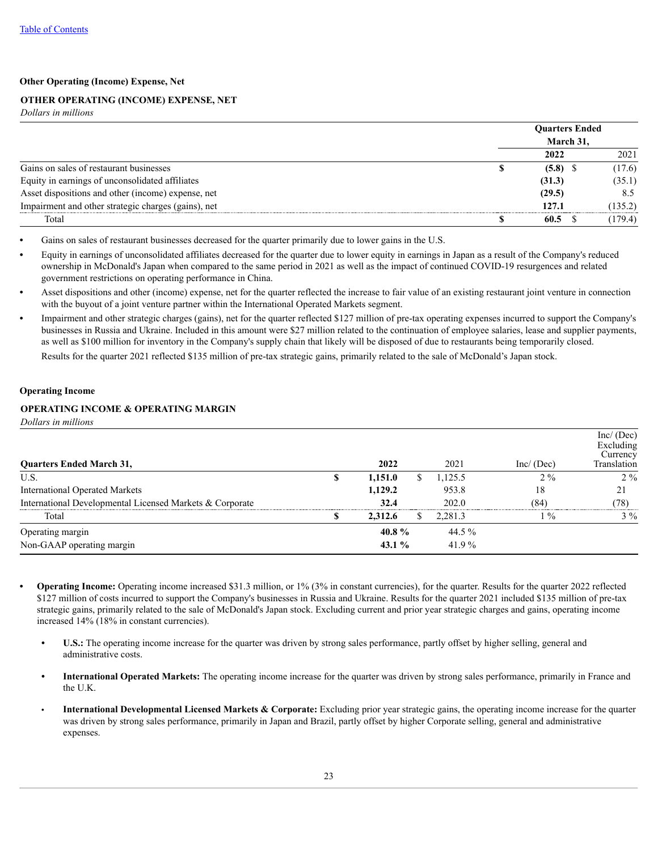# **Other Operating (Income) Expense, Net**

# **OTHER OPERATING (INCOME) EXPENSE, NET**

*Dollars in millions*

|                                                     |  | <b>Quarters Ended</b><br>March 31, |         |  |  |
|-----------------------------------------------------|--|------------------------------------|---------|--|--|
|                                                     |  |                                    |         |  |  |
|                                                     |  | 2022                               | 2021    |  |  |
| Gains on sales of restaurant businesses             |  | $(5.8)$ \$                         | (17.6)  |  |  |
| Equity in earnings of unconsolidated affiliates     |  | (31.3)                             | (35.1)  |  |  |
| Asset dispositions and other (income) expense, net  |  | (29.5)                             | 8.5     |  |  |
| Impairment and other strategic charges (gains), net |  | 127.1                              | (135.2) |  |  |
| Total                                               |  | 60.5                               | (179.4) |  |  |

- Gains on sales of restaurant businesses decreased for the quarter primarily due to lower gains in the U.S.
- *•* Equity in earnings of unconsolidated affiliates decreased for the quarter due to lower equity in earnings in Japan as a result of the Company's reduced ownership in McDonald's Japan when compared to the same period in 2021 as well as the impact of continued COVID-19 resurgences and related government restrictions on operating performance in China.
- *•* Asset dispositions and other (income) expense, net for the quarter reflected the increase to fair value of an existing restaurant joint venture in connection with the buyout of a joint venture partner within the International Operated Markets segment.
- *•* Impairment and other strategic charges (gains), net for the quarter reflected \$127 million of pre-tax operating expenses incurred to support the Company's businesses in Russia and Ukraine. Included in this amount were \$27 million related to the continuation of employee salaries, lease and supplier payments, as well as \$100 million for inventory in the Company's supply chain that likely will be disposed of due to restaurants being temporarily closed.

Results for the quarter 2021 reflected \$135 million of pre-tax strategic gains, primarily related to the sale of McDonald's Japan stock.

# **Operating Income**

# **OPERATING INCOME & OPERATING MARGIN**

*Dollars in millions*

| <b>Ouarters Ended March 31,</b>                          |   | 2022     |   | 2021    | Inc/ (Dec)    | Inc/ (Dec)<br>Excluding<br>Currency<br>Translation |
|----------------------------------------------------------|---|----------|---|---------|---------------|----------------------------------------------------|
| U.S.                                                     | ъ | 1,151.0  | ъ | .125.5  | $2\%$         | $2\%$                                              |
| <b>International Operated Markets</b>                    |   | 1,129.2  |   | 953.8   | 18            | 21                                                 |
| International Developmental Licensed Markets & Corporate |   | 32.4     |   | 202.0   | (84)          | (78)                                               |
| Total                                                    |   | 2,312.6  |   | 2.281.3 | $\frac{0}{0}$ | $3\%$                                              |
| Operating margin                                         |   | 40.8 $%$ |   | 44.5 %  |               |                                                    |
| Non-GAAP operating margin                                |   | 43.1 $%$ |   | 41.9%   |               |                                                    |

- *•* **Operating Income:** Operating income increased \$31.3 million, or 1% (3% in constant currencies), for the quarter. Results for the quarter 2022 reflected \$127 million of costs incurred to support the Company's businesses in Russia and Ukraine. Results for the quarter 2021 included \$135 million of pre-tax strategic gains, primarily related to the sale of McDonald's Japan stock. Excluding current and prior year strategic charges and gains, operating income increased 14% (18% in constant currencies).
	- *•* **U.S.:** The operating income increase for the quarter was driven by strong sales performance, partly offset by higher selling, general and administrative costs.
	- *•* **International Operated Markets:** The operating income increase for the quarter was driven by strong sales performance, primarily in France and the U.K.
	- *•* **International Developmental Licensed Markets & Corporate:** Excluding prior year strategic gains, the operating income increase for the quarter was driven by strong sales performance, primarily in Japan and Brazil, partly offset by higher Corporate selling, general and administrative expenses.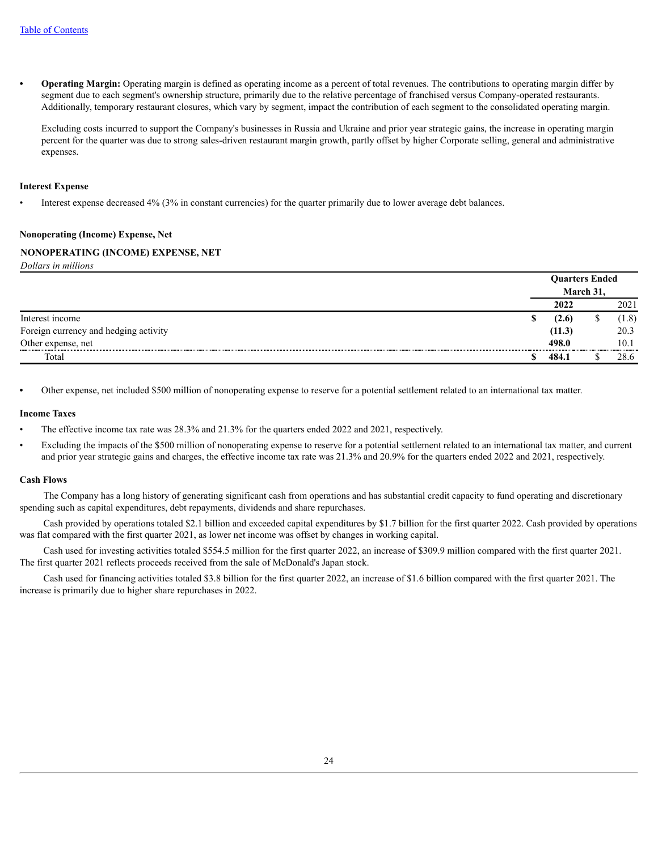*•* **Operating Margin:** Operating margin is defined as operating income as a percent of total revenues. The contributions to operating margin differ by segment due to each segment's ownership structure, primarily due to the relative percentage of franchised versus Company-operated restaurants. Additionally, temporary restaurant closures, which vary by segment, impact the contribution of each segment to the consolidated operating margin.

Excluding costs incurred to support the Company's businesses in Russia and Ukraine and prior year strategic gains, the increase in operating margin percent for the quarter was due to strong sales-driven restaurant margin growth, partly offset by higher Corporate selling, general and administrative expenses.

#### **Interest Expense**

Interest expense decreased 4% (3% in constant currencies) for the quarter primarily due to lower average debt balances.

#### **Nonoperating (Income) Expense, Net**

### **NONOPERATING (INCOME) EXPENSE, NET**

*Dollars in millions*

|                                       |  | <b>Quarters Ended</b><br>March 31, |  |       |  |
|---------------------------------------|--|------------------------------------|--|-------|--|
|                                       |  |                                    |  |       |  |
|                                       |  | 2022                               |  | 2021  |  |
| Interest income                       |  | (2.6)                              |  | (1.8) |  |
| Foreign currency and hedging activity |  | (11.3)                             |  | 20.3  |  |
| Other expense, net                    |  | 498.0                              |  | 10.1  |  |
| Total                                 |  | 484.                               |  | 28.6  |  |

**•** Other expense, net included \$500 million of nonoperating expense to reserve for a potential settlement related to an international tax matter.

# **Income Taxes**

- The effective income tax rate was 28.3% and 21.3% for the quarters ended 2022 and 2021, respectively.
- Excluding the impacts of the \$500 million of nonoperating expense to reserve for a potential settlement related to an international tax matter, and current and prior year strategic gains and charges, the effective income tax rate was 21.3% and 20.9% for the quarters ended 2022 and 2021, respectively.

#### **Cash Flows**

The Company has a long history of generating significant cash from operations and has substantial credit capacity to fund operating and discretionary spending such as capital expenditures, debt repayments, dividends and share repurchases.

Cash provided by operations totaled \$2.1 billion and exceeded capital expenditures by \$1.7 billion for the first quarter 2022. Cash provided by operations was flat compared with the first quarter 2021, as lower net income was offset by changes in working capital.

Cash used for investing activities totaled \$554.5 million for the first quarter 2022, an increase of \$309.9 million compared with the first quarter 2021. The first quarter 2021 reflects proceeds received from the sale of McDonald's Japan stock.

Cash used for financing activities totaled \$3.8 billion for the first quarter 2022, an increase of \$1.6 billion compared with the first quarter 2021. The increase is primarily due to higher share repurchases in 2022.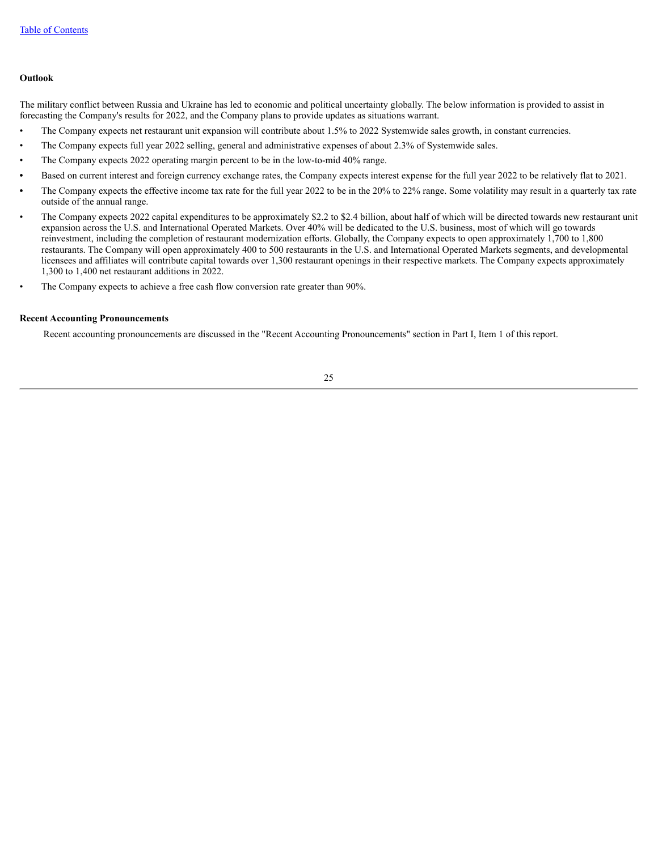# **Outlook**

The military conflict between Russia and Ukraine has led to economic and political uncertainty globally. The below information is provided to assist in forecasting the Company's results for 2022, and the Company plans to provide updates as situations warrant.

- The Company expects net restaurant unit expansion will contribute about 1.5% to 2022 Systemwide sales growth, in constant currencies.
- The Company expects full year 2022 selling, general and administrative expenses of about 2.3% of Systemwide sales.
- The Company expects 2022 operating margin percent to be in the low-to-mid 40% range.
- **•** Based on current interest and foreign currency exchange rates, the Company expects interest expense for the full year 2022 to be relatively flat to 2021.
- **•** The Company expects the effective income tax rate for the full year 2022 to be in the 20% to 22% range. Some volatility may result in a quarterly tax rate outside of the annual range.
- The Company expects 2022 capital expenditures to be approximately \$2.2 to \$2.4 billion, about half of which will be directed towards new restaurant unit expansion across the U.S. and International Operated Markets. Over 40% will be dedicated to the U.S. business, most of which will go towards reinvestment, including the completion of restaurant modernization efforts. Globally, the Company expects to open approximately 1,700 to 1,800 restaurants. The Company will open approximately 400 to 500 restaurants in the U.S. and International Operated Markets segments, and developmental licensees and affiliates will contribute capital towards over 1,300 restaurant openings in their respective markets. The Company expects approximately 1,300 to 1,400 net restaurant additions in 2022.
- The Company expects to achieve a free cash flow conversion rate greater than 90%.

#### **Recent Accounting Pronouncements**

Recent accounting pronouncements are discussed in the "Recent Accounting Pronouncements" section in Part I, Item 1 of this report.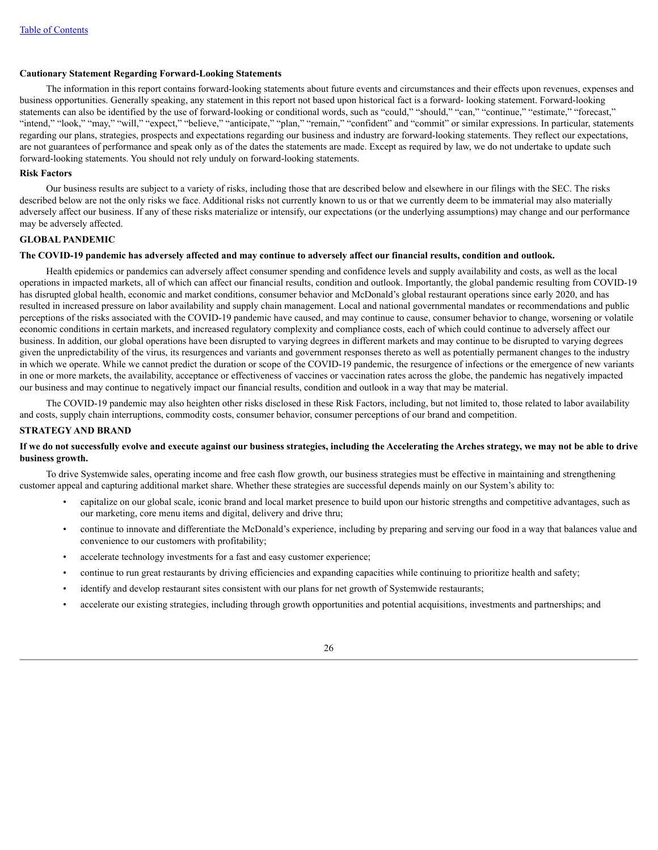#### **Cautionary Statement Regarding Forward-Looking Statements**

The information in this report contains forward-looking statements about future events and circumstances and their effects upon revenues, expenses and business opportunities. Generally speaking, any statement in this report not based upon historical fact is a forward- looking statement. Forward-looking statements can also be identified by the use of forward-looking or conditional words, such as "could," "should," "can," "continue," "estimate," "forecast," "intend," "look," "may," "will," "expect," "believe," "anticipate," "plan," "remain," "confident" and "commit" or similar expressions. In particular, statements regarding our plans, strategies, prospects and expectations regarding our business and industry are forward-looking statements. They reflect our expectations, are not guarantees of performance and speak only as of the dates the statements are made. Except as required by law, we do not undertake to update such forward-looking statements. You should not rely unduly on forward-looking statements.

#### **Risk Factors**

Our business results are subject to a variety of risks, including those that are described below and elsewhere in our filings with the SEC. The risks described below are not the only risks we face. Additional risks not currently known to us or that we currently deem to be immaterial may also materially adversely affect our business. If any of these risks materialize or intensify, our expectations (or the underlying assumptions) may change and our performance may be adversely affected.

#### **GLOBAL PANDEMIC**

#### The COVID-19 pandemic has adversely affected and may continue to adversely affect our financial results, condition and outlook.

Health epidemics or pandemics can adversely affect consumer spending and confidence levels and supply availability and costs, as well as the local operations in impacted markets, all of which can affect our financial results, condition and outlook. Importantly, the global pandemic resulting from COVID-19 has disrupted global health, economic and market conditions, consumer behavior and McDonald's global restaurant operations since early 2020, and has resulted in increased pressure on labor availability and supply chain management. Local and national governmental mandates or recommendations and public perceptions of the risks associated with the COVID-19 pandemic have caused, and may continue to cause, consumer behavior to change, worsening or volatile economic conditions in certain markets, and increased regulatory complexity and compliance costs, each of which could continue to adversely affect our business. In addition, our global operations have been disrupted to varying degrees in different markets and may continue to be disrupted to varying degrees given the unpredictability of the virus, its resurgences and variants and government responses thereto as well as potentially permanent changes to the industry in which we operate. While we cannot predict the duration or scope of the COVID-19 pandemic, the resurgence of infections or the emergence of new variants in one or more markets, the availability, acceptance or effectiveness of vaccines or vaccination rates across the globe, the pandemic has negatively impacted our business and may continue to negatively impact our financial results, condition and outlook in a way that may be material.

The COVID-19 pandemic may also heighten other risks disclosed in these Risk Factors, including, but not limited to, those related to labor availability and costs, supply chain interruptions, commodity costs, consumer behavior, consumer perceptions of our brand and competition.

# **STRATEGY AND BRAND**

# If we do not successfully evolve and execute against our business strategies, including the Accelerating the Arches strategy, we may not be able to drive **business growth.**

To drive Systemwide sales, operating income and free cash flow growth, our business strategies must be effective in maintaining and strengthening customer appeal and capturing additional market share. Whether these strategies are successful depends mainly on our System's ability to:

- capitalize on our global scale, iconic brand and local market presence to build upon our historic strengths and competitive advantages, such as our marketing, core menu items and digital, delivery and drive thru;
- continue to innovate and differentiate the McDonald's experience, including by preparing and serving our food in a way that balances value and convenience to our customers with profitability;
- accelerate technology investments for a fast and easy customer experience;
- continue to run great restaurants by driving efficiencies and expanding capacities while continuing to prioritize health and safety;
- identify and develop restaurant sites consistent with our plans for net growth of Systemwide restaurants;
- accelerate our existing strategies, including through growth opportunities and potential acquisitions, investments and partnerships; and

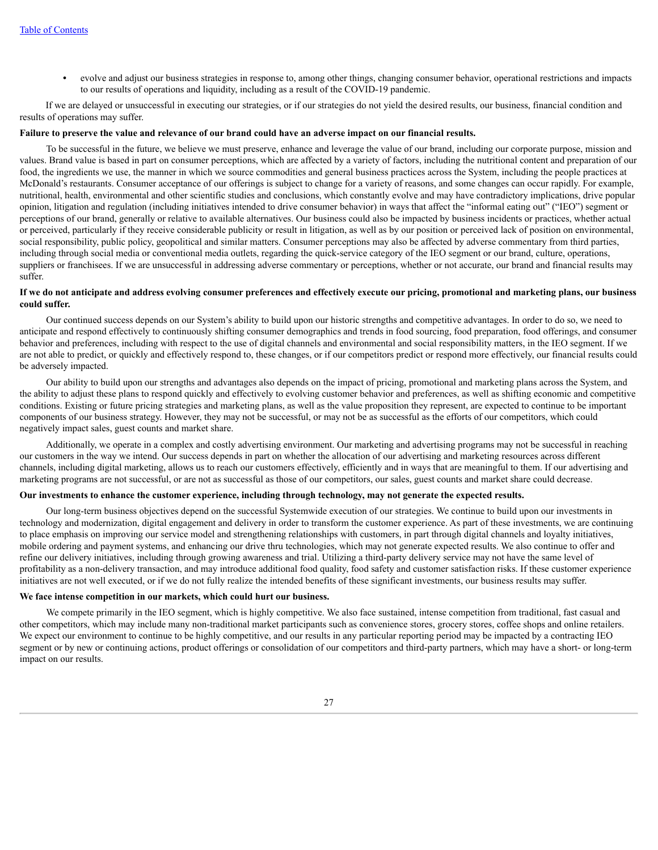**•** evolve and adjust our business strategies in response to, among other things, changing consumer behavior, operational restrictions and impacts to our results of operations and liquidity, including as a result of the COVID-19 pandemic.

If we are delayed or unsuccessful in executing our strategies, or if our strategies do not yield the desired results, our business, financial condition and results of operations may suffer.

#### Failure to preserve the value and relevance of our brand could have an adverse impact on our financial results.

To be successful in the future, we believe we must preserve, enhance and leverage the value of our brand, including our corporate purpose, mission and values. Brand value is based in part on consumer perceptions, which are affected by a variety of factors, including the nutritional content and preparation of our food, the ingredients we use, the manner in which we source commodities and general business practices across the System, including the people practices at McDonald's restaurants. Consumer acceptance of our offerings is subject to change for a variety of reasons, and some changes can occur rapidly. For example, nutritional, health, environmental and other scientific studies and conclusions, which constantly evolve and may have contradictory implications, drive popular opinion, litigation and regulation (including initiatives intended to drive consumer behavior) in ways that affect the "informal eating out" ("IEO") segment or perceptions of our brand, generally or relative to available alternatives. Our business could also be impacted by business incidents or practices, whether actual or perceived, particularly if they receive considerable publicity or result in litigation, as well as by our position or perceived lack of position on environmental, social responsibility, public policy, geopolitical and similar matters. Consumer perceptions may also be affected by adverse commentary from third parties, including through social media or conventional media outlets, regarding the quick-service category of the IEO segment or our brand, culture, operations, suppliers or franchisees. If we are unsuccessful in addressing adverse commentary or perceptions, whether or not accurate, our brand and financial results may suffer.

### If we do not anticipate and address evolving consumer preferences and effectively execute our pricing, promotional and marketing plans, our business **could suffer.**

Our continued success depends on our System's ability to build upon our historic strengths and competitive advantages. In order to do so, we need to anticipate and respond effectively to continuously shifting consumer demographics and trends in food sourcing, food preparation, food offerings, and consumer behavior and preferences, including with respect to the use of digital channels and environmental and social responsibility matters, in the IEO segment. If we are not able to predict, or quickly and effectively respond to, these changes, or if our competitors predict or respond more effectively, our financial results could be adversely impacted.

Our ability to build upon our strengths and advantages also depends on the impact of pricing, promotional and marketing plans across the System, and the ability to adjust these plans to respond quickly and effectively to evolving customer behavior and preferences, as well as shifting economic and competitive conditions. Existing or future pricing strategies and marketing plans, as well as the value proposition they represent, are expected to continue to be important components of our business strategy. However, they may not be successful, or may not be as successful as the efforts of our competitors, which could negatively impact sales, guest counts and market share.

Additionally, we operate in a complex and costly advertising environment. Our marketing and advertising programs may not be successful in reaching our customers in the way we intend. Our success depends in part on whether the allocation of our advertising and marketing resources across different channels, including digital marketing, allows us to reach our customers effectively, efficiently and in ways that are meaningful to them. If our advertising and marketing programs are not successful, or are not as successful as those of our competitors, our sales, guest counts and market share could decrease.

# Our investments to enhance the customer experience, including through technology, may not generate the expected results.

Our long-term business objectives depend on the successful Systemwide execution of our strategies. We continue to build upon our investments in technology and modernization, digital engagement and delivery in order to transform the customer experience. As part of these investments, we are continuing to place emphasis on improving our service model and strengthening relationships with customers, in part through digital channels and loyalty initiatives, mobile ordering and payment systems, and enhancing our drive thru technologies, which may not generate expected results. We also continue to offer and refine our delivery initiatives, including through growing awareness and trial. Utilizing a third-party delivery service may not have the same level of profitability as a non-delivery transaction, and may introduce additional food quality, food safety and customer satisfaction risks. If these customer experience initiatives are not well executed, or if we do not fully realize the intended benefits of these significant investments, our business results may suffer.

#### **We face intense competition in our markets, which could hurt our business.**

We compete primarily in the IEO segment, which is highly competitive. We also face sustained, intense competition from traditional, fast casual and other competitors, which may include many non-traditional market participants such as convenience stores, grocery stores, coffee shops and online retailers. We expect our environment to continue to be highly competitive, and our results in any particular reporting period may be impacted by a contracting IEO segment or by new or continuing actions, product offerings or consolidation of our competitors and third-party partners, which may have a short- or long-term impact on our results.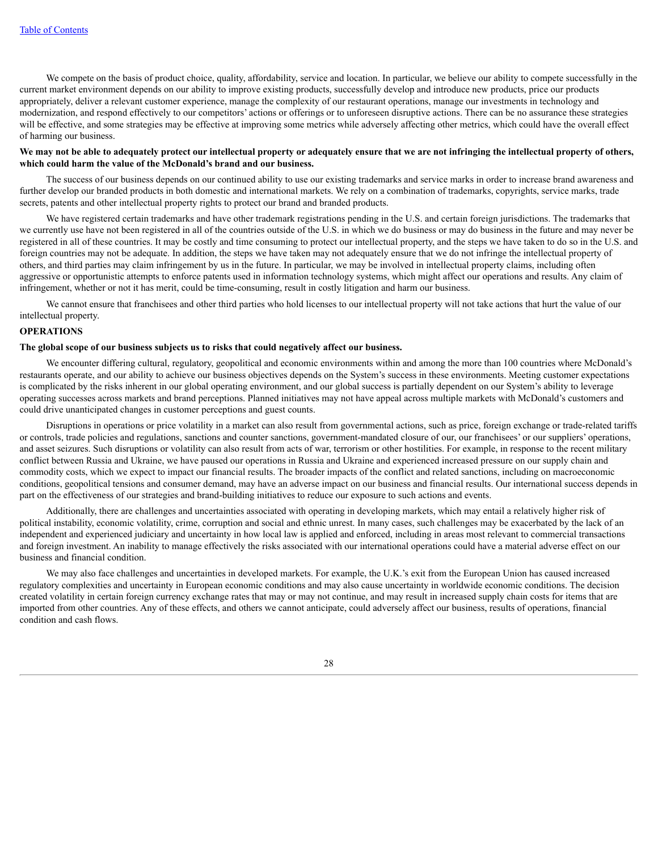We compete on the basis of product choice, quality, affordability, service and location. In particular, we believe our ability to compete successfully in the current market environment depends on our ability to improve existing products, successfully develop and introduce new products, price our products appropriately, deliver a relevant customer experience, manage the complexity of our restaurant operations, manage our investments in technology and modernization, and respond effectively to our competitors' actions or offerings or to unforeseen disruptive actions. There can be no assurance these strategies will be effective, and some strategies may be effective at improving some metrics while adversely affecting other metrics, which could have the overall effect of harming our business.

### We may not be able to adequately protect our intellectual property or adequately ensure that we are not infringing the intellectual property of others, **which could harm the value of the McDonald's brand and our business.**

The success of our business depends on our continued ability to use our existing trademarks and service marks in order to increase brand awareness and further develop our branded products in both domestic and international markets. We rely on a combination of trademarks, copyrights, service marks, trade secrets, patents and other intellectual property rights to protect our brand and branded products.

We have registered certain trademarks and have other trademark registrations pending in the U.S. and certain foreign jurisdictions. The trademarks that we currently use have not been registered in all of the countries outside of the U.S. in which we do business or may do business in the future and may never be registered in all of these countries. It may be costly and time consuming to protect our intellectual property, and the steps we have taken to do so in the U.S. and foreign countries may not be adequate. In addition, the steps we have taken may not adequately ensure that we do not infringe the intellectual property of others, and third parties may claim infringement by us in the future. In particular, we may be involved in intellectual property claims, including often aggressive or opportunistic attempts to enforce patents used in information technology systems, which might affect our operations and results. Any claim of infringement, whether or not it has merit, could be time-consuming, result in costly litigation and harm our business.

We cannot ensure that franchisees and other third parties who hold licenses to our intellectual property will not take actions that hurt the value of our intellectual property.

#### **OPERATIONS**

#### **The global scope of our business subjects us to risks that could negatively affect our business.**

We encounter differing cultural, regulatory, geopolitical and economic environments within and among the more than 100 countries where McDonald's restaurants operate, and our ability to achieve our business objectives depends on the System's success in these environments. Meeting customer expectations is complicated by the risks inherent in our global operating environment, and our global success is partially dependent on our System's ability to leverage operating successes across markets and brand perceptions. Planned initiatives may not have appeal across multiple markets with McDonald's customers and could drive unanticipated changes in customer perceptions and guest counts.

Disruptions in operations or price volatility in a market can also result from governmental actions, such as price, foreign exchange or trade-related tariffs or controls, trade policies and regulations, sanctions and counter sanctions, government-mandated closure of our, our franchisees' or our suppliers' operations, and asset seizures. Such disruptions or volatility can also result from acts of war, terrorism or other hostilities. For example, in response to the recent military conflict between Russia and Ukraine, we have paused our operations in Russia and Ukraine and experienced increased pressure on our supply chain and commodity costs, which we expect to impact our financial results. The broader impacts of the conflict and related sanctions, including on macroeconomic conditions, geopolitical tensions and consumer demand, may have an adverse impact on our business and financial results. Our international success depends in part on the effectiveness of our strategies and brand-building initiatives to reduce our exposure to such actions and events.

Additionally, there are challenges and uncertainties associated with operating in developing markets, which may entail a relatively higher risk of political instability, economic volatility, crime, corruption and social and ethnic unrest. In many cases, such challenges may be exacerbated by the lack of an independent and experienced judiciary and uncertainty in how local law is applied and enforced, including in areas most relevant to commercial transactions and foreign investment. An inability to manage effectively the risks associated with our international operations could have a material adverse effect on our business and financial condition.

We may also face challenges and uncertainties in developed markets. For example, the U.K.'s exit from the European Union has caused increased regulatory complexities and uncertainty in European economic conditions and may also cause uncertainty in worldwide economic conditions. The decision created volatility in certain foreign currency exchange rates that may or may not continue, and may result in increased supply chain costs for items that are imported from other countries. Any of these effects, and others we cannot anticipate, could adversely affect our business, results of operations, financial condition and cash flows.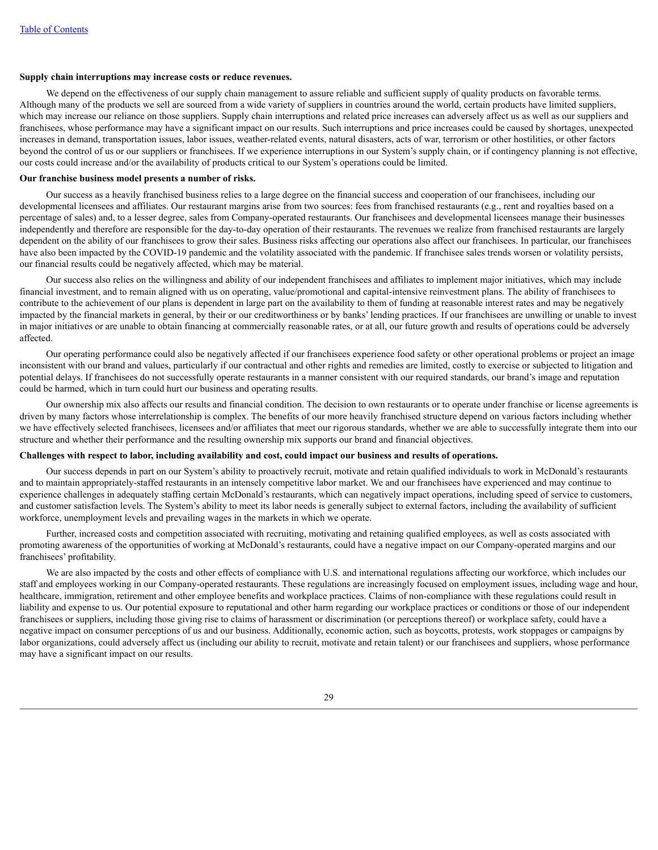# **Supply chain interruptions may increase costs or reduce revenues.**

We depend on the effectiveness of our supply chain management to assure reliable and sufficient supply of quality products on favorable terms. Although many of the products we sell are sourced from a wide variety of suppliers in countries around the world, certain products have limited suppliers, which may increase our reliance on those suppliers. Supply chain interruptions and related price increases can adversely affect us as well as our suppliers and franchisees, whose performance may have a significant impact on our results. Such interruptions and price increases could be caused by shortages, unexpected increases in demand, transportation issues, labor issues, weather-related events, natural disasters, acts of war, terrorism or other hostilities, or other factors beyond the control of us or our suppliers or franchisees. If we experience interruptions in our System's supply chain, or if contingency planning is not effective, our costs could increase and/or the availability of products critical to our System's operations could be limited.

# **Our franchise business model presents a number of risks.**

Our success as a heavily franchised business relies to a large degree on the financial success and cooperation of our franchisees, including our developmental licensees and affiliates. Our restaurant margins arise from two sources: fees from franchised restaurants (e.g., rent and royalties based on a percentage of sales) and, to a lesser degree, sales from Company-operated restaurants. Our franchisees and developmental licensees manage their businesses independently and therefore are responsible for the day-to-day operation of their restaurants. The revenues we realize from franchised restaurants are largely dependent on the ability of our franchisees to grow their sales. Business risks affecting our operations also affect our franchisees. In particular, our franchisees have also been impacted by the COVID-19 pandemic and the volatility associated with the pandemic. If franchisee sales trends worsen or volatility persists, our financial results could be negatively affected, which may be material.

Our success also relies on the willingness and ability of our independent franchisees and affiliates to implement major initiatives, which may include financial investment, and to remain aligned with us on operating, value/promotional and capital-intensive reinvestment plans. The ability of franchisees to contribute to the achievement of our plans is dependent in large part on the availability to them of funding at reasonable interest rates and may be negatively impacted by the financial markets in general, by their or our creditworthiness or by banks' lending practices. If our franchisees are unwilling or unable to invest in major initiatives or are unable to obtain financing at commercially reasonable rates, or at all, our future growth and results of operations could be adversely affected.

Our operating performance could also be negatively affected if our franchisees experience food safety or other operational problems or project an image inconsistent with our brand and values, particularly if our contractual and other rights and remedies are limited, costly to exercise or subjected to litigation and potential delays. If franchisees do not successfully operate restaurants in a manner consistent with our required standards, our brand's image and reputation could be harmed, which in turn could hurt our business and operating results.

Our ownership mix also affects our results and financial condition. The decision to own restaurants or to operate under franchise or license agreements is driven by many factors whose interrelationship is complex. The benefits of our more heavily franchised structure depend on various factors including whether we have effectively selected franchisees, licensees and/or affiliates that meet our rigorous standards, whether we are able to successfully integrate them into our structure and whether their performance and the resulting ownership mix supports our brand and financial objectives.

# Challenges with respect to labor, including availability and cost, could impact our business and results of operations.

Our success depends in part on our System's ability to proactively recruit, motivate and retain qualified individuals to work in McDonald's restaurants and to maintain appropriately-staffed restaurants in an intensely competitive labor market. We and our franchisees have experienced and may continue to experience challenges in adequately staffing certain McDonald's restaurants, which can negatively impact operations, including speed of service to customers, and customer satisfaction levels. The System's ability to meet its labor needs is generally subject to external factors, including the availability of sufficient workforce, unemployment levels and prevailing wages in the markets in which we operate.

Further, increased costs and competition associated with recruiting, motivating and retaining qualified employees, as well as costs associated with promoting awareness of the opportunities of working at McDonald's restaurants, could have a negative impact on our Company-operated margins and our franchisees' profitability.

We are also impacted by the costs and other effects of compliance with U.S. and international regulations affecting our workforce, which includes our staff and employees working in our Company-operated restaurants. These regulations are increasingly focused on employment issues, including wage and hour, healthcare, immigration, retirement and other employee benefits and workplace practices. Claims of non-compliance with these regulations could result in liability and expense to us. Our potential exposure to reputational and other harm regarding our workplace practices or conditions or those of our independent franchisees or suppliers, including those giving rise to claims of harassment or discrimination (or perceptions thereof) or workplace safety, could have a negative impact on consumer perceptions of us and our business. Additionally, economic action, such as boycotts, protests, work stoppages or campaigns by labor organizations, could adversely affect us (including our ability to recruit, motivate and retain talent) or our franchisees and suppliers, whose performance may have a significant impact on our results.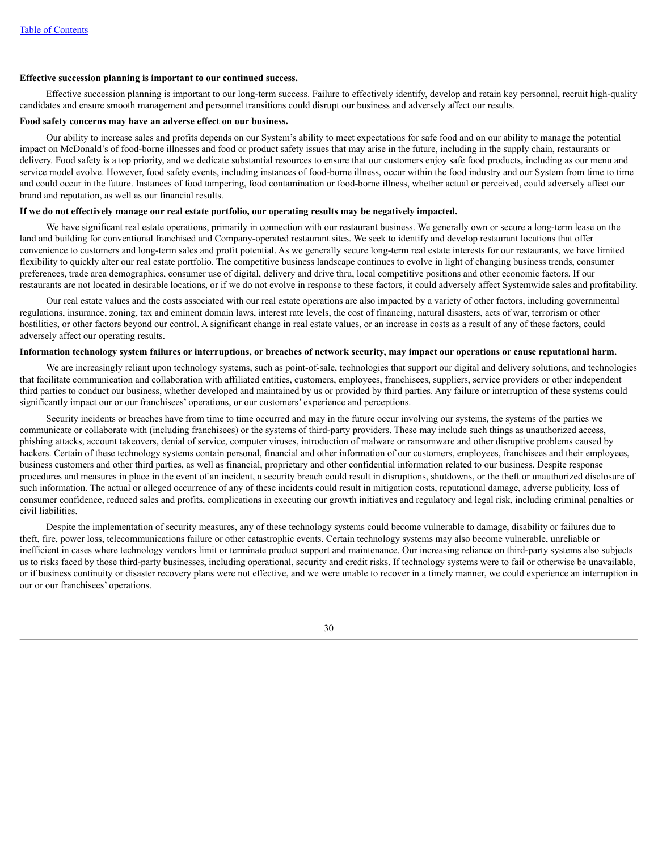#### **Effective succession planning is important to our continued success.**

Effective succession planning is important to our long-term success. Failure to effectively identify, develop and retain key personnel, recruit high-quality candidates and ensure smooth management and personnel transitions could disrupt our business and adversely affect our results.

#### **Food safety concerns may have an adverse effect on our business.**

Our ability to increase sales and profits depends on our System's ability to meet expectations for safe food and on our ability to manage the potential impact on McDonald's of food-borne illnesses and food or product safety issues that may arise in the future, including in the supply chain, restaurants or delivery. Food safety is a top priority, and we dedicate substantial resources to ensure that our customers enjoy safe food products, including as our menu and service model evolve. However, food safety events, including instances of food-borne illness, occur within the food industry and our System from time to time and could occur in the future. Instances of food tampering, food contamination or food-borne illness, whether actual or perceived, could adversely affect our brand and reputation, as well as our financial results.

# If we do not effectively manage our real estate portfolio, our operating results may be negatively impacted.

We have significant real estate operations, primarily in connection with our restaurant business. We generally own or secure a long-term lease on the land and building for conventional franchised and Company-operated restaurant sites. We seek to identify and develop restaurant locations that offer convenience to customers and long-term sales and profit potential. As we generally secure long-term real estate interests for our restaurants, we have limited flexibility to quickly alter our real estate portfolio. The competitive business landscape continues to evolve in light of changing business trends, consumer preferences, trade area demographics, consumer use of digital, delivery and drive thru, local competitive positions and other economic factors. If our restaurants are not located in desirable locations, or if we do not evolve in response to these factors, it could adversely affect Systemwide sales and profitability.

Our real estate values and the costs associated with our real estate operations are also impacted by a variety of other factors, including governmental regulations, insurance, zoning, tax and eminent domain laws, interest rate levels, the cost of financing, natural disasters, acts of war, terrorism or other hostilities, or other factors beyond our control. A significant change in real estate values, or an increase in costs as a result of any of these factors, could adversely affect our operating results.

#### Information technology system failures or interruptions, or breaches of network security, may impact our operations or cause reputational harm.

We are increasingly reliant upon technology systems, such as point-of-sale, technologies that support our digital and delivery solutions, and technologies that facilitate communication and collaboration with affiliated entities, customers, employees, franchisees, suppliers, service providers or other independent third parties to conduct our business, whether developed and maintained by us or provided by third parties. Any failure or interruption of these systems could significantly impact our or our franchisees' operations, or our customers' experience and perceptions.

Security incidents or breaches have from time to time occurred and may in the future occur involving our systems, the systems of the parties we communicate or collaborate with (including franchisees) or the systems of third-party providers. These may include such things as unauthorized access, phishing attacks, account takeovers, denial of service, computer viruses, introduction of malware or ransomware and other disruptive problems caused by hackers. Certain of these technology systems contain personal, financial and other information of our customers, employees, franchisees and their employees, business customers and other third parties, as well as financial, proprietary and other confidential information related to our business. Despite response procedures and measures in place in the event of an incident, a security breach could result in disruptions, shutdowns, or the theft or unauthorized disclosure of such information. The actual or alleged occurrence of any of these incidents could result in mitigation costs, reputational damage, adverse publicity, loss of consumer confidence, reduced sales and profits, complications in executing our growth initiatives and regulatory and legal risk, including criminal penalties or civil liabilities.

Despite the implementation of security measures, any of these technology systems could become vulnerable to damage, disability or failures due to theft, fire, power loss, telecommunications failure or other catastrophic events. Certain technology systems may also become vulnerable, unreliable or inefficient in cases where technology vendors limit or terminate product support and maintenance. Our increasing reliance on third-party systems also subjects us to risks faced by those third-party businesses, including operational, security and credit risks. If technology systems were to fail or otherwise be unavailable, or if business continuity or disaster recovery plans were not effective, and we were unable to recover in a timely manner, we could experience an interruption in our or our franchisees' operations.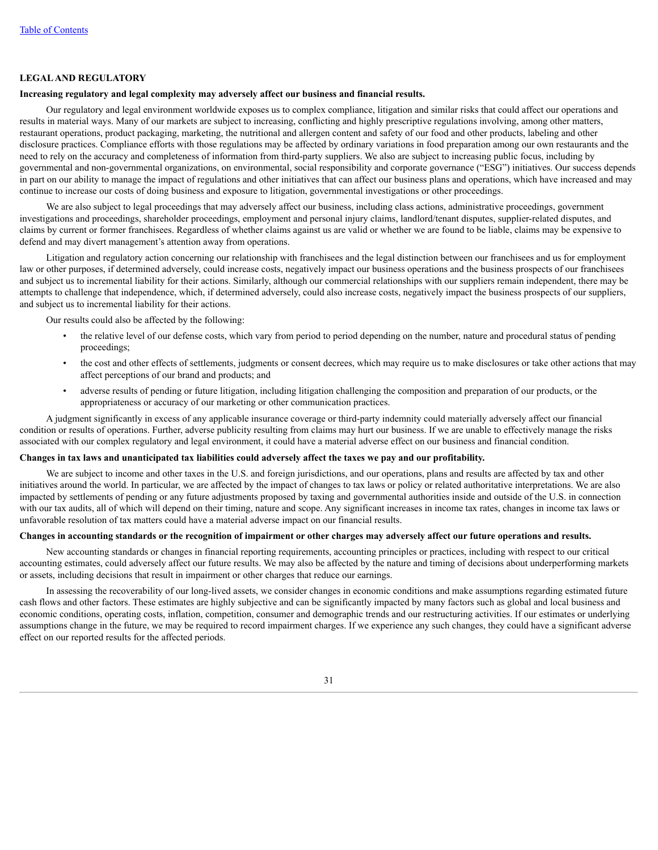# **LEGALAND REGULATORY**

# **Increasing regulatory and legal complexity may adversely affect our business and financial results.**

Our regulatory and legal environment worldwide exposes us to complex compliance, litigation and similar risks that could affect our operations and results in material ways. Many of our markets are subject to increasing, conflicting and highly prescriptive regulations involving, among other matters, restaurant operations, product packaging, marketing, the nutritional and allergen content and safety of our food and other products, labeling and other disclosure practices. Compliance efforts with those regulations may be affected by ordinary variations in food preparation among our own restaurants and the need to rely on the accuracy and completeness of information from third-party suppliers. We also are subject to increasing public focus, including by governmental and non-governmental organizations, on environmental, social responsibility and corporate governance ("ESG") initiatives. Our success depends in part on our ability to manage the impact of regulations and other initiatives that can affect our business plans and operations, which have increased and may continue to increase our costs of doing business and exposure to litigation, governmental investigations or other proceedings.

We are also subject to legal proceedings that may adversely affect our business, including class actions, administrative proceedings, government investigations and proceedings, shareholder proceedings, employment and personal injury claims, landlord/tenant disputes, supplier-related disputes, and claims by current or former franchisees. Regardless of whether claims against us are valid or whether we are found to be liable, claims may be expensive to defend and may divert management's attention away from operations.

Litigation and regulatory action concerning our relationship with franchisees and the legal distinction between our franchisees and us for employment law or other purposes, if determined adversely, could increase costs, negatively impact our business operations and the business prospects of our franchisees and subject us to incremental liability for their actions. Similarly, although our commercial relationships with our suppliers remain independent, there may be attempts to challenge that independence, which, if determined adversely, could also increase costs, negatively impact the business prospects of our suppliers, and subject us to incremental liability for their actions.

Our results could also be affected by the following:

- the relative level of our defense costs, which vary from period to period depending on the number, nature and procedural status of pending proceedings;
- the cost and other effects of settlements, judgments or consent decrees, which may require us to make disclosures or take other actions that may affect perceptions of our brand and products; and
- adverse results of pending or future litigation, including litigation challenging the composition and preparation of our products, or the appropriateness or accuracy of our marketing or other communication practices.

A judgment significantly in excess of any applicable insurance coverage or third-party indemnity could materially adversely affect our financial condition or results of operations. Further, adverse publicity resulting from claims may hurt our business. If we are unable to effectively manage the risks associated with our complex regulatory and legal environment, it could have a material adverse effect on our business and financial condition.

# Changes in tax laws and unanticipated tax liabilities could adversely affect the taxes we pay and our profitability.

We are subject to income and other taxes in the U.S. and foreign jurisdictions, and our operations, plans and results are affected by tax and other initiatives around the world. In particular, we are affected by the impact of changes to tax laws or policy or related authoritative interpretations. We are also impacted by settlements of pending or any future adjustments proposed by taxing and governmental authorities inside and outside of the U.S. in connection with our tax audits, all of which will depend on their timing, nature and scope. Any significant increases in income tax rates, changes in income tax laws or unfavorable resolution of tax matters could have a material adverse impact on our financial results.

# Changes in accounting standards or the recognition of impairment or other charges may adversely affect our future operations and results.

New accounting standards or changes in financial reporting requirements, accounting principles or practices, including with respect to our critical accounting estimates, could adversely affect our future results. We may also be affected by the nature and timing of decisions about underperforming markets or assets, including decisions that result in impairment or other charges that reduce our earnings.

In assessing the recoverability of our long-lived assets, we consider changes in economic conditions and make assumptions regarding estimated future cash flows and other factors. These estimates are highly subjective and can be significantly impacted by many factors such as global and local business and economic conditions, operating costs, inflation, competition, consumer and demographic trends and our restructuring activities. If our estimates or underlying assumptions change in the future, we may be required to record impairment charges. If we experience any such changes, they could have a significant adverse effect on our reported results for the affected periods.

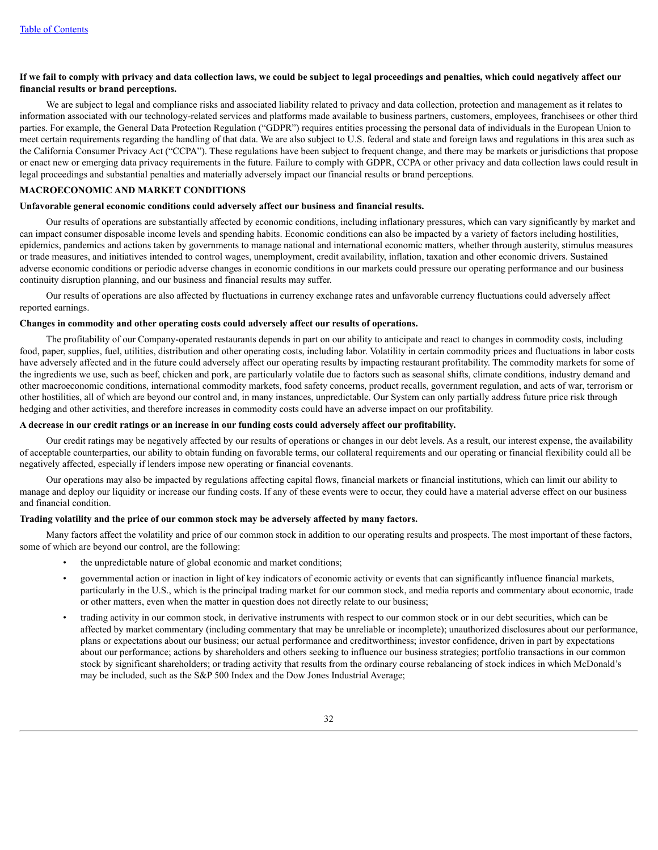# If we fail to comply with privacy and data collection laws, we could be subject to legal proceedings and penalties, which could negatively affect our **financial results or brand perceptions.**

We are subject to legal and compliance risks and associated liability related to privacy and data collection, protection and management as it relates to information associated with our technology-related services and platforms made available to business partners, customers, employees, franchisees or other third parties. For example, the General Data Protection Regulation ("GDPR") requires entities processing the personal data of individuals in the European Union to meet certain requirements regarding the handling of that data. We are also subject to U.S. federal and state and foreign laws and regulations in this area such as the California Consumer Privacy Act ("CCPA"). These regulations have been subject to frequent change, and there may be markets or jurisdictions that propose or enact new or emerging data privacy requirements in the future. Failure to comply with GDPR, CCPA or other privacy and data collection laws could result in legal proceedings and substantial penalties and materially adversely impact our financial results or brand perceptions.

# **MACROECONOMIC AND MARKET CONDITIONS**

# **Unfavorable general economic conditions could adversely affect our business and financial results.**

Our results of operations are substantially affected by economic conditions, including inflationary pressures, which can vary significantly by market and can impact consumer disposable income levels and spending habits. Economic conditions can also be impacted by a variety of factors including hostilities, epidemics, pandemics and actions taken by governments to manage national and international economic matters, whether through austerity, stimulus measures or trade measures, and initiatives intended to control wages, unemployment, credit availability, inflation, taxation and other economic drivers. Sustained adverse economic conditions or periodic adverse changes in economic conditions in our markets could pressure our operating performance and our business continuity disruption planning, and our business and financial results may suffer.

Our results of operations are also affected by fluctuations in currency exchange rates and unfavorable currency fluctuations could adversely affect reported earnings.

### **Changes in commodity and other operating costs could adversely affect our results of operations.**

The profitability of our Company-operated restaurants depends in part on our ability to anticipate and react to changes in commodity costs, including food, paper, supplies, fuel, utilities, distribution and other operating costs, including labor. Volatility in certain commodity prices and fluctuations in labor costs have adversely affected and in the future could adversely affect our operating results by impacting restaurant profitability. The commodity markets for some of the ingredients we use, such as beef, chicken and pork, are particularly volatile due to factors such as seasonal shifts, climate conditions, industry demand and other macroeconomic conditions, international commodity markets, food safety concerns, product recalls, government regulation, and acts of war, terrorism or other hostilities, all of which are beyond our control and, in many instances, unpredictable. Our System can only partially address future price risk through hedging and other activities, and therefore increases in commodity costs could have an adverse impact on our profitability.

# A decrease in our credit ratings or an increase in our funding costs could adversely affect our profitability.

Our credit ratings may be negatively affected by our results of operations or changes in our debt levels. As a result, our interest expense, the availability of acceptable counterparties, our ability to obtain funding on favorable terms, our collateral requirements and our operating or financial flexibility could all be negatively affected, especially if lenders impose new operating or financial covenants.

Our operations may also be impacted by regulations affecting capital flows, financial markets or financial institutions, which can limit our ability to manage and deploy our liquidity or increase our funding costs. If any of these events were to occur, they could have a material adverse effect on our business and financial condition.

# **Trading volatility and the price of our common stock may be adversely affected by many factors.**

Many factors affect the volatility and price of our common stock in addition to our operating results and prospects. The most important of these factors, some of which are beyond our control, are the following:

- the unpredictable nature of global economic and market conditions;
	- governmental action or inaction in light of key indicators of economic activity or events that can significantly influence financial markets, particularly in the U.S., which is the principal trading market for our common stock, and media reports and commentary about economic, trade or other matters, even when the matter in question does not directly relate to our business;
	- trading activity in our common stock, in derivative instruments with respect to our common stock or in our debt securities, which can be affected by market commentary (including commentary that may be unreliable or incomplete); unauthorized disclosures about our performance, plans or expectations about our business; our actual performance and creditworthiness; investor confidence, driven in part by expectations about our performance; actions by shareholders and others seeking to influence our business strategies; portfolio transactions in our common stock by significant shareholders; or trading activity that results from the ordinary course rebalancing of stock indices in which McDonald's may be included, such as the S&P 500 Index and the Dow Jones Industrial Average;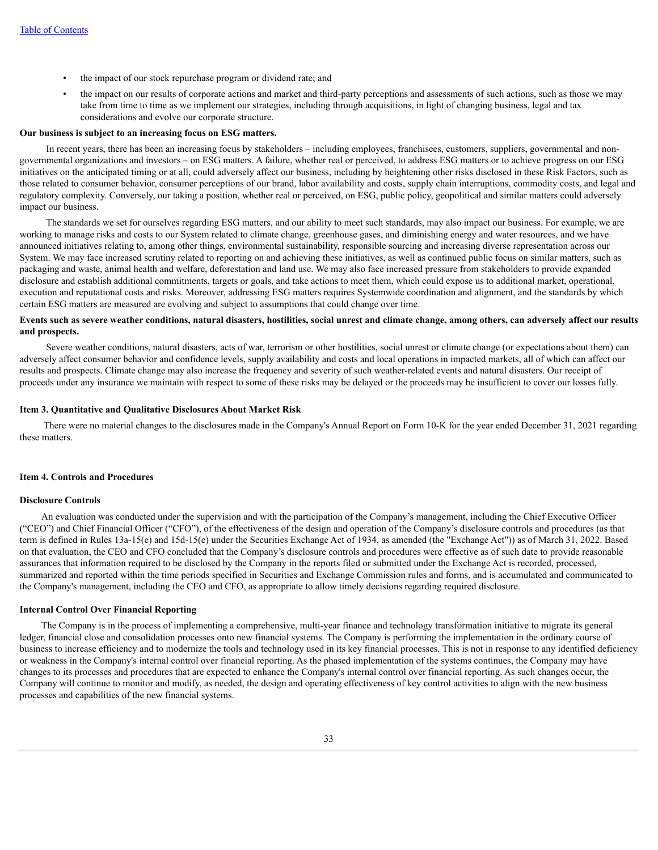- the impact of our stock repurchase program or dividend rate; and
- the impact on our results of corporate actions and market and third-party perceptions and assessments of such actions, such as those we may take from time to time as we implement our strategies, including through acquisitions, in light of changing business, legal and tax considerations and evolve our corporate structure.

#### **Our business is subject to an increasing focus on ESG matters.**

In recent years, there has been an increasing focus by stakeholders – including employees, franchisees, customers, suppliers, governmental and nongovernmental organizations and investors – on ESG matters. A failure, whether real or perceived, to address ESG matters or to achieve progress on our ESG initiatives on the anticipated timing or at all, could adversely affect our business, including by heightening other risks disclosed in these Risk Factors, such as those related to consumer behavior, consumer perceptions of our brand, labor availability and costs, supply chain interruptions, commodity costs, and legal and regulatory complexity. Conversely, our taking a position, whether real or perceived, on ESG, public policy, geopolitical and similar matters could adversely impact our business.

The standards we set for ourselves regarding ESG matters, and our ability to meet such standards, may also impact our business. For example, we are working to manage risks and costs to our System related to climate change, greenhouse gases, and diminishing energy and water resources, and we have announced initiatives relating to, among other things, environmental sustainability, responsible sourcing and increasing diverse representation across our System. We may face increased scrutiny related to reporting on and achieving these initiatives, as well as continued public focus on similar matters, such as packaging and waste, animal health and welfare, deforestation and land use. We may also face increased pressure from stakeholders to provide expanded disclosure and establish additional commitments, targets or goals, and take actions to meet them, which could expose us to additional market, operational, execution and reputational costs and risks. Moreover, addressing ESG matters requires Systemwide coordination and alignment, and the standards by which certain ESG matters are measured are evolving and subject to assumptions that could change over time.

# Events such as severe weather conditions, natural disasters, hostilities, social unrest and climate change, among others, can adversely affect our results **and prospects.**

Severe weather conditions, natural disasters, acts of war, terrorism or other hostilities, social unrest or climate change (or expectations about them) can adversely affect consumer behavior and confidence levels, supply availability and costs and local operations in impacted markets, all of which can affect our results and prospects. Climate change may also increase the frequency and severity of such weather-related events and natural disasters. Our receipt of proceeds under any insurance we maintain with respect to some of these risks may be delayed or the proceeds may be insufficient to cover our losses fully.

#### <span id="page-32-0"></span>**Item 3. Quantitative and Qualitative Disclosures About Market Risk**

There were no material changes to the disclosures made in the Company's Annual Report on Form 10-K for the year ended December 31, 2021 regarding these matters.

#### <span id="page-32-1"></span>**Item 4. Controls and Procedures**

#### **Disclosure Controls**

An evaluation was conducted under the supervision and with the participation of the Company's management, including the Chief Executive Officer ("CEO") and Chief Financial Officer ("CFO"), of the effectiveness of the design and operation of the Company's disclosure controls and procedures (as that term is defined in Rules 13a-15(e) and 15d-15(e) under the Securities Exchange Act of 1934, as amended (the "Exchange Act")) as of March 31, 2022. Based on that evaluation, the CEO and CFO concluded that the Company's disclosure controls and procedures were effective as of such date to provide reasonable assurances that information required to be disclosed by the Company in the reports filed or submitted under the Exchange Act is recorded, processed, summarized and reported within the time periods specified in Securities and Exchange Commission rules and forms, and is accumulated and communicated to the Company's management, including the CEO and CFO, as appropriate to allow timely decisions regarding required disclosure.

#### **Internal Control Over Financial Reporting**

The Company is in the process of implementing a comprehensive, multi-year finance and technology transformation initiative to migrate its general ledger, financial close and consolidation processes onto new financial systems. The Company is performing the implementation in the ordinary course of business to increase efficiency and to modernize the tools and technology used in its key financial processes. This is not in response to any identified deficiency or weakness in the Company's internal control over financial reporting. As the phased implementation of the systems continues, the Company may have changes to its processes and procedures that are expected to enhance the Company's internal control over financial reporting. As such changes occur, the Company will continue to monitor and modify, as needed, the design and operating effectiveness of key control activities to align with the new business processes and capabilities of the new financial systems.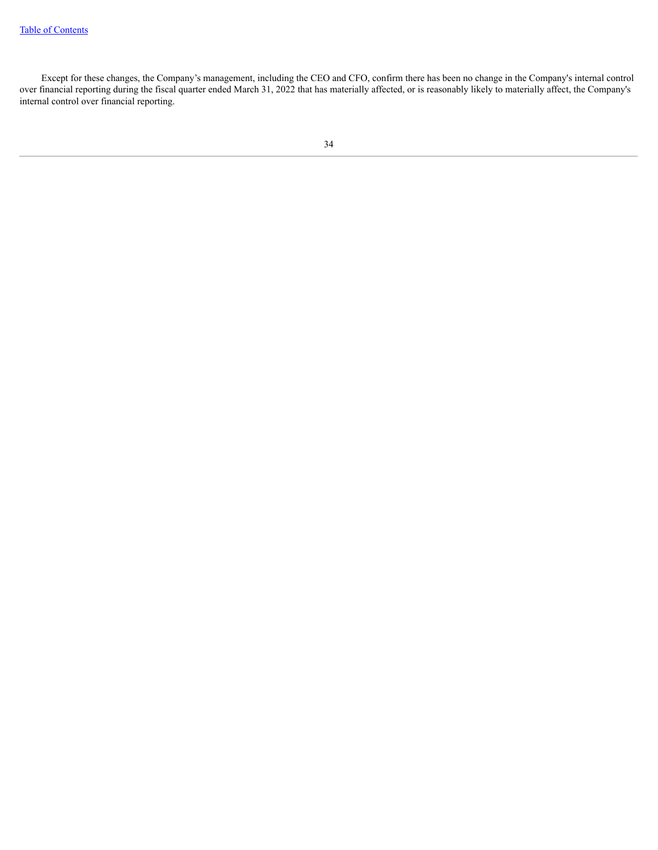<span id="page-33-0"></span>Except for these changes, the Company's management, including the CEO and CFO, confirm there has been no change in the Company's internal control over financial reporting during the fiscal quarter ended March 31, 2022 that has materially affected, or is reasonably likely to materially affect, the Company's internal control over financial reporting.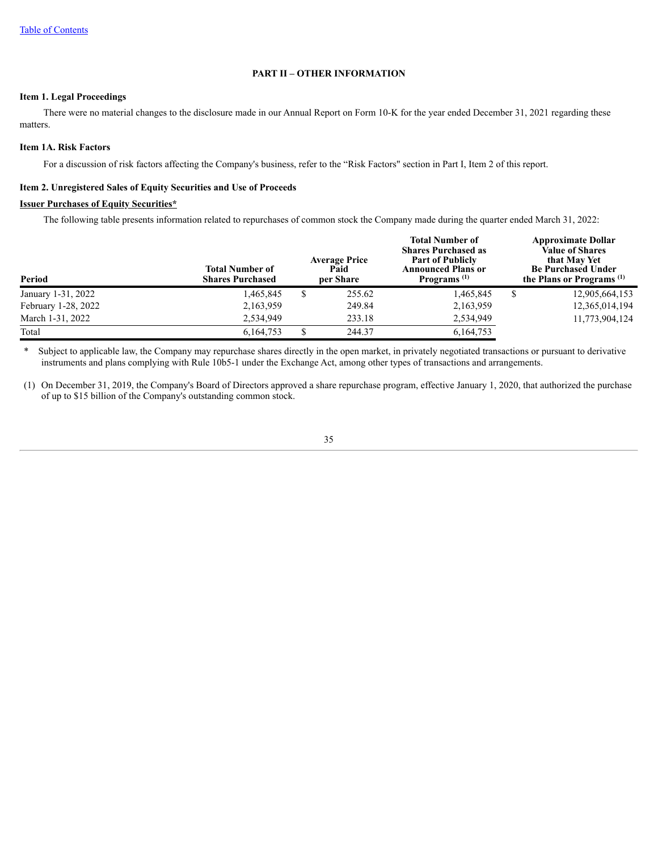# **PART II – OTHER INFORMATION**

# <span id="page-34-0"></span>**Item 1. Legal Proceedings**

There were no material changes to the disclosure made in our Annual Report on Form 10-K for the year ended December 31, 2021 regarding these matters.

# <span id="page-34-1"></span>**Item 1A. Risk Factors**

For a discussion of risk factors affecting the Company's business, refer to the "Risk Factors" section in Part I, Item 2 of this report.

# <span id="page-34-2"></span>**Item 2. Unregistered Sales of Equity Securities and Use of Proceeds**

# **Issuer Purchases of Equity Securities\***

The following table presents information related to repurchases of common stock the Company made during the quarter ended March 31, 2022:

| Period              | <b>Total Number of</b><br><b>Shares Purchased</b> | <b>Average Price</b><br>Paid<br>per Share | <b>Total Number of</b><br><b>Shares Purchased as</b><br><b>Part of Publicly</b><br><b>Announced Plans or</b><br>Programs <sup>(1)</sup> | <b>Approximate Dollar</b><br><b>Value of Shares</b><br>that May Yet<br><b>Be Purchased Under</b><br>the Plans or Programs <sup>(1)</sup> |
|---------------------|---------------------------------------------------|-------------------------------------------|-----------------------------------------------------------------------------------------------------------------------------------------|------------------------------------------------------------------------------------------------------------------------------------------|
| January 1-31, 2022  | 1,465,845                                         | 255.62                                    | 1,465,845                                                                                                                               | 12,905,664,153                                                                                                                           |
| February 1-28, 2022 | 2,163,959                                         | 249.84                                    | 2,163,959                                                                                                                               | 12,365,014,194                                                                                                                           |
| March 1-31, 2022    | 2,534,949                                         | 233.18                                    | 2,534,949                                                                                                                               | 11,773,904,124                                                                                                                           |
| Total               | 6,164,753                                         | 244.37                                    | 6,164,753                                                                                                                               |                                                                                                                                          |

Subject to applicable law, the Company may repurchase shares directly in the open market, in privately negotiated transactions or pursuant to derivative instruments and plans complying with Rule 10b5-1 under the Exchange Act, among other types of transactions and arrangements.

<span id="page-34-3"></span>(1) On December 31, 2019, the Company's Board of Directors approved a share repurchase program, effective January 1, 2020, that authorized the purchase of up to \$15 billion of the Company's outstanding common stock.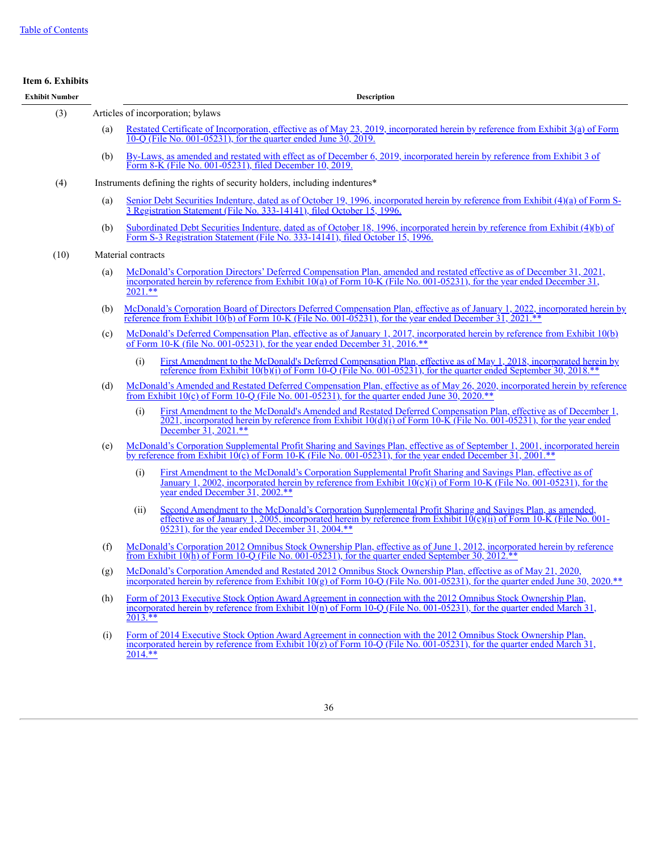|  | em 6. Exhibits |  |
|--|----------------|--|

| Item 6. Exhibits      |                                   |                                                                                                                                                                                                                                                                                                        |  |  |  |  |  |  |
|-----------------------|-----------------------------------|--------------------------------------------------------------------------------------------------------------------------------------------------------------------------------------------------------------------------------------------------------------------------------------------------------|--|--|--|--|--|--|
| <b>Exhibit Number</b> |                                   | Description                                                                                                                                                                                                                                                                                            |  |  |  |  |  |  |
| (3)                   | Articles of incorporation; bylaws |                                                                                                                                                                                                                                                                                                        |  |  |  |  |  |  |
|                       | (a)                               | Restated Certificate of Incorporation, effective as of May 23, 2019, incorporated herein by reference from Exhibit 3(a) of Form<br><u>10-Q (File No. 001-05231), for the quarter ended June 30, 2019.</u>                                                                                              |  |  |  |  |  |  |
|                       | (b)                               | By-Laws, as amended and restated with effect as of December 6, 2019, incorporated herein by reference from Exhibit 3 of<br>Form 8-K (File No. 001-05231), filed December 10, 2019.                                                                                                                     |  |  |  |  |  |  |
| (4)                   |                                   | Instruments defining the rights of security holders, including indentures*                                                                                                                                                                                                                             |  |  |  |  |  |  |
|                       | (a)                               | Senior Debt Securities Indenture, dated as of October 19, 1996, incorporated herein by reference from Exhibit (4)(a) of Form S-<br>3 Registration Statement (File No. 333-14141), filed October 15, 1996.                                                                                              |  |  |  |  |  |  |
|                       | (b)                               | Subordinated Debt Securities Indenture, dated as of October 18, 1996, incorporated herein by reference from Exhibit $(4)(b)$ of<br>Form S-3 Registration Statement (File No. 333-14141), filed October 15, 1996.                                                                                       |  |  |  |  |  |  |
| (10)                  |                                   | Material contracts                                                                                                                                                                                                                                                                                     |  |  |  |  |  |  |
|                       | (a)                               | McDonald's Corporation Directors' Deferred Compensation Plan, amended and restated effective as of December 31, 2021,<br>incorporated herein by reference from Exhibit $10(a)$ of Form 10-K (File No. 001-05231), for the year ended December 31,<br>$2021.**$                                         |  |  |  |  |  |  |
|                       | (b)                               | McDonald's Corporation Board of Directors Deferred Compensation Plan, effective as of January 1, 2022, incorporated herein by<br>reference from Exhibit $10(b)$ of Form $10-K$ (File No. 001-05231), for the year ended December $31, 2021$ .**                                                        |  |  |  |  |  |  |
|                       | (c)                               | McDonald's Deferred Compensation Plan, effective as of January 1, 2017, incorporated herein by reference from Exhibit 10(b)<br>of Form 10-K (file No. 001-05231), for the year ended December 31, 2016.**                                                                                              |  |  |  |  |  |  |
|                       |                                   | First Amendment to the McDonald's Deferred Compensation Plan, effective as of May 1, 2018, incorporated herein by<br>(i)<br>reference from Exhibit $10(b)(i)$ of Form $10-O$ (File No. 001-05231), for the quarter ended September 30, 2018.**                                                         |  |  |  |  |  |  |
|                       | (d)                               | McDonald's Amended and Restated Deferred Compensation Plan, effective as of May 26, 2020, incorporated herein by reference<br>from Exhibit $10(c)$ of Form 10-O (File No. 001-05231), for the quarter ended June 30, 2020.**                                                                           |  |  |  |  |  |  |
|                       |                                   | First Amendment to the McDonald's Amended and Restated Deferred Compensation Plan, effective as of December 1,<br>(i)<br>$2021$ , incorporated herein by reference from Exhibit $10(d)(i)$ of Form $10-K$ (File No. 001-05231), for the year ended<br>December 31, 2021.**                             |  |  |  |  |  |  |
|                       | (e)                               | McDonald's Corporation Supplemental Profit Sharing and Savings Plan, effective as of September 1, 2001, incorporated herein<br>by reference from Exhibit $10(c)$ of Form 10-K (File No. 001-05231), for the year ended December 31, 2001.**                                                            |  |  |  |  |  |  |
|                       |                                   | First Amendment to the McDonald's Corporation Supplemental Profit Sharing and Savings Plan, effective as of<br>(i)<br>January 1, 2002, incorporated herein by reference from Exhibit $10(g)(i)$ of Form 10-K (File No. 001-05231), for the<br>year ended December 31, 2002.**                          |  |  |  |  |  |  |
|                       |                                   | Second Amendment to the McDonald's Corporation Supplemental Profit Sharing and Savings Plan, as amended,<br>(ii)<br>effective as of January 1, 2005, incorporated herein by reference from Exhibit $10(c)(ii)$ of Form $10\text{-}K$ (File No. 001-<br>05231), for the year ended December 31, 2004.** |  |  |  |  |  |  |
|                       | (f)                               | McDonald's Corporation 2012 Omnibus Stock Ownership Plan, effective as of June 1, 2012, incorporated herein by reference<br>from Exhibit 10(h) of Form 10-O (File No. 001-05231), for the quarter ended September 30, 2012. <sup>**</sup>                                                              |  |  |  |  |  |  |
|                       | (g)                               | McDonald's Corporation Amended and Restated 2012 Omnibus Stock Ownership Plan, effective as of May 21, 2020,<br>incorporated herein by reference from Exhibit $10(g)$ of Form 10-O (File No. 001-05231), for the quarter ended June 30, 2020.**                                                        |  |  |  |  |  |  |
|                       | (h)                               | Form of 2013 Executive Stock Option Award Agreement in connection with the 2012 Omnibus Stock Ownership Plan,<br>incorporated herein by reference from Exhibit $10(n)$ of Form 10-Q (File No. 001-05231), for the quarter ended March 31,<br>$2013$ <sup>**</sup>                                      |  |  |  |  |  |  |
|                       | (i)                               | Form of 2014 Executive Stock Option Award Agreement in connection with the 2012 Omnibus Stock Ownership Plan,<br>incorporated herein by reference from Exhibit $10(z)$ of Form 10-Q (File No. 001-05231), for the quarter ended March 31,<br>$2014.**$                                                 |  |  |  |  |  |  |
|                       |                                   |                                                                                                                                                                                                                                                                                                        |  |  |  |  |  |  |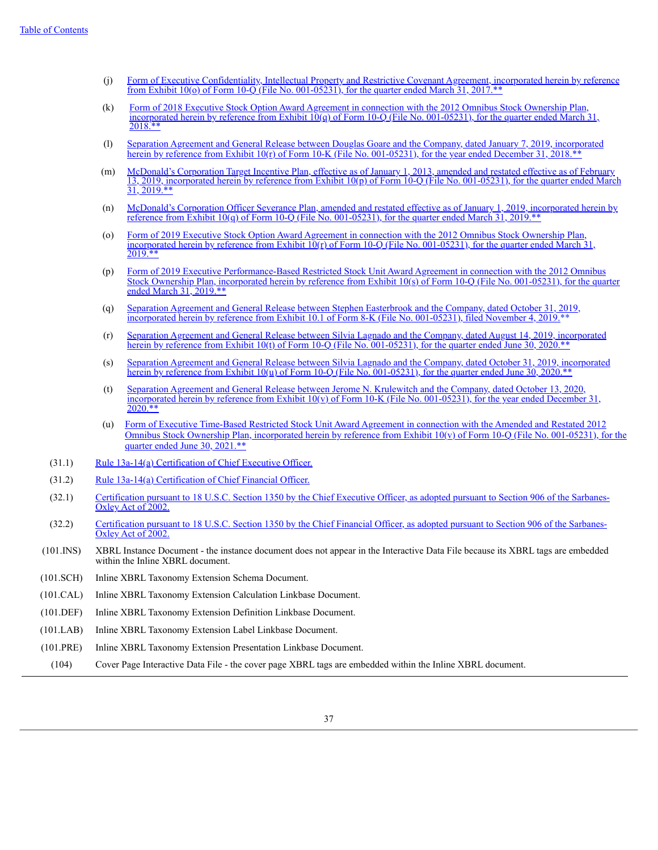- (j) Form of Executive [Confidentiality,](https://content.edgar-online.com/ExternalLink/EDGAR/0000063908-17-000025.html?hash=1c27d2c5710292041e53399ffef20322e975a8864a53275f6cf3359336958337&dest=mcd-3312017xex10o10q_htm) Intellectual Property and Restrictive Covenant Agreement, incorporated herein by reference from Exhibit  $10(q)$  of Form 10-Q (File No. [001-05231\),](https://content.edgar-online.com/ExternalLink/EDGAR/0000063908-17-000025.html?hash=1c27d2c5710292041e53399ffef20322e975a8864a53275f6cf3359336958337&dest=mcd-3312017xex10o10q_htm) for the quarter ended March 31, 2017.\*\*
- (k) Form of 2018 Executive Stock Option Award [Agreement](https://content.edgar-online.com/ExternalLink/EDGAR/0000063908-18-000025.html?hash=ef3f31cd3e0a1a7fbf5648599532b55f43ff235d6056ab98a326892a9d3f434d&dest=mcd-3312018xex10q_htm) in connection with the 2012 Omnibus Stock Ownership Plan, [incorporated](https://content.edgar-online.com/ExternalLink/EDGAR/0000063908-18-000025.html?hash=ef3f31cd3e0a1a7fbf5648599532b55f43ff235d6056ab98a326892a9d3f434d&dest=mcd-3312018xex10q_htm) herein by reference from Exhibit  $10(q)$  of Form 10-Q (File No. 001-05231), for the quarter ended March 31,  $2018.**$
- (I) Separation Agreement and General Release between Douglas Goare and the Company, dated January 7, 2019, [incorporated](https://content.edgar-online.com/ExternalLink/EDGAR/0000063908-19-000010.html?hash=8b4202d7d32d5c3f7603f287aef90257358eeaec7fef0fde5c984e02c93cfe18&dest=mcd-12312018xex10r_htm) herein by reference from Exhibit 10(r) of Form 10-K (File No. [001-05231\),](https://content.edgar-online.com/ExternalLink/EDGAR/0000063908-19-000010.html?hash=8b4202d7d32d5c3f7603f287aef90257358eeaec7fef0fde5c984e02c93cfe18&dest=mcd-12312018xex10r_htm) for the year ended December 31, 2018.\*\*
- (m) [McDonald's](https://content.edgar-online.com/ExternalLink/EDGAR/0000063908-19-000039.html?hash=394fa71e44f97a1ce41dd02ea5737a8c33aade3e1623c847cd68b444eae3c37d&dest=mcd-3312019xex10p_htm) Corporation Target Incentive Plan, effective as of January 1, 2013, amended and restated effective as of February 13, 2019, [incorporated](https://content.edgar-online.com/ExternalLink/EDGAR/0000063908-19-000039.html?hash=394fa71e44f97a1ce41dd02ea5737a8c33aade3e1623c847cd68b444eae3c37d&dest=mcd-3312019xex10p_htm) herein by reference from Exhibit 10(p) of Form 10-Q (File No. 001-05231), for the quarter ended March  $31, 2019$
- (n) McDonald's Corporation Officer Severance Plan, amended and restated effective as of January 1, 2019, [incorporated](https://content.edgar-online.com/ExternalLink/EDGAR/0000063908-19-000039.html?hash=394fa71e44f97a1ce41dd02ea5737a8c33aade3e1623c847cd68b444eae3c37d&dest=mcd-3312019xex10q_htm) herein by reference from Exhibit  $10(q)$  of Form 10-Q (File No. [001-05231\),](https://content.edgar-online.com/ExternalLink/EDGAR/0000063908-19-000039.html?hash=394fa71e44f97a1ce41dd02ea5737a8c33aade3e1623c847cd68b444eae3c37d&dest=mcd-3312019xex10q_htm) for the quarter ended March 31, 2019.\*\*
- (o) Form of 2019 Executive Stock Option Award [Agreement](https://content.edgar-online.com/ExternalLink/EDGAR/0000063908-19-000039.html?hash=394fa71e44f97a1ce41dd02ea5737a8c33aade3e1623c847cd68b444eae3c37d&dest=mcd-3312019xex10r_htm) in connection with the 2012 Omnibus Stock Ownership Plan, [incorporated](https://content.edgar-online.com/ExternalLink/EDGAR/0000063908-19-000039.html?hash=394fa71e44f97a1ce41dd02ea5737a8c33aade3e1623c847cd68b444eae3c37d&dest=mcd-3312019xex10r_htm) herein by reference from Exhibit  $10(r)$  of Form 10-Q (File No. 001-05231), for the quarter ended March 31,  $2019.**$
- (p) Form of 2019 Executive [Performance-Based](https://content.edgar-online.com/ExternalLink/EDGAR/0000063908-19-000039.html?hash=394fa71e44f97a1ce41dd02ea5737a8c33aade3e1623c847cd68b444eae3c37d&dest=mcd-3312019xex10s_htm) Restricted Stock Unit Award Agreement in connection with the 2012 Omnibus Stock Ownership Plan, [incorporated](https://content.edgar-online.com/ExternalLink/EDGAR/0000063908-19-000039.html?hash=394fa71e44f97a1ce41dd02ea5737a8c33aade3e1623c847cd68b444eae3c37d&dest=mcd-3312019xex10s_htm) herein by reference from Exhibit 10(s) of Form 10-Q (File No. 001-05231), for the quarter ended March 31, [2019.\\*\\*](https://content.edgar-online.com/ExternalLink/EDGAR/0000063908-19-000039.html?hash=394fa71e44f97a1ce41dd02ea5737a8c33aade3e1623c847cd68b444eae3c37d&dest=mcd-3312019xex10s_htm)
- (q) Separation Agreement and General Release between Stephen [Easterbrook](https://content.edgar-online.com/ExternalLink/EDGAR/0000898822-19-000080.html?hash=a0bbafe4c26e0aad5038bf1acdfa142ec48f76272fa342047258f5a4d28f9aa8&dest=mcdsepagmt_htm) and the Company, dated October 31, 2019, [incorporated](https://content.edgar-online.com/ExternalLink/EDGAR/0000898822-19-000080.html?hash=a0bbafe4c26e0aad5038bf1acdfa142ec48f76272fa342047258f5a4d28f9aa8&dest=mcdsepagmt_htm) herein by reference from Exhibit 10.1 of Form 8-K (File No. 001-05231), filed November 4, 2019.\*\*
- (r) Separation Agreement and General Release between Silvia Lagnado and the Company, dated August 14, 2019, [incorporated](https://content.edgar-online.com/ExternalLink/EDGAR/0000063908-20-000063.html?hash=5bb4857e808b9d38def7134d25c8e60d0f9340c69f5df8b74ef127d068c85f32&dest=mcd-6302020xex10t_htm) herein by reference from Exhibit 10(t) of Form 10-Q (File No. [001-05231\),](https://content.edgar-online.com/ExternalLink/EDGAR/0000063908-20-000063.html?hash=5bb4857e808b9d38def7134d25c8e60d0f9340c69f5df8b74ef127d068c85f32&dest=mcd-6302020xex10t_htm) for the quarter ended June 30, 2020.\*\*
- (s) Separation Agreement and General Release between Silvia Lagnado and the Company, dated October 31, 2019, [incorporated](https://content.edgar-online.com/ExternalLink/EDGAR/0000063908-20-000063.html?hash=5bb4857e808b9d38def7134d25c8e60d0f9340c69f5df8b74ef127d068c85f32&dest=mcd-6302020xex10u_htm) herein by reference from Exhibit 10(u) of Form 10-Q (File No. [001-05231\),](https://content.edgar-online.com/ExternalLink/EDGAR/0000063908-20-000063.html?hash=5bb4857e808b9d38def7134d25c8e60d0f9340c69f5df8b74ef127d068c85f32&dest=mcd-6302020xex10u_htm) for the quarter ended June 30, 2020.\*\*
- (t) Separation Agreement and General Release between Jerome N. [Krulewitch](https://content.edgar-online.com/ExternalLink/EDGAR/0000063908-21-000013.html?hash=febdc2ad7ddd2ca10233cafa532683c7ecffae1c03122862bd9a755cfac71e04&dest=mcd-12312020xex10v10xk_htm) and the Company, dated October 13, 2020, [incorporated](https://content.edgar-online.com/ExternalLink/EDGAR/0000063908-21-000013.html?hash=febdc2ad7ddd2ca10233cafa532683c7ecffae1c03122862bd9a755cfac71e04&dest=mcd-12312020xex10v10xk_htm) herein by reference from Exhibit  $10(y)$  of Form 10-K (File No. 001-05231), for the year ended December 31,  $2020$  \*\*
- (u) Form of Executive [Time-Based](https://content.edgar-online.com/ExternalLink/EDGAR/0000063908-21-000030.html?hash=c8754ec2601c654edfd006e4954813aa0d22d27c0620151736a7eb2d2facbc61&dest=mcd-6302021xex10v10xq_htm) Restricted Stock Unit Award Agreement in connection with the Amended and Restated 2012 Omnibus Stock Ownership Plan, [incorporated](https://content.edgar-online.com/ExternalLink/EDGAR/0000063908-21-000030.html?hash=c8754ec2601c654edfd006e4954813aa0d22d27c0620151736a7eb2d2facbc61&dest=mcd-6302021xex10v10xq_htm) herein by reference from Exhibit 10(v) of Form 10-Q (File No. 001-05231), for the quarter ended June 30, [2021.\\*\\*](https://content.edgar-online.com/ExternalLink/EDGAR/0000063908-21-000030.html?hash=c8754ec2601c654edfd006e4954813aa0d22d27c0620151736a7eb2d2facbc61&dest=mcd-6302021xex10v10xq_htm)
- (31.1) Rule 13a-14(a) [Certification](#page-39-0) of Chief Executive Officer.
- (31.2) Rule 13a-14(a) [Certification](#page-40-0) of Chief Financial Officer.
- (32.1) [Certification](#page-41-0) pursuant to 18 U.S.C. Section 1350 by the Chief Executive Officer, as adopted pursuant to Section 906 of the Sarbanes-[Oxley](#page-41-0) Act of 2002.
- (32.2) [Certification](#page-42-0) pursuant to 18 U.S.C. Section 1350 by the Chief Financial Officer, as adopted pursuant to Section 906 of the Sarbanes-[Oxley](#page-42-0) Act of 2002.
- (101.INS) XBRL Instance Document the instance document does not appear in the Interactive Data File because its XBRL tags are embedded within the Inline XBRL document.
- (101.SCH) Inline XBRL Taxonomy Extension Schema Document.
- (101.CAL) Inline XBRL Taxonomy Extension Calculation Linkbase Document.
- (101.DEF) Inline XBRL Taxonomy Extension Definition Linkbase Document.
- (101.LAB) Inline XBRL Taxonomy Extension Label Linkbase Document.
- (101.PRE) Inline XBRL Taxonomy Extension Presentation Linkbase Document.
- (104) Cover Page Interactive Data File the cover page XBRL tags are embedded within the Inline XBRL document.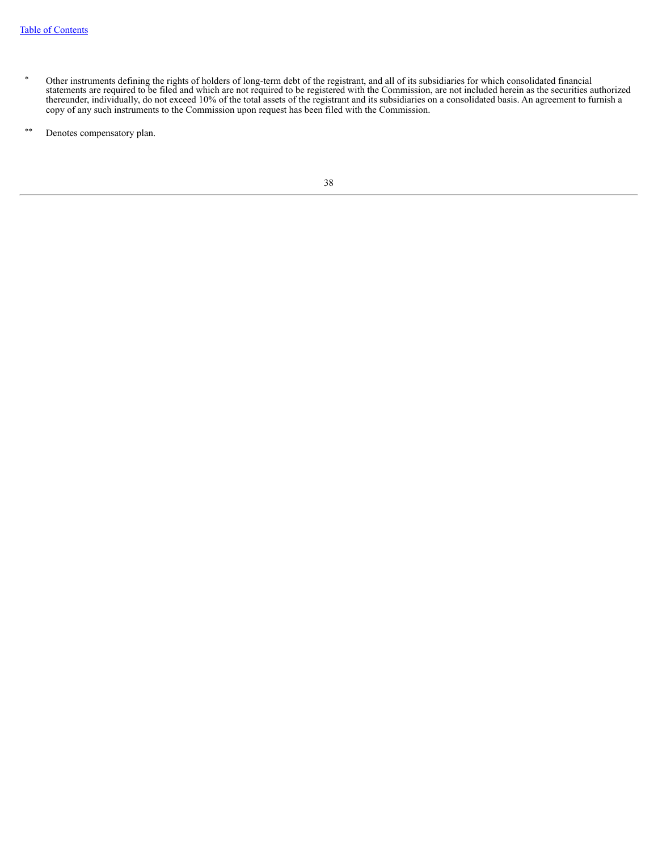- \* Other instruments defining the rights of holders of long-term debt of the registrant, and all of its subsidiaries for which consolidated financial statements are required to be filed and which are not required to be registered with the Commission, are not included herein as the securities authorized thereunder, individually, do not exceed 10% of the total assets of the registrant and its subsidiaries on a consolidated basis. An agreement to furnish a copy of any such instruments to the Commission upon request has been filed with the Commission.
- <span id="page-37-0"></span>\*\* Denotes compensatory plan.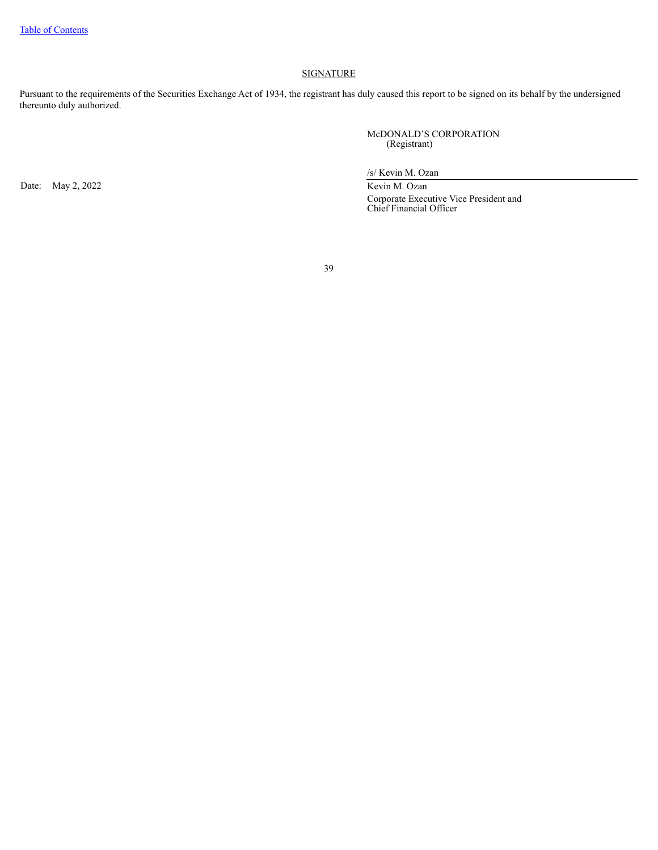# **SIGNATURE**

Pursuant to the requirements of the Securities Exchange Act of 1934, the registrant has duly caused this report to be signed on its behalf by the undersigned thereunto duly authorized.

> McDONALD'S CORPORATION (Registrant)

Date: May 2, 2022 Kevin M. Ozan

/s/ Kevin M. Ozan

Corporate Executive Vice President and Chief Financial Officer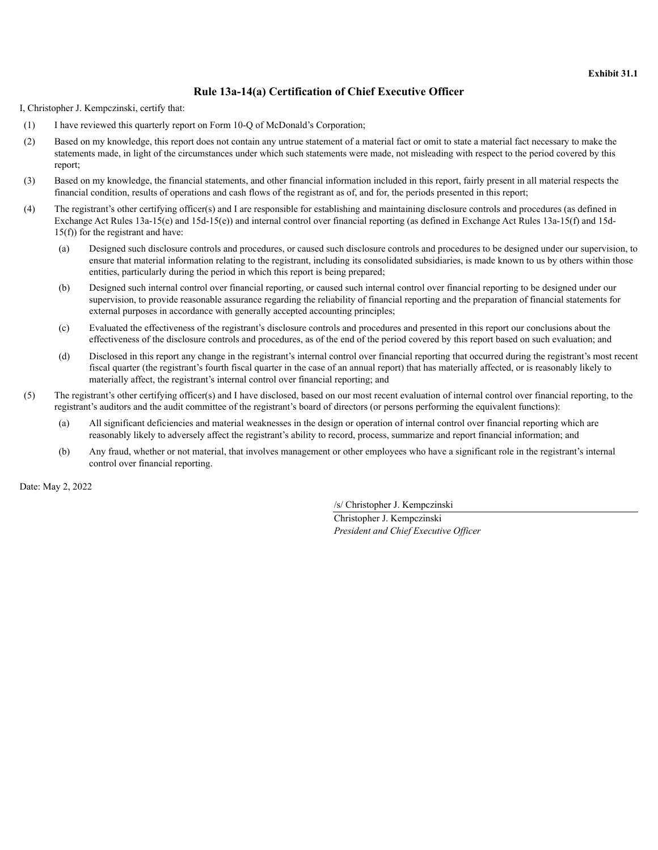# **Rule 13a-14(a) Certification of Chief Executive Officer**

<span id="page-39-0"></span>I, Christopher J. Kempczinski, certify that:

- (1) I have reviewed this quarterly report on Form 10-Q of McDonald's Corporation;
- (2) Based on my knowledge, this report does not contain any untrue statement of a material fact or omit to state a material fact necessary to make the statements made, in light of the circumstances under which such statements were made, not misleading with respect to the period covered by this report;
- (3) Based on my knowledge, the financial statements, and other financial information included in this report, fairly present in all material respects the financial condition, results of operations and cash flows of the registrant as of, and for, the periods presented in this report;
- (4) The registrant's other certifying officer(s) and I are responsible for establishing and maintaining disclosure controls and procedures (as defined in Exchange Act Rules 13a-15(e) and 15d-15(e)) and internal control over financial reporting (as defined in Exchange Act Rules 13a-15(f) and 15d-15(f)) for the registrant and have:
	- (a) Designed such disclosure controls and procedures, or caused such disclosure controls and procedures to be designed under our supervision, to ensure that material information relating to the registrant, including its consolidated subsidiaries, is made known to us by others within those entities, particularly during the period in which this report is being prepared;
	- (b) Designed such internal control over financial reporting, or caused such internal control over financial reporting to be designed under our supervision, to provide reasonable assurance regarding the reliability of financial reporting and the preparation of financial statements for external purposes in accordance with generally accepted accounting principles;
	- (c) Evaluated the effectiveness of the registrant's disclosure controls and procedures and presented in this report our conclusions about the effectiveness of the disclosure controls and procedures, as of the end of the period covered by this report based on such evaluation; and
	- (d) Disclosed in this report any change in the registrant's internal control over financial reporting that occurred during the registrant's most recent fiscal quarter (the registrant's fourth fiscal quarter in the case of an annual report) that has materially affected, or is reasonably likely to materially affect, the registrant's internal control over financial reporting; and
- (5) The registrant's other certifying officer(s) and I have disclosed, based on our most recent evaluation of internal control over financial reporting, to the registrant's auditors and the audit committee of the registrant's board of directors (or persons performing the equivalent functions):
	- (a) All significant deficiencies and material weaknesses in the design or operation of internal control over financial reporting which are reasonably likely to adversely affect the registrant's ability to record, process, summarize and report financial information; and
	- (b) Any fraud, whether or not material, that involves management or other employees who have a significant role in the registrant's internal control over financial reporting.

Date: May 2, 2022

/s/ Christopher J. Kempczinski

Christopher J. Kempczinski *President and Chief Executive Of icer*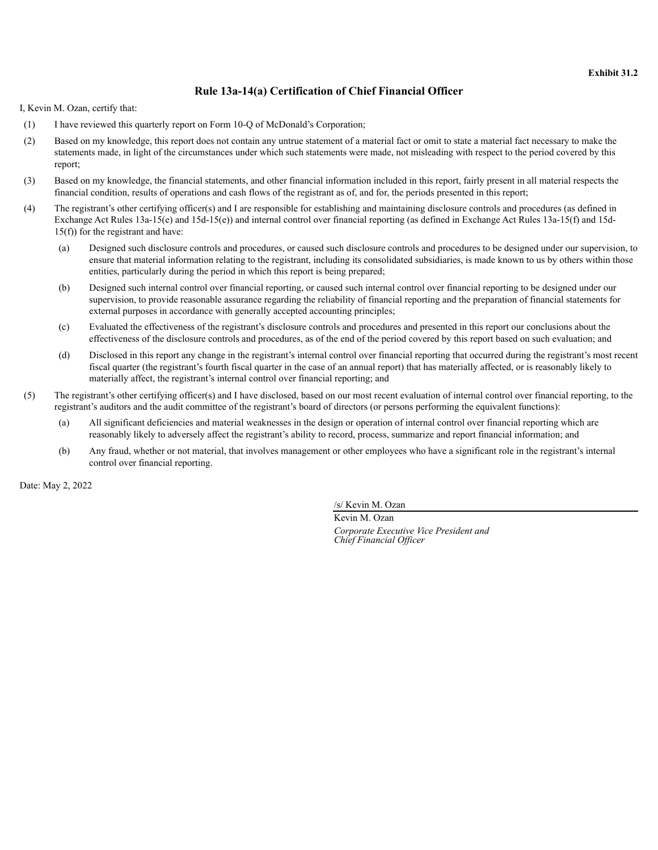# **Rule 13a-14(a) Certification of Chief Financial Officer**

<span id="page-40-0"></span>I, Kevin M. Ozan, certify that:

- (1) I have reviewed this quarterly report on Form 10-Q of McDonald's Corporation;
- (2) Based on my knowledge, this report does not contain any untrue statement of a material fact or omit to state a material fact necessary to make the statements made, in light of the circumstances under which such statements were made, not misleading with respect to the period covered by this report;
- (3) Based on my knowledge, the financial statements, and other financial information included in this report, fairly present in all material respects the financial condition, results of operations and cash flows of the registrant as of, and for, the periods presented in this report;
- (4) The registrant's other certifying officer(s) and I are responsible for establishing and maintaining disclosure controls and procedures (as defined in Exchange Act Rules 13a-15(e) and 15d-15(e)) and internal control over financial reporting (as defined in Exchange Act Rules 13a-15(f) and 15d-15(f)) for the registrant and have:
	- (a) Designed such disclosure controls and procedures, or caused such disclosure controls and procedures to be designed under our supervision, to ensure that material information relating to the registrant, including its consolidated subsidiaries, is made known to us by others within those entities, particularly during the period in which this report is being prepared;
	- (b) Designed such internal control over financial reporting, or caused such internal control over financial reporting to be designed under our supervision, to provide reasonable assurance regarding the reliability of financial reporting and the preparation of financial statements for external purposes in accordance with generally accepted accounting principles;
	- (c) Evaluated the effectiveness of the registrant's disclosure controls and procedures and presented in this report our conclusions about the effectiveness of the disclosure controls and procedures, as of the end of the period covered by this report based on such evaluation; and
	- (d) Disclosed in this report any change in the registrant's internal control over financial reporting that occurred during the registrant's most recent fiscal quarter (the registrant's fourth fiscal quarter in the case of an annual report) that has materially affected, or is reasonably likely to materially affect, the registrant's internal control over financial reporting; and
- (5) The registrant's other certifying officer(s) and I have disclosed, based on our most recent evaluation of internal control over financial reporting, to the registrant's auditors and the audit committee of the registrant's board of directors (or persons performing the equivalent functions):
	- (a) All significant deficiencies and material weaknesses in the design or operation of internal control over financial reporting which are reasonably likely to adversely affect the registrant's ability to record, process, summarize and report financial information; and
	- (b) Any fraud, whether or not material, that involves management or other employees who have a significant role in the registrant's internal control over financial reporting.

Date: May 2, 2022

/s/ Kevin M. Ozan

Kevin M. Ozan *Corporate Executive Vice President and Chief Financial Of icer*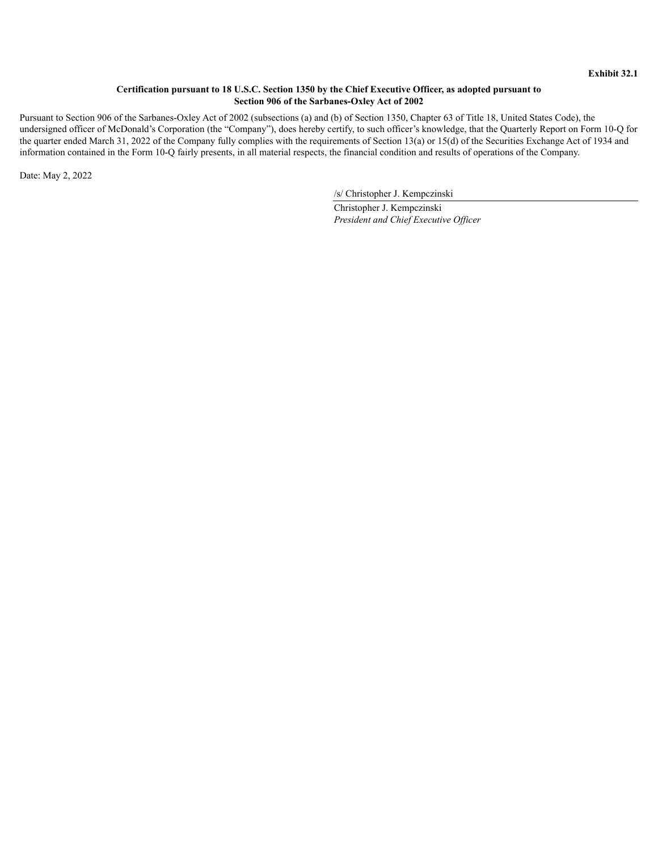# **Certification pursuant to 18 U.S.C. Section 1350 by the Chief Executive Officer, as adopted pursuant to Section 906 of the Sarbanes-Oxley Act of 2002**

<span id="page-41-0"></span>Pursuant to Section 906 of the Sarbanes-Oxley Act of 2002 (subsections (a) and (b) of Section 1350, Chapter 63 of Title 18, United States Code), the undersigned officer of McDonald's Corporation (the "Company"), does hereby certify, to such officer's knowledge, that the Quarterly Report on Form 10-Q for the quarter ended March 31, 2022 of the Company fully complies with the requirements of Section 13(a) or 15(d) of the Securities Exchange Act of 1934 and information contained in the Form 10-Q fairly presents, in all material respects, the financial condition and results of operations of the Company.

Date: May 2, 2022

/s/ Christopher J. Kempczinski

Christopher J. Kempczinski *President and Chief Executive Of icer*